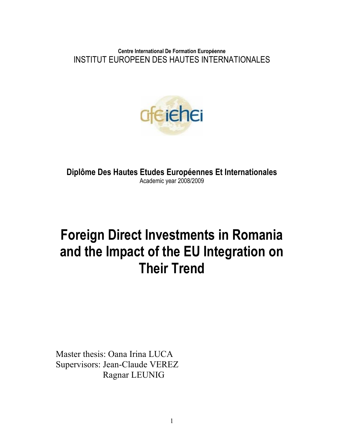**Centre International De Formation Européenne**  INSTITUT EUROPEEN DES HAUTES INTERNATIONALES



**Diplôme Des Hautes Etudes Européennes Et Internationales**  Academic year 2008/2009

# **Foreign Direct Investments in Romania and the Impact of the EU Integration on Their Trend**

Master thesis: Oana Irina LUCA Supervisors: Jean-Claude VEREZ Ragnar LEUNIG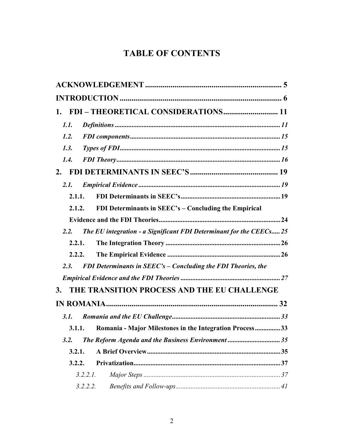# **TABLE OF CONTENTS**

| 1.                                                                          |  |  |  |  |
|-----------------------------------------------------------------------------|--|--|--|--|
| 1.1.                                                                        |  |  |  |  |
| 1.2.                                                                        |  |  |  |  |
| 1.3.                                                                        |  |  |  |  |
| 1.4.                                                                        |  |  |  |  |
| 2.                                                                          |  |  |  |  |
| 2.1.                                                                        |  |  |  |  |
| 2.1.1.                                                                      |  |  |  |  |
| FDI Determinants in SEEC's - Concluding the Empirical<br>2.1.2.             |  |  |  |  |
|                                                                             |  |  |  |  |
| 2.2.<br>The EU integration - a Significant FDI Determinant for the CEECs 25 |  |  |  |  |
| 2.2.1.                                                                      |  |  |  |  |
| 2.2.2.                                                                      |  |  |  |  |
| FDI Determinants in SEEC's - Concluding the FDI Theories, the<br>2.3.       |  |  |  |  |
|                                                                             |  |  |  |  |
| THE TRANSITION PROCESS AND THE EU CHALLENGE<br>3.                           |  |  |  |  |
|                                                                             |  |  |  |  |
| 3.1.                                                                        |  |  |  |  |
| Romania - Major Milestones in the Integration Process33<br>3.1.1.           |  |  |  |  |
| The Reform Agenda and the Business Environment 35<br>3.2.                   |  |  |  |  |
| 3.2.1.                                                                      |  |  |  |  |
| 3.2.2.                                                                      |  |  |  |  |
| $3.2.2.1$ .                                                                 |  |  |  |  |
| 3.2.2.2.                                                                    |  |  |  |  |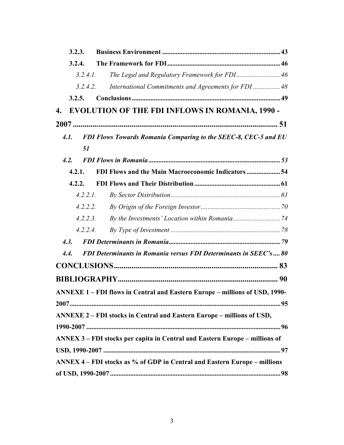|                    | 3.2.3.   |                                                                             |  |
|--------------------|----------|-----------------------------------------------------------------------------|--|
|                    | 3.2.4.   |                                                                             |  |
|                    | 3.2.4.1. | The Legal and Regulatory Framework for FDI 46                               |  |
|                    | 3.2.4.2. | International Commitments and Agreements for FDI  48                        |  |
|                    | 3.2.5.   |                                                                             |  |
| $\boldsymbol{4}$ . |          | <b>EVOLUTION OF THE FDI INFLOWS IN ROMANIA, 1990 -</b>                      |  |
|                    |          |                                                                             |  |
|                    | 4.1.     | FDI Flows Towards Romania Comparing to the SEEC-8, CEC-5 and EU             |  |
|                    | 51       |                                                                             |  |
|                    | 4.2.     |                                                                             |  |
|                    | 4.2.1.   | FDI Flows and the Main Macroeconomic Indicators  54                         |  |
|                    | 4.2.2.   |                                                                             |  |
|                    | 4.2.2.1. |                                                                             |  |
|                    | 4.2.2.2. |                                                                             |  |
|                    | 4.2.2.3. |                                                                             |  |
|                    | 4.2.2.4. |                                                                             |  |
|                    | 4.3.     |                                                                             |  |
| 4.4.               |          | FDI Determinants in Romania versus FDI Determinants in SEEC's 80            |  |
|                    |          |                                                                             |  |
|                    |          |                                                                             |  |
|                    |          | ANNEXE 1 - FDI flows in Central and Eastern Europe - millions of USD, 1990- |  |
|                    |          |                                                                             |  |
|                    |          | ANNEXE 2 - FDI stocks in Central and Eastern Europe - millions of USD,      |  |
|                    |          |                                                                             |  |
|                    |          | ANNEX 3 – FDI stocks per capita in Central and Eastern Europe – millions of |  |
|                    |          |                                                                             |  |
|                    |          | ANNEX 4 - FDI stocks as % of GDP in Central and Eastern Europe - millions   |  |
|                    |          |                                                                             |  |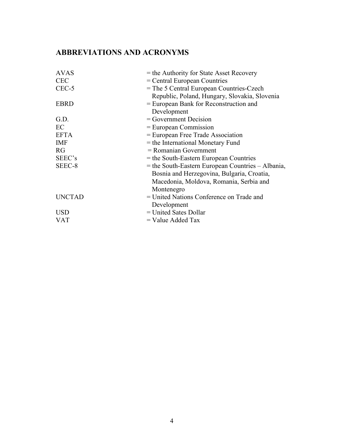#### **ABBREVIATIO S A D ACRO YMS**

| <b>AVAS</b>   | $=$ the Authority for State Asset Recovery          |
|---------------|-----------------------------------------------------|
| <b>CEC</b>    | $=$ Central European Countries                      |
| CEC-5         | $=$ The 5 Central European Countries-Czech          |
|               | Republic, Poland, Hungary, Slovakia, Slovenia       |
| <b>EBRD</b>   | = European Bank for Reconstruction and              |
|               | Development                                         |
| G.D.          | $=$ Government Decision                             |
| EC            | $=$ European Commission                             |
| <b>EFTA</b>   | = European Free Trade Association                   |
| <b>IMF</b>    | = the International Monetary Fund                   |
| RG            | $=$ Romanian Government                             |
| SEEC's        | = the South-Eastern European Countries              |
| SEEC-8        | $=$ the South-Eastern European Countries – Albania, |
|               | Bosnia and Herzegovina, Bulgaria, Croatia,          |
|               | Macedonia, Moldova, Romania, Serbia and             |
|               | Montenegro                                          |
| <b>UNCTAD</b> | = United Nations Conference on Trade and            |
|               | Development                                         |
| <b>USD</b>    | $=$ United Sates Dollar                             |
| <b>VAT</b>    | $=$ Value Added Tax                                 |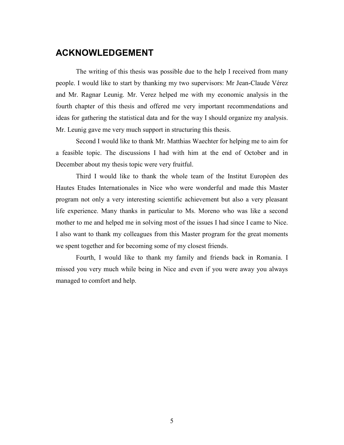## **ACKNOWLEDGEMENT**

The writing of this thesis was possible due to the help I received from many people. I would like to start by thanking my two supervisors: Mr Jean-Claude Vérez and Mr. Ragnar Leunig. Mr. Verez helped me with my economic analysis in the fourth chapter of this thesis and offered me very important recommendations and ideas for gathering the statistical data and for the way I should organize my analysis. Mr. Leunig gave me very much support in structuring this thesis.

Second I would like to thank Mr. Matthias Waechter for helping me to aim for a feasible topic. The discussions I had with him at the end of October and in December about my thesis topic were very fruitful.

Third I would like to thank the whole team of the Institut Européen des Hautes Etudes Internationales in Nice who were wonderful and made this Master program not only a very interesting scientific achievement but also a very pleasant life experience. Many thanks in particular to Ms. Moreno who was like a second mother to me and helped me in solving most of the issues I had since I came to Nice. I also want to thank my colleagues from this Master program for the great moments we spent together and for becoming some of my closest friends.

Fourth, I would like to thank my family and friends back in Romania. I missed you very much while being in Nice and even if you were away you always managed to comfort and help.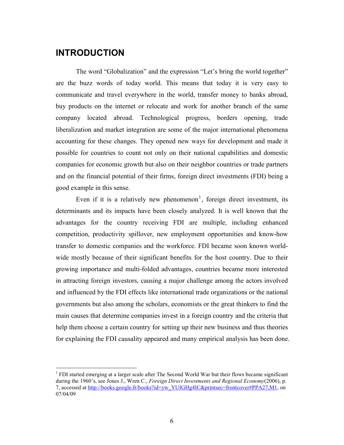## **INTRODUCTION**

-

The word "Globalization" and the expression "Let's bring the world together" are the buzz words of today world. This means that today it is very easy to communicate and travel everywhere in the world, transfer money to banks abroad, buy products on the internet or relocate and work for another branch of the same company located abroad. Technological progress, borders opening, trade liberalization and market integration are some of the major international phenomena accounting for these changes. They opened new ways for development and made it possible for countries to count not only on their national capabilities and domestic companies for economic growth but also on their neighbor countries or trade partners and on the financial potential of their firms, foreign direct investments (FDI) being a good example in this sense.

Even if it is a relatively new phenomenon<sup>1</sup>, foreign direct investment, its determinants and its impacts have been closely analyzed. It is well known that the advantages for the country receiving FDI are multiple, including enhanced competition, productivity spillover, new employment opportunities and know-how transfer to domestic companies and the workforce. FDI became soon known worldwide mostly because of their significant benefits for the host country. Due to their growing importance and multi-folded advantages, countries became more interested in attracting foreign investors, causing a major challenge among the actors involved and influenced by the FDI effects like international trade organizations or the national governments but also among the scholars, economists or the great thinkers to find the main causes that determine companies invest in a foreign country and the criteria that help them choose a certain country for setting up their new business and thus theories for explaining the FDI causality appeared and many empirical analysis has been done.

<sup>&</sup>lt;sup>1</sup> FDI started emerging at a larger scale after The Second World War but their flows became significant during the 1960's, see Jones J., Wren C., *Foreign Direct Investments and Regional Economy*(2006), p. 7, accessed at http://books.google.fr/books?id=yw\_YUIGHg4IC&printsec=frontcover#PPA27,M1, on 07/04/09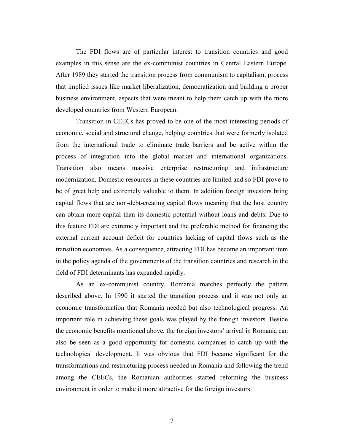The FDI flows are of particular interest to transition countries and good examples in this sense are the ex-communist countries in Central Eastern Europe. After 1989 they started the transition process from communism to capitalism, process that implied issues like market liberalization, democratization and building a proper business environment, aspects that were meant to help them catch up with the more developed countries from Western European.

Transition in CEECs has proved to be one of the most interesting periods of economic, social and structural change, helping countries that were formerly isolated from the international trade to eliminate trade barriers and be active within the process of integration into the global market and international organizations. Transition also means massive enterprise restructuring and infrastructure modernization. Domestic resources in these countries are limited and so FDI prove to be of great help and extremely valuable to them. In addition foreign investors bring capital flows that are non-debt-creating capital flows meaning that the host country can obtain more capital than its domestic potential without loans and debts. Due to this feature FDI are extremely important and the preferable method for financing the external current account deficit for countries lacking of capital flows such as the transition economies. As a consequence, attracting FDI has become an important item in the policy agenda of the governments of the transition countries and research in the field of FDI determinants has expanded rapidly.

As an ex-communist country, Romania matches perfectly the pattern described above. In 1990 it started the transition process and it was not only an economic transformation that Romania needed but also technological progress. An important role in achieving these goals was played by the foreign investors. Beside the economic benefits mentioned above, the foreign investors' arrival in Romania can also be seen as a good opportunity for domestic companies to catch up with the technological development. It was obvious that FDI became significant for the transformations and restructuring process needed in Romania and following the trend among the CEECs, the Romanian authorities started reforming the business environment in order to make it more attractive for the foreign investors.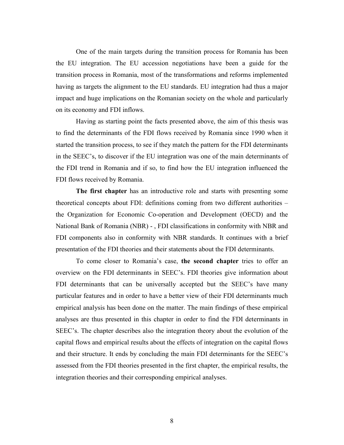One of the main targets during the transition process for Romania has been the EU integration. The EU accession negotiations have been a guide for the transition process in Romania, most of the transformations and reforms implemented having as targets the alignment to the EU standards. EU integration had thus a major impact and huge implications on the Romanian society on the whole and particularly on its economy and FDI inflows.

Having as starting point the facts presented above, the aim of this thesis was to find the determinants of the FDI flows received by Romania since 1990 when it started the transition process, to see if they match the pattern for the FDI determinants in the SEEC's, to discover if the EU integration was one of the main determinants of the FDI trend in Romania and if so, to find how the EU integration influenced the FDI flows received by Romania.

**The first chapter** has an introductive role and starts with presenting some theoretical concepts about FDI: definitions coming from two different authorities – the Organization for Economic Co-operation and Development (OECD) and the National Bank of Romania (NBR) - , FDI classifications in conformity with NBR and FDI components also in conformity with NBR standards. It continues with a brief presentation of the FDI theories and their statements about the FDI determinants.

To come closer to Romania's case, **the second chapter** tries to offer an overview on the FDI determinants in SEEC's. FDI theories give information about FDI determinants that can be universally accepted but the SEEC's have many particular features and in order to have a better view of their FDI determinants much empirical analysis has been done on the matter. The main findings of these empirical analyses are thus presented in this chapter in order to find the FDI determinants in SEEC's. The chapter describes also the integration theory about the evolution of the capital flows and empirical results about the effects of integration on the capital flows and their structure. It ends by concluding the main FDI determinants for the SEEC's assessed from the FDI theories presented in the first chapter, the empirical results, the integration theories and their corresponding empirical analyses.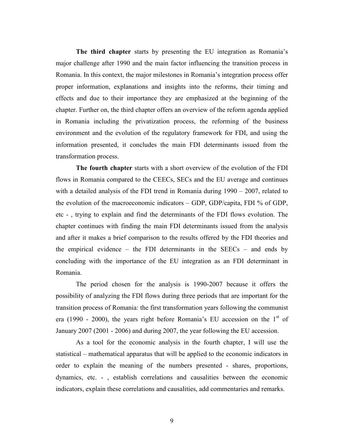**The third chapter** starts by presenting the EU integration as Romania's major challenge after 1990 and the main factor influencing the transition process in Romania. In this context, the major milestones in Romania's integration process offer proper information, explanations and insights into the reforms, their timing and effects and due to their importance they are emphasized at the beginning of the chapter. Further on, the third chapter offers an overview of the reform agenda applied in Romania including the privatization process, the reforming of the business environment and the evolution of the regulatory framework for FDI, and using the information presented, it concludes the main FDI determinants issued from the transformation process.

**The fourth chapter** starts with a short overview of the evolution of the FDI flows in Romania compared to the CEECs, SECs and the EU average and continues with a detailed analysis of the FDI trend in Romania during 1990 – 2007, related to the evolution of the macroeconomic indicators – GDP, GDP/capita, FDI % of GDP, etc - , trying to explain and find the determinants of the FDI flows evolution. The chapter continues with finding the main FDI determinants issued from the analysis and after it makes a brief comparison to the results offered by the FDI theories and the empirical evidence – the FDI determinants in the  $SEECs$  – and ends by concluding with the importance of the EU integration as an FDI determinant in Romania.

The period chosen for the analysis is 1990-2007 because it offers the possibility of analyzing the FDI flows during three periods that are important for the transition process of Romania: the first transformation years following the communist era (1990 - 2000), the years right before Romania's EU accession on the  $1<sup>st</sup>$  of January 2007 (2001 - 2006) and during 2007, the year following the EU accession.

As a tool for the economic analysis in the fourth chapter, I will use the statistical – mathematical apparatus that will be applied to the economic indicators in order to explain the meaning of the numbers presented - shares, proportions, dynamics, etc. - , establish correlations and causalities between the economic indicators, explain these correlations and causalities, add commentaries and remarks.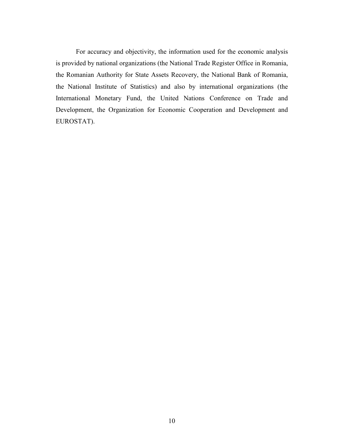For accuracy and objectivity, the information used for the economic analysis is provided by national organizations (the National Trade Register Office in Romania, the Romanian Authority for State Assets Recovery, the National Bank of Romania, the National Institute of Statistics) and also by international organizations (the International Monetary Fund, the United Nations Conference on Trade and Development, the Organization for Economic Cooperation and Development and EUROSTAT).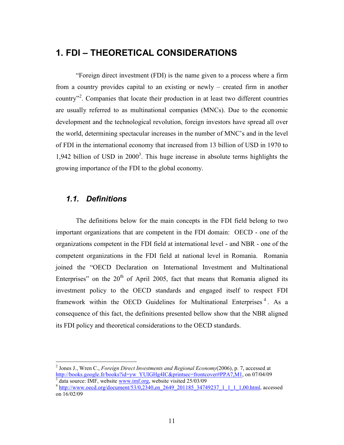# **1. FDI – THEORETICAL CONSIDERATIONS**

"Foreign direct investment (FDI) is the name given to a process where a firm from a country provides capital to an existing or newly – created firm in another country"<sup>2</sup>. Companies that locate their production in at least two different countries are usually referred to as multinational companies (MNCs). Due to the economic development and the technological revolution, foreign investors have spread all over the world, determining spectacular increases in the number of MNC's and in the level of FDI in the international economy that increased from 13 billion of USD in 1970 to 1,942 billion of USD in  $2000<sup>3</sup>$ . This huge increase in absolute terms highlights the growing importance of the FDI to the global economy.

### *1.1. Definitions*

-

The definitions below for the main concepts in the FDI field belong to two important organizations that are competent in the FDI domain: OECD - one of the organizations competent in the FDI field at international level - and NBR - one of the competent organizations in the FDI field at national level in Romania. Romania joined the "OECD Declaration on International Investment and Multinational Enterprises" on the  $20<sup>th</sup>$  of April 2005, fact that means that Romania aligned its investment policy to the OECD standards and engaged itself to respect FDI framework within the OECD Guidelines for Multinational Enterprises<sup>4</sup>. As a consequence of this fact, the definitions presented bellow show that the NBR aligned its FDI policy and theoretical considerations to the OECD standards.

<sup>2</sup> Jones J., Wren C., *Foreign Direct Investments and Regional Economy*(2006), p. 7, accessed at http://books.google.fr/books?id=yw\_YUIGHg4IC&printsec=frontcover#PPA7,M1, on 07/04/09 3 data source: IMF, website www.imf.org, website visited 25/03/09

<sup>&</sup>lt;sup>4</sup> http://www.oecd.org/document/53/0,2340,en\_2649\_201185\_34749237\_1\_1\_1\_1,00.html, accessed on 16/02/09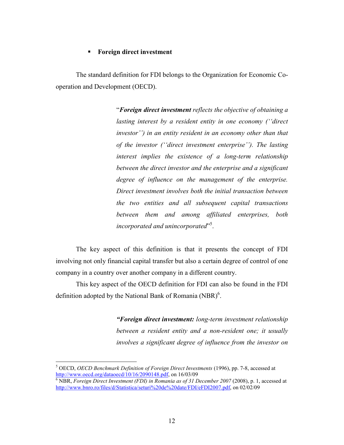#### **Foreign direct investment**

The standard definition for FDI belongs to the Organization for Economic Cooperation and Development (OECD).

> "*Foreign direct investment reflects the objective of obtaining a lasting interest by a resident entity in one economy (''direct investor'') in an entity resident in an economy other than that of the investor (''direct investment enterprise''). The lasting interest implies the existence of a long-term relationship between the direct investor and the enterprise and a significant degree of influence on the management of the enterprise. Direct investment involves both the initial transaction between the two entities and all subsequent capital transactions between them and among affiliated enterprises, both incorporated and unincorporated*" 5 .

The key aspect of this definition is that it presents the concept of FDI involving not only financial capital transfer but also a certain degree of control of one company in a country over another company in a different country.

This key aspect of the OECD definition for FDI can also be found in the FDI definition adopted by the National Bank of Romania  $(NBR)^6$ .

> *"Foreign direct investment: long-term investment relationship between a resident entity and a non-resident one; it usually involves a significant degree of influence from the investor on*

 5 OECD, *OECD Benchmark Definition of Foreign Direct Investments* (1996), pp. 7-8, accessed at http://www.oecd.org/dataoecd/10/16/2090148.pdf, on 16/03/09

<sup>&</sup>lt;sup>6</sup> NBR, *Foreign Direct Investment (FDI) in Romania as of 31 December 2007* (2008), p. 1, accessed at http://www.bnro.ro/files/d/Statistica/seturi%20de%20date/FDI/eFDI2007.pdf, on 02/02/09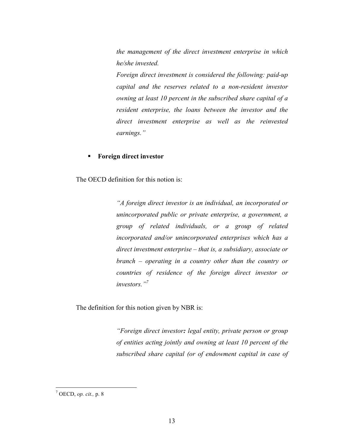*the management of the direct investment enterprise in which he/she invested.* 

*Foreign direct investment is considered the following: paid-up capital and the reserves related to a non-resident investor owning at least 10 percent in the subscribed share capital of a resident enterprise, the loans between the investor and the direct investment enterprise as well as the reinvested earnings."* 

#### **Foreign direct investor**

The OECD definition for this notion is:

*"A foreign direct investor is an individual, an incorporated or unincorporated public or private enterprise, a government, a group of related individuals, or a group of related incorporated and/or unincorporated enterprises which has a direct investment enterprise – that is, a subsidiary, associate or branch – operating in a country other than the country or countries of residence of the foreign direct investor or investors."<sup>7</sup>*

The definition for this notion given by NBR is:

*"Foreign direct investor: legal entity, private person or group of entities acting jointly and owning at least 10 percent of the subscribed share capital (or of endowment capital in case of* 

 7 OECD, *op. cit.,* p. 8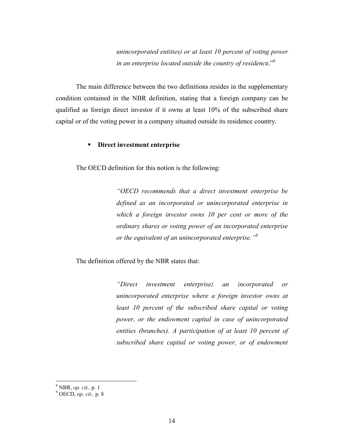*unincorporated entities) or at least 10 percent of voting power in an enterprise located outside the country of residenc*e."<sup>8</sup>

The main difference between the two definitions resides in the supplementary condition contained in the NBR definition, stating that a foreign company can be qualified as foreign direct investor if it owns at least 10% of the subscribed share capital or of the voting power in a company situated outside its residence country.

#### **Direct investment enterprise**

The OECD definition for this notion is the following:

*"OECD recommends that a direct investment enterprise be defined as an incorporated or unincorporated enterprise in which a foreign investor owns 10 per cent or more of the ordinary shares or voting power of an incorporated enterprise or the equivalent of an unincorporated enterprise."<sup>9</sup>*

The definition offered by the NBR states that:

*"Direct investment enterprise: an incorporated or unincorporated enterprise where a foreign investor owns at least 10 percent of the subscribed share capital or voting power, or the endowment capital in case of unincorporated entities (branches). A participation of at least 10 percent of subscribed share capital or voting power, or of endowment* 

<sup>8</sup> NBR, *op. cit.,* p. 1

<sup>9</sup> OECD, *op. cit.,* p. 8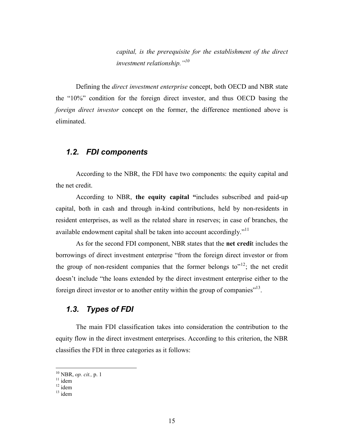*capital, is the prerequisite for the establishment of the direct investment relationship."<sup>10</sup>*

Defining the *direct investment enterprise* concept, both OECD and NBR state the "10%" condition for the foreign direct investor, and thus OECD basing the *foreign direct investor* concept on the former, the difference mentioned above is eliminated.

#### *1.2. FDI components*

According to the NBR, the FDI have two components: the equity capital and the net credit.

According to NBR, **the equity capital "**includes subscribed and paid-up capital, both in cash and through in-kind contributions, held by non-residents in resident enterprises, as well as the related share in reserves; in case of branches, the available endowment capital shall be taken into account accordingly."<sup>11</sup>

As for the second FDI component, NBR states that the **net credi**t includes the borrowings of direct investment enterprise "from the foreign direct investor or from the group of non-resident companies that the former belongs to<sup> $12$ </sup>; the net credit doesn't include "the loans extended by the direct investment enterprise either to the foreign direct investor or to another entity within the group of companies $"^{13}$ .

#### *1.3. Types of FDI*

The main FDI classification takes into consideration the contribution to the equity flow in the direct investment enterprises. According to this criterion, the NBR classifies the FDI in three categories as it follows:

<sup>10</sup> NBR, *op. cit.,* p. 1

 $11$  idem

 $12$  idem

 $13 \text{ idem}$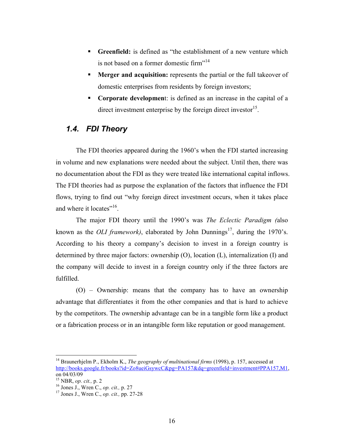- **Greenfield:** is defined as "the establishment of a new venture which is not based on a former domestic firm"<sup>14</sup>
- **Merger and acquisition:** represents the partial or the full takeover of domestic enterprises from residents by foreign investors;
- **Corporate development:** is defined as an increase in the capital of a direct investment enterprise by the foreign direct investor<sup>15</sup>.

## *1.4. FDI Theory*

The FDI theories appeared during the 1960's when the FDI started increasing in volume and new explanations were needed about the subject. Until then, there was no documentation about the FDI as they were treated like international capital inflows. The FDI theories had as purpose the explanation of the factors that influence the FDI flows, trying to find out "why foreign direct investment occurs, when it takes place and where it locates"<sup>16</sup>.

The major FDI theory until the 1990's was *The Eclectic Paradigm (*also known as the *OLI framework*), elaborated by John Dunnings<sup>17</sup>, during the 1970's. According to his theory a company's decision to invest in a foreign country is determined by three major factors: ownership (O), location (L), internalization (I) and the company will decide to invest in a foreign country only if the three factors are fulfilled.

(O) – Ownership: means that the company has to have an ownership advantage that differentiates it from the other companies and that is hard to achieve by the competitors. The ownership advantage can be in a tangible form like a product or a fabrication process or in an intangible form like reputation or good management.

<u>.</u>

<sup>&</sup>lt;sup>14</sup> Braunerhjelm P., Ekholm K., *The geography of multinational firms* (1998), p. 157, accessed at http://books.google.fr/books?id=Zo8ueiGsywcC&pg=PA157&dq=greenfield+investment#PPA157,M1, on 04/03/09

<sup>15</sup> NBR, *op. cit.,* p. 2

<sup>16</sup> Jones J., Wren C., *op. cit.,* p. 27

<sup>17</sup> Jones J., Wren C., *op. cit.,* pp. 27-28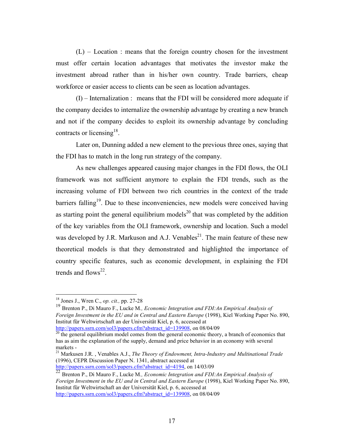$(L)$  – Location : means that the foreign country chosen for the investment must offer certain location advantages that motivates the investor make the investment abroad rather than in his/her own country. Trade barriers, cheap workforce or easier access to clients can be seen as location advantages.

(I) – Internalization : means that the FDI will be considered more adequate if the company decides to internalize the ownership advantage by creating a new branch and not if the company decides to exploit its ownership advantage by concluding contracts or licensing<sup>18</sup>.

Later on, Dunning added a new element to the previous three ones, saying that the FDI has to match in the long run strategy of the company.

As new challenges appeared causing major changes in the FDI flows, the OLI framework was not sufficient anymore to explain the FDI trends, such as the increasing volume of FDI between two rich countries in the context of the trade barriers falling<sup>19</sup>. Due to these inconveniencies, new models were conceived having as starting point the general equilibrium models<sup>20</sup> that was completed by the addition of the key variables from the OLI framework, ownership and location. Such a model was developed by J.R. Markuson and A.J. Venables<sup>21</sup>. The main feature of these new theoretical models is that they demonstrated and highlighted the importance of country specific features, such as economic development, in explaining the FDI trends and  $flows^{22}$ .

<sup>18</sup> Jones J., Wren C., *op. cit.,* pp. 27-28

<sup>19</sup> Brenton P., Di Mauro F., Lucke M*., Economic Integration and FDI:An Empirical Analysis of Foreign Investment in the EU and in Central and Eastern Europe* (1998), Kiel Working Paper No. 890, Institut für Weltwirtschaft an der Universität Kiel, p. 6, accessed at http://papers.ssrn.com/sol3/papers.cfm?abstract\_id=139908, on 08/04/09

<sup>&</sup>lt;sup>20</sup> the general equilibrium model comes from the general economic theory, a branch of economics that has as aim the explanation of the supply, demand and price behavior in an economy with several markets -

<sup>21</sup> Markusen J.R. , Venables A.J., *The Theory of Endowment, Intra-Industry and Multinational Trade* (1996), CEPR Discussion Paper N. 1341, abstract accessed at http://papers.ssrn.com/sol3/papers.cfm?abstract\_id=4194, on 14/03/09

<sup>22</sup> Brenton P., Di Mauro F., Lucke M*., Economic Integration and FDI:An Empirical Analysis of Foreign Investment in the EU and in Central and Eastern Europe* (1998), Kiel Working Paper No. 890, Institut für Weltwirtschaft an der Universität Kiel, p. 6, accessed at http://papers.ssrn.com/sol3/papers.cfm?abstract\_id=139908, on 08/04/09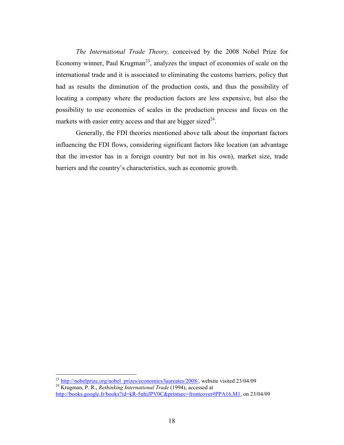*The International Trade Theory,* conceived by the 2008 Nobel Prize for Economy winner, Paul Krugman<sup>23</sup>, analyzes the impact of economies of scale on the international trade and it is associated to eliminating the customs barriers, policy that had as results the diminution of the production costs, and thus the possibility of locating a company where the production factors are less expensive, but also the possibility to use economies of scales in the production process and focus on the markets with easier entry access and that are bigger sized $^{24}$ .

Generally, the FDI theories mentioned above talk about the important factors influencing the FDI flows, considering significant factors like location (an advantage that the investor has in a foreign country but not in his own), market size, trade barriers and the country's characteristics, such as economic growth.

<sup>&</sup>lt;sup>23</sup> http://nobelprize.org/nobel\_prizes/economics/laureates/2008/, website visited 23/04/09

<sup>24</sup> Krugman, P. R., *Rethinking International Trade* (1994), accessed at http://books.google.fr/books?id=kR-5nhiJPV0C&printsec=frontcover#PPA16,M1, on 23/04/09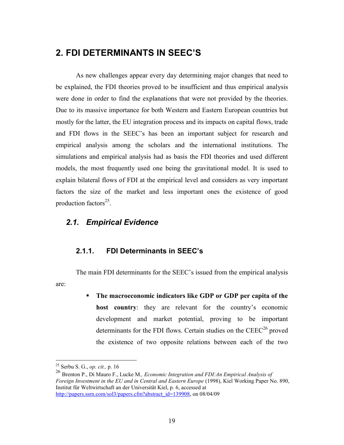# **2. FDI DETERMINANTS IN SEEC'S**

As new challenges appear every day determining major changes that need to be explained, the FDI theories proved to be insufficient and thus empirical analysis were done in order to find the explanations that were not provided by the theories. Due to its massive importance for both Western and Eastern European countries but mostly for the latter, the EU integration process and its impacts on capital flows, trade and FDI flows in the SEEC's has been an important subject for research and empirical analysis among the scholars and the international institutions. The simulations and empirical analysis had as basis the FDI theories and used different models, the most frequently used one being the gravitational model. It is used to explain bilateral flows of FDI at the empirical level and considers as very important factors the size of the market and less important ones the existence of good production factors<sup>25</sup>.

#### *2.1. Empirical Evidence*

#### **2.1.1. FDI Determinants in SEEC's**

The main FDI determinants for the SEEC's issued from the empirical analysis are:

> **The macroeconomic indicators like GDP or GDP per capita of the host country**: they are relevant for the country's economic development and market potential, proving to be important determinants for the FDI flows. Certain studies on the  $\text{CEEC}^{26}$  proved the existence of two opposite relations between each of the two

<sup>25</sup> Serbu S. G., *op. cit.,* p. 16

<sup>26</sup> Brenton P., Di Mauro F., Lucke M*., Economic Integration and FDI:An Empirical Analysis of Foreign Investment in the EU and in Central and Eastern Europe* (1998), Kiel Working Paper No. 890, Institut für Weltwirtschaft an der Universität Kiel, p. 6, accessed at http://papers.ssrn.com/sol3/papers.cfm?abstract\_id=139908, on 08/04/09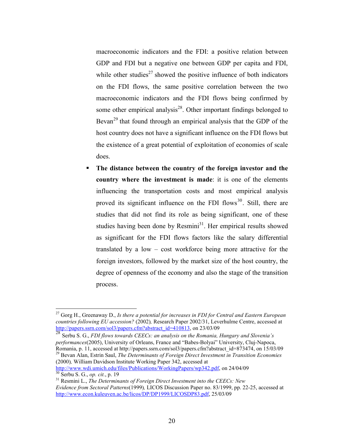macroeconomic indicators and the FDI: a positive relation between GDP and FDI but a negative one between GDP per capita and FDI, while other studies<sup>27</sup> showed the positive influence of both indicators on the FDI flows, the same positive correlation between the two macroeconomic indicators and the FDI flows being confirmed by some other empirical analysis<sup>28</sup>. Other important findings belonged to Bevan<sup>29</sup> that found through an empirical analysis that the GDP of the host country does not have a significant influence on the FDI flows but the existence of a great potential of exploitation of economies of scale does.

 **The distance between the country of the foreign investor and the country where the investment is made**: it is one of the elements influencing the transportation costs and most empirical analysis proved its significant influence on the FDI flows<sup>30</sup>. Still, there are studies that did not find its role as being significant, one of these studies having been done by Resmini<sup>31</sup>. Her empirical results showed as significant for the FDI flows factors like the salary differential translated by a low – cost workforce being more attractive for the foreign investors, followed by the market size of the host country, the degree of openness of the economy and also the stage of the transition process.

<sup>28</sup> Serbu S. G., *FDI flows towards CEECs: an analysis on the Romania, Hungary and Slovenia's performances*(2005), University of Orleans, France and "Babes-Bolyai" University, Cluj-Napoca, Romania, p. 11, accessed at http://papers.ssrn.com/sol3/papers.cfm?abstract\_id=873474, on 15/03/09 <sup>29</sup> Bevan Alan, Estrin Saul, *The Determinants of Foreign Direct Investment in Transition Economies*  (2000)*,* William Davidson Institute Working Paper 342, accessed at

http://www.wdi.umich.edu/files/Publications/WorkingPapers/wp342.pdf, on 24/04/09 <sup>30</sup> Serbu S. G., *op. cit.*, p. 19

<sup>27</sup> Gorg H., Greenaway D., *Is there a potential for increases in FDI for Central and Eastern European countries following EU accession?* (2002)*,* Research Paper 2002/31, Leverhulme Centre, accessed at http://papers.ssrn.com/sol3/papers.cfm?abstract\_id=410813, on 23/03/09

<sup>31</sup> Resmini L., *The Determinants of Foreign Direct Investment into the CEECs: Bew Evidence from Sectoral Patterns*(1999)*,* LICOS Discussion Paper no. 83/1999, pp. 22-25, accessed at http://www.econ.kuleuven.ac.be/licos/DP/DP1999/LICOSDP83.pdf, 25/03/09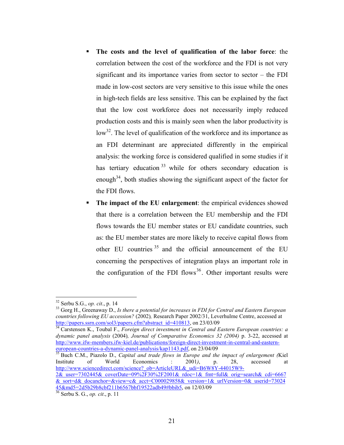- **The costs and the level of qualification of the labor force**: the correlation between the cost of the workforce and the FDI is not very significant and its importance varies from sector to sector  $-$  the FDI made in low-cost sectors are very sensitive to this issue while the ones in high-tech fields are less sensitive. This can be explained by the fact that the low cost workforce does not necessarily imply reduced production costs and this is mainly seen when the labor productivity is  $\log^{32}$ . The level of qualification of the workforce and its importance as an FDI determinant are appreciated differently in the empirical analysis: the working force is considered qualified in some studies if it has tertiary education  $33$  while for others secondary education is enough<sup>34</sup>, both studies showing the significant aspect of the factor for the FDI flows.
- **The impact of the EU enlargement**: the empirical evidences showed that there is a correlation between the EU membership and the FDI flows towards the EU member states or EU candidate countries, such as: the EU member states are more likely to receive capital flows from other EU countries<sup>35</sup> and the official announcement of the EU concerning the perspectives of integration plays an important role in the configuration of the FDI flows<sup>36</sup>. Other important results were

-

<sup>35</sup> Buch C.M., Piazolo D., *Capital and trade flows in Europe and the impact of enlargement (*Kiel Institute of World Economics : 2001*)*, p. 28, accessed at http://www.sciencedirect.com/science? ob=ArticleURL&\_udi=B6W8Y-44015W9-

 $2\&$  user=7302445& coverDate=09%2F30%2F2001& rdoc=1& fmt=full& orig=search& cdi=6667 & sort=d& docanchor=&view=c& acct=C000029858& version=1& urlVersion=0& userid=73024 45&md5=2d5b29b8cbf211b6567bbf19522adb49#bbib5, on 12/03/09

<sup>32</sup> Serbu S.G., *op. cit*., p. 14

<sup>33</sup> Gorg H., Greenaway D., *Is there a potential for increases in FDI for Central and Eastern European countries following EU accession?* (2002)*,* Research Paper 2002/31, Leverhulme Centre, accessed at http://papers.ssrn.com/sol3/papers.cfm?abstract\_id=410813, on 23/03/09

<sup>34</sup> Carstensen K., Toubal F., *Foreign direct investment in Central and Eastern European countries: a dynamic panel analysis* (2004)*, Journal of Comparative Economics 32 (2004)* p. 3-22, accessed at http://www.ifw-members.ifw-kiel.de/publications/foreign-direct-investment-in-central-and-easterneuropean-countries-a-dynamic-panel-analysis/kap1143.pdf, on 23/04/09<br>
<sup>35</sup> Buch CM, Biarala D. C.

<sup>36</sup> Serbu S. G., *op. cit*., p. 11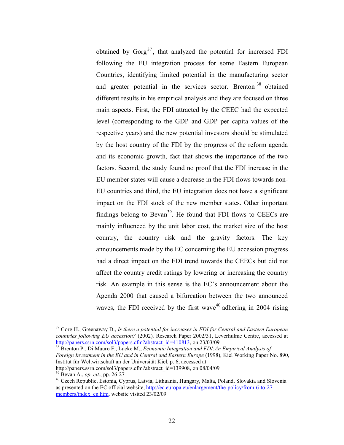obtained by  $Gorg<sup>37</sup>$ , that analyzed the potential for increased FDI following the EU integration process for some Eastern European Countries, identifying limited potential in the manufacturing sector and greater potential in the services sector. Brenton<sup>38</sup> obtained different results in his empirical analysis and they are focused on three main aspects. First, the FDI attracted by the CEEC had the expected level (corresponding to the GDP and GDP per capita values of the respective years) and the new potential investors should be stimulated by the host country of the FDI by the progress of the reform agenda and its economic growth, fact that shows the importance of the two factors. Second, the study found no proof that the FDI increase in the EU member states will cause a decrease in the FDI flows towards non-EU countries and third, the EU integration does not have a significant impact on the FDI stock of the new member states. Other important findings belong to Bevan<sup>39</sup>. He found that FDI flows to CEECs are mainly influenced by the unit labor cost, the market size of the host country, the country risk and the gravity factors. The key announcements made by the EC concerning the EU accession progress had a direct impact on the FDI trend towards the CEECs but did not affect the country credit ratings by lowering or increasing the country risk. An example in this sense is the EC's announcement about the Agenda 2000 that caused a bifurcation between the two announced waves, the FDI received by the first wave<sup>40</sup> adhering in 2004 rising

<sup>38</sup> Brenton P., Di Mauro F., Lucke M., *Economic Integration and FDI:An Empirical Analysis of Foreign Investment in the EU and in Central and Eastern Europe* (1998), Kiel Working Paper No. 890, Institut für Weltwirtschaft an der Universität Kiel, p. 6, accessed at http://papers.ssrn.com/sol3/papers.cfm?abstract\_id=139908, on 08/04/09

<u>.</u>

<sup>37</sup> Gorg H., Greenaway D., *Is there a potential for increases in FDI for Central and Eastern European countries following EU accession?* (2002)*,* Research Paper 2002/31, Leverhulme Centre, accessed at http://papers.ssrn.com/sol3/papers.cfm?abstract\_id=410813, on 23/03/09

<sup>39</sup> Bevan A., *op. cit.*, pp. 26-27

<sup>40</sup> Czech Republic, Estonia, Cyprus, Latvia, Lithuania, Hungary, Malta, Poland, Slovakia and Slovenia as presented on the EC official website, http://ec.europa.eu/enlargement/the-policy/from-6-to-27 members/index\_en.htm, website visited 23/02/09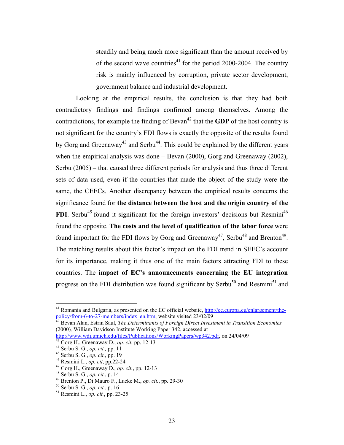steadily and being much more significant than the amount received by of the second wave countries<sup>41</sup> for the period 2000-2004. The country risk is mainly influenced by corruption, private sector development, government balance and industrial development.

Looking at the empirical results, the conclusion is that they had both contradictory findings and findings confirmed among themselves. Among the contradictions, for example the finding of Bevan<sup>42</sup> that the **GDP** of the host country is not significant for the country's FDI flows is exactly the opposite of the results found by Gorg and Greenaway<sup>43</sup> and Serbu<sup>44</sup>. This could be explained by the different years when the empirical analysis was done – Bevan (2000), Gorg and Greenaway (2002), Serbu (2005) – that caused three different periods for analysis and thus three different sets of data used, even if the countries that made the object of the study were the same, the CEECs. Another discrepancy between the empirical results concerns the significance found for **the distance between the host and the origin country of the FDI**. Serbu<sup>45</sup> found it significant for the foreign investors' decisions but Resmini<sup>46</sup> found the opposite. **The costs and the level of qualification of the labor force** were found important for the FDI flows by Gorg and Greenaway<sup>47</sup>, Serbu<sup>48</sup> and Brenton<sup>49</sup>. The matching results about this factor's impact on the FDI trend in SEEC's account for its importance, making it thus one of the main factors attracting FDI to these countries. The **impact of EC's announcements concerning the EU integration** progress on the FDI distribution was found significant by Serbu<sup>50</sup> and Resmini<sup>51</sup> and

<sup>42</sup> Bevan Alan, Estrin Saul, *The Determinants of Foreign Direct Investment in Transition Economies* (2000)*,* William Davidson Institute Working Paper 342, accessed at

<u>.</u>

<sup>&</sup>lt;sup>41</sup> Romania and Bulgaria, as presented on the EC official website, http://ec.europa.eu/enlargement/thepolicy/from-6-to-27-members/index\_en.htm, website visited 23/02/09

http://www.wdi.umich.edu/files/Publications/WorkingPapers/wp342.pdf, on 24/04/09 <sup>43</sup> Gorg H., Greenaway D., *op. cit.* pp. 12-13

<sup>44</sup> Serbu S. G., *op. cit.,* pp. 11 <sup>45</sup> Serbu S. G., *op. cit.*, pp. 19

<sup>46</sup> Resmini L., *op. cit*, pp.22-24

<sup>47</sup> Gorg H., Greenaway D., *op. cit.*, pp. 12-13

<sup>48</sup> Serbu S. G., *op. cit.*, p. 14

<sup>49</sup> Brenton P., Di Mauro F., Lucke M., *op. cit.*, pp. 29-30

<sup>50</sup> Serbu S. G., *op. cit.*, p. 16

<sup>51</sup> Resmini L., *op. cit.*, pp. 23-25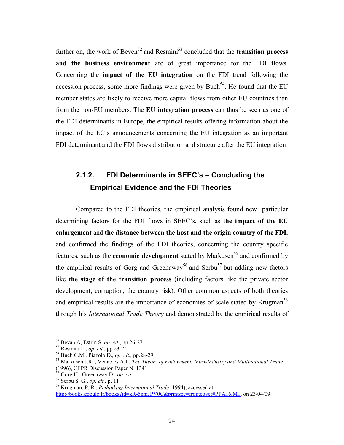further on, the work of Beven<sup>52</sup> and Resmini<sup>53</sup> concluded that the **transition process and the business environment** are of great importance for the FDI flows. Concerning the **impact of the EU integration** on the FDI trend following the accession process, some more findings were given by Buch<sup>54</sup>. He found that the EU member states are likely to receive more capital flows from other EU countries than from the non-EU members. The **EU integration process** can thus be seen as one of the FDI determinants in Europe, the empirical results offering information about the impact of the EC's announcements concerning the EU integration as an important FDI determinant and the FDI flows distribution and structure after the EU integration

# **2.1.2. FDI Determinants in SEEC's – Concluding the Empirical Evidence and the FDI Theories**

Compared to the FDI theories, the empirical analysis found new particular determining factors for the FDI flows in SEEC's, such as **the impact of the EU enlargement** and **the distance between the host and the origin country of the FDI**, and confirmed the findings of the FDI theories, concerning the country specific features, such as the **economic development** stated by Markusen<sup>55</sup> and confirmed by the empirical results of Gorg and Greenaway<sup>56</sup> and Serbu<sup>57</sup> but adding new factors like **the stage of the transition process** (including factors like the private sector development, corruption, the country risk). Other common aspects of both theories and empirical results are the importance of economies of scale stated by Krugman<sup>58</sup> through his *International Trade Theory* and demonstrated by the empirical results of

<sup>52</sup> Bevan A, Estrin S, *op. cit.*, pp.26-27

<sup>53</sup> Resmini L., *op. cit.*, pp.23-24

<sup>54</sup> Buch C.M., Piazolo D., *op. cit.*, pp.28-29

<sup>55</sup> Markusen J.R. , Venables A.J., *The Theory of Endowment, Intra-Industry and Multinational Trade* (1996), CEPR Discussion Paper N. 1341

<sup>56</sup> Gorg H., Greenaway D., *op. cit.*

<sup>57</sup> Serbu S. G., *op. cit.,* p. 11

<sup>58</sup> Krugman, P. R., *Rethinking International Trade* (1994), accessed at http://books.google.fr/books?id=kR-5nhiJPV0C&printsec=frontcover#PPA16,M1, on 23/04/09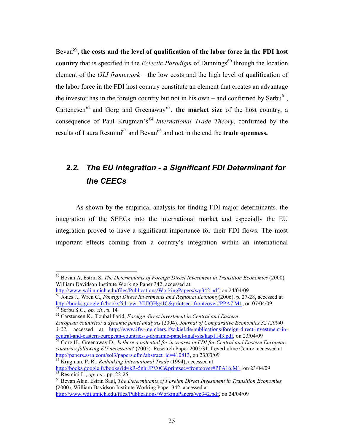Bevan<sup>59</sup>, the costs and the level of qualification of the labor force in the FDI host **country** that is specified in the *Eclectic Paradigm* of Dunnings<sup>60</sup> through the location element of the *OLI framework* – the low costs and the high level of qualification of the labor force in the FDI host country constitute an element that creates an advantage the investor has in the foreign country but not in his own – and confirmed by Serbu<sup>61</sup>, Cartenesen<sup>62</sup> and Gorg and Greenaway<sup>63</sup>, the market size of the host country, a consequence of Paul Krugman's <sup>64</sup> *International Trade Theory*, confirmed by the results of Laura Resmini<sup>65</sup> and Bevan<sup>66</sup> and not in the end the **trade openness.** 

# *2.2. The EU integration - a Significant FDI Determinant for the CEECs*

As shown by the empirical analysis for finding FDI major determinants, the integration of the SEECs into the international market and especially the EU integration proved to have a significant importance for their FDI flows. The most important effects coming from a country's integration within an international

<sup>59</sup> Bevan A, Estrin S, *The Determinants of Foreign Direct Investment in Transition Economies* (2000)*,*  William Davidson Institute Working Paper 342, accessed at

http://www.wdi.umich.edu/files/Publications/WorkingPapers/wp342.pdf, on 24/04/09 <sup>60</sup> Jones J., Wren C., *Foreign Direct Investments and Regional Economy*(2006), p. 27-28, accessed at http://books.google.fr/books?id=yw\_YUIGHg4IC&printsec=frontcover#PPA7,M1, on 07/04/09 <sup>61</sup> Serbu S.G., *op. cit*., p. 14

<sup>62</sup> Carstensen K., Toubal Farid, *Foreign direct investment in Central and Eastern European countries: a dynamic panel analysis* (2004)*, Journal of Comparative Economics 32 (2004) 3-22*, accessed at http://www.ifw-members.ifw-kiel.de/publications/foreign-direct-investment-incentral-and-eastern-european-countries-a-dynamic-panel-analysis/kap1143.pdf, on 23/04/09

<sup>63</sup> Gorg H., Greenaway D., *Is there a potential for increases in FDI for Central and Eastern European countries following EU accession?* (2002)*,* Research Paper 2002/31, Leverhulme Centre, accessed at http://papers.ssrn.com/sol3/papers.cfm?abstract\_id=410813, on 23/03/09

<sup>64</sup> Krugman, P. R., *Rethinking International Trade* (1994), accessed at http://books.google.fr/books?id=kR-5nhiJPV0C&printsec=frontcover#PPA16,M1, on 23/04/09 <sup>65</sup> Resmini L., *op. cit.*, pp. 22-25

<sup>66</sup> Bevan Alan, Estrin Saul, *The Determinants of Foreign Direct Investment in Transition Economies*  (2000)*,* William Davidson Institute Working Paper 342, accessed at http://www.wdi.umich.edu/files/Publications/WorkingPapers/wp342.pdf, on 24/04/09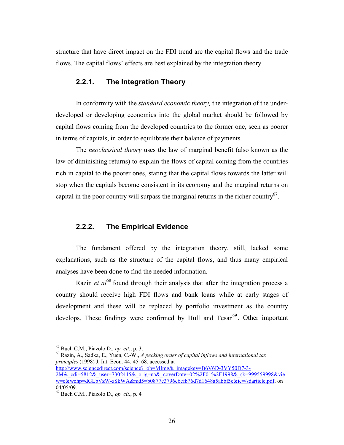structure that have direct impact on the FDI trend are the capital flows and the trade flows. The capital flows' effects are best explained by the integration theory.

#### **2.2.1. The Integration Theory**

In conformity with the *standard economic theory,* the integration of the underdeveloped or developing economies into the global market should be followed by capital flows coming from the developed countries to the former one, seen as poorer in terms of capitals, in order to equilibrate their balance of payments.

The *neoclassical theory* uses the law of marginal benefit (also known as the law of diminishing returns) to explain the flows of capital coming from the countries rich in capital to the poorer ones, stating that the capital flows towards the latter will stop when the capitals become consistent in its economy and the marginal returns on capital in the poor country will surpass the marginal returns in the richer country<sup>67</sup>.

#### **2.2.2. The Empirical Evidence**

The fundament offered by the integration theory, still, lacked some explanations, such as the structure of the capital flows, and thus many empirical analyses have been done to find the needed information.

Razin *et al*<sup>68</sup> found through their analysis that after the integration process a country should receive high FDI flows and bank loans while at early stages of development and these will be replaced by portfolio investment as the country develops. These findings were confirmed by Hull and Tesar<sup>69</sup>. Other important

-

http://www.sciencedirect.com/science?\_ob=MImg&\_imagekey=B6V6D-3VY50D7-3-2M&\_cdi=5812&\_user=7302445&\_orig=na&\_coverDate=02%2F01%2F1998&\_sk=999559998&vie w=c&wchp=dGLbVzW-zSkWA&md5=b0877c3796c6efb76d7d1648a5abbf5e&ie=/sdarticle.pdf, on 04/05/09.

<sup>67</sup> Buch C.M., Piazolo D., *op. cit.*, p. 3.

<sup>68</sup> Razin, A., Sadka, E., Yuen, C.-W., *A pecking order of capital inflows and international tax principles* (1998) J. Int. Econ. 44, 45–68, accessed at

<sup>69</sup> Buch C.M., Piazolo D., *op. cit.*, p. 4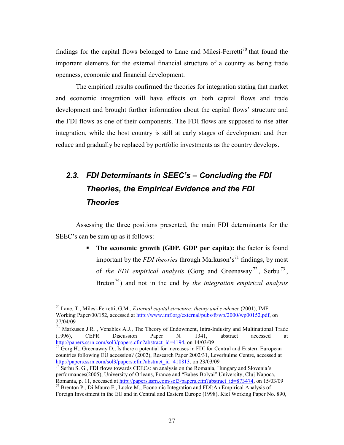findings for the capital flows belonged to Lane and Milesi-Ferretti<sup>70</sup> that found the important elements for the external financial structure of a country as being trade openness, economic and financial development.

The empirical results confirmed the theories for integration stating that market and economic integration will have effects on both capital flows and trade development and brought further information about the capital flows' structure and the FDI flows as one of their components. The FDI flows are supposed to rise after integration, while the host country is still at early stages of development and then reduce and gradually be replaced by portfolio investments as the country develops.

# *2.3. FDI Determinants in SEEC's – Concluding the FDI Theories, the Empirical Evidence and the FDI Theories*

Assessing the three positions presented, the main FDI determinants for the SEEC's can be sum up as it follows:

> **The economic growth (GDP, GDP per capita):** the factor is found important by the *FDI theories* through Markuson's<sup>71</sup> findings, by most of *the FDI empirical analysis* (Gorg and Greenaway<sup>72</sup>, Serbu<sup>73</sup>, Breton<sup>74</sup>) and not in the end by *the integration empirical analysis*

<sup>70</sup> Lane, T., Milesi-Ferretti, G.M., *External capital structure: theory and evidence* (2001), IMF Working Paper/00/152, accessed at http://www.imf.org/external/pubs/ft/wp/2000/wp00152.pdf, on 27/04/09

 $71$  Markusen J.R., Venables A.J., The Theory of Endowment, Intra-Industry and Multinational Trade (1996), CEPR Discussion Paper N. 1341, abstract accessed at http://papers.ssrn.com/sol3/papers.cfm?abstract\_id=4194, on 14/03/09

 $^{72}$  Gorg H., Greenaway D., Is there a potential for increases in FDI for Central and Eastern European countries following EU accession? (2002), Research Paper 2002/31, Leverhulme Centre, accessed at http://papers.ssrn.com/sol3/papers.cfm?abstract\_id=410813, on 23/03/09

 $73$  Serbu S. G., FDI flows towards CEECs: an analysis on the Romania, Hungary and Slovenia's performances(2005), University of Orleans, France and "Babes-Bolyai" University, Cluj-Napoca, Romania, p. 11, accessed at http://papers.ssrn.com/sol3/papers.cfm?abstract\_id=873474, on 15/03/09 <sup>74</sup> Brenton P., Di Mauro F., Lucke M., Economic Integration and FDI:An Empirical Analysis of

Foreign Investment in the EU and in Central and Eastern Europe (1998), Kiel Working Paper No. 890,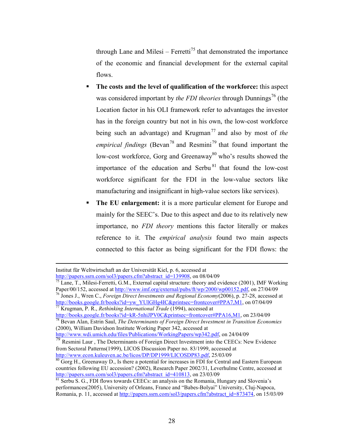through Lane and Milesi – Ferretti<sup>75</sup> that demonstrated the importance of the economic and financial development for the external capital flows.

- **The costs and the level of qualification of the workforce:** this aspect was considered important by *the FDI theories* through Dunnings<sup>76</sup> (the Location factor in his OLI framework refer to advantages the investor has in the foreign country but not in his own, the low-cost workforce being such an advantage) and Krugman<sup>77</sup> and also by most of *the empirical findings* (Bevan<sup>78</sup> and Resmini<sup>79</sup> that found important the low-cost workforce, Gorg and Greenaway<sup>80</sup> who's results showed the importance of the education and Serbu  $81$  that found the low-cost workforce significant for the FDI in the low-value sectors like manufacturing and insignificant in high-value sectors like services).
- **The EU enlargement:** it is a more particular element for Europe and mainly for the SEEC's. Due to this aspect and due to its relatively new importance, no *FDI theory* mentions this factor literally or makes reference to it. The *empirical analysis* found two main aspects connected to this factor as being significant for the FDI flows: the

 $\overline{a}$ Institut für Weltwirtschaft an der Universität Kiel, p. 6, accessed at http://papers.ssrn.com/sol3/papers.cfm?abstract\_id=139908, on 08/04/09

 $\frac{75}{15}$  Lane, T., Milesi-Ferretti, G.M., External capital structure: theory and evidence (2001), IMF Working Paper/00/152, accessed at http://www.imf.org/external/pubs/ft/wp/2000/wp00152.pdf, on 27/04/09 <sup>76</sup> Jones J., Wren C., *Foreign Direct Investments and Regional Economy*(2006), p. 27-28, accessed at

http://books.google.fr/books?id=yw\_YUIGHg4IC&printsec=frontcover#PPA7,M1, on 07/04/09 <sup>77</sup> Krugman, P. R., *Rethinking International Trade* (1994), accessed at

http://books.google.fr/books?id=kR-5nhiJPV0C&printsec=frontcover#PPA16,M1, on 23/04/09 <sup>78</sup> Bevan Alan, Estrin Saul, *The Determinants of Foreign Direct Investment in Transition Economies* (2000), William Davidson Institute Working Paper 342, accessed at http://www.wdi.umich.edu/files/Publications/WorkingPapers/wp342.pdf, on 24/04/09

 $\frac{79}{79}$  Resmini Laur, The Determinants of Foreign Direct Investment into the CEECs: New Evidence from Sectoral Patterns(1999), LICOS Discussion Paper no. 83/1999, accessed at http://www.econ.kuleuven.ac.be/licos/DP/DP1999/LICOSDP83.pdf, 25/03/09

 $80$  Gorg H., Greenaway D., Is there a potential for increases in FDI for Central and Eastern European countries following EU accession? (2002), Research Paper 2002/31, Leverhulme Centre, accessed at http://papers.ssrn.com/sol3/papers.cfm?abstract\_id=410813, on 23/03/09

 $81$  Serbu S. G., FDI flows towards CEECs: an analysis on the Romania, Hungary and Slovenia's performances(2005), University of Orleans, France and "Babes-Bolyai" University, Cluj-Napoca, Romania, p. 11, accessed at http://papers.ssrn.com/sol3/papers.cfm?abstract\_id=873474, on 15/03/09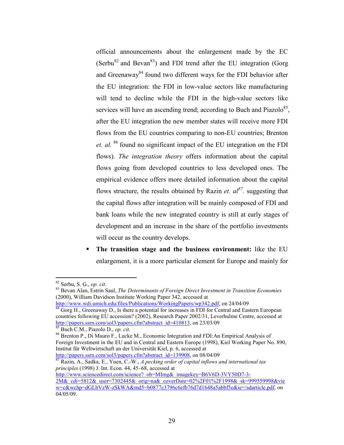official announcements about the enlargement made by the EC (Serbu<sup>82</sup> and Bevan<sup>83</sup>) and FDI trend after the EU integration (Gorg) and Greenaway<sup>84</sup> found two different ways for the FDI behavior after the EU integration: the FDI in low-value sectors like manufacturing will tend to decline while the FDI in the high-value sectors like services will have an ascending trend; according to Buch and Piazolo<sup>85</sup>, after the EU integration the new member states will receive more FDI flows from the EU countries comparing to non-EU countries; Brenton *et. al.* <sup>86</sup> found no significant impact of the EU integration on the FDI flows). *The integration theory* offers information about the capital flows going from developed countries to less developed ones. The empirical evidence offers more detailed information about the capital flows structure, the results obtained by Razin *et.*  $a l^{87}$ . suggesting that the capital flows after integration will be mainly composed of FDI and bank loans while the new integrated country is still at early stages of development and an increase in the share of the portfolio investments will occur as the country develops.

 **The transition stage and the business environment:** like the EU enlargement, it is a more particular element for Europe and mainly for

<u>.</u>

<sup>87</sup> Razin, A., Sadka, E., Yuen, C.-W., *A pecking order of capital inflows and international tax principles* (1998) J. Int. Econ. 44, 45–68, accessed at

http://www.sciencedirect.com/science? ob=MImg&\_imagekey=B6V6D-3VY50D7-3-

<sup>82</sup> Serbu, S. G., *op. cit.* 

<sup>83</sup> Bevan Alan, Estrin Saul, *The Determinants of Foreign Direct Investment in Transition Economies* (2000), William Davidson Institute Working Paper 342, accessed at

http://www.wdi.umich.edu/files/Publications/WorkingPapers/wp342.pdf, on 24/04/09

<sup>&</sup>lt;sup>84</sup> Gorg H., Greenaway D., Is there a potential for increases in FDI for Central and Eastern European countries following EU accession? (2002), Research Paper 2002/31, Leverhulme Centre, accessed at http://papers.ssrn.com/sol3/papers.cfm?abstract\_id=410813, on 23/03/09

<sup>85</sup> Buch C.M., Piazolo D., *op. cit.*

<sup>86</sup> Brenton P., Di Mauro F., Lucke M., Economic Integration and FDI:An Empirical Analysis of Foreign Investment in the EU and in Central and Eastern Europe (1998), Kiel Working Paper No. 890, Institut für Weltwirtschaft an der Universität Kiel, p. 6, accessed at http://papers.ssrn.com/sol3/papers.cfm?abstract\_id=139908, on 08/04/09

<sup>2</sup>M&\_cdi=5812&\_user=7302445&\_orig=na&\_coverDate=02%2F01%2F1998&\_sk=999559998&vie w=c&wchp=dGLbVzW-zSkWA&md5=b0877c3796c6efb76d7d1648a5abbf5e&ie=/sdarticle.pdf, on 04/05/09.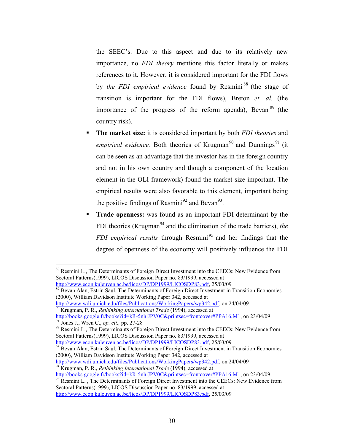the SEEC's. Due to this aspect and due to its relatively new importance, no *FDI theory* mentions this factor literally or makes references to it. However, it is considered important for the FDI flows by *the FDI empirical evidence* found by Resmini<sup>88</sup> (the stage of transition is important for the FDI flows), Breton *et. al.* (the importance of the progress of the reform agenda), Bevan <sup>89</sup> (the country risk).

- **The market size:** it is considered important by both *FDI theories* and *empirical evidence.* Both theories of Krugman<sup>90</sup> and Dunnings<sup>91</sup> (it) can be seen as an advantage that the investor has in the foreign country and not in his own country and though a component of the location element in the OLI framework) found the market size important. The empirical results were also favorable to this element, important being the positive findings of Rasmini<sup>92</sup> and Bevan<sup>93</sup>.
- **Trade openness:** was found as an important FDI determinant by the FDI theories (Krugman<sup>94</sup> and the elimination of the trade barriers), *the FDI empirical results* through Resmini<sup>95</sup> and her findings that the degree of openness of the economy will positively influence the FDI

<sup>89</sup> Bevan Alan, Estrin Saul, The Determinants of Foreign Direct Investment in Transition Economies (2000), William Davidson Institute Working Paper 342, accessed at

http://www.wdi.umich.edu/files/Publications/WorkingPapers/wp342.pdf, on 24/04/09 <sup>90</sup> Krugman, P. R., *Rethinking International Trade* (1994), accessed at

http://books.google.fr/books?id=kR-5nhiJPV0C&printsec=frontcover#PPA16,M1, on 23/04/09 <sup>91</sup> Jones J., Wren C., *op. cit.,* pp. 27-28

<sup>92</sup> Resmini L., The Determinants of Foreign Direct Investment into the CEECs: New Evidence from Sectoral Patterns(1999), LICOS Discussion Paper no. 83/1999, accessed at http://www.econ.kuleuven.ac.be/licos/DP/DP1999/LICOSDP83.pdf, 25/03/09

<sup>93</sup> Bevan Alan, Estrin Saul, The Determinants of Foreign Direct Investment in Transition Economies (2000), William Davidson Institute Working Paper 342, accessed at

http://www.wdi.umich.edu/files/Publications/WorkingPapers/wp342.pdf, on 24/04/09 <sup>94</sup> Krugman, P. R., *Rethinking International Trade* (1994), accessed at

http://books.google.fr/books?id=kR-5nhiJPV0C&printsec=frontcover#PPA16,M1, on 23/04/09

<sup>&</sup>lt;u>.</u> <sup>88</sup> Resmini L., The Determinants of Foreign Direct Investment into the CEECs: New Evidence from Sectoral Patterns(1999), LICOS Discussion Paper no. 83/1999, accessed at http://www.econ.kuleuven.ac.be/licos/DP/DP1999/LICOSDP83.pdf, 25/03/09

 $\frac{95}{25}$  Resmini L., The Determinants of Foreign Direct Investment into the CEECs: New Evidence from Sectoral Patterns(1999), LICOS Discussion Paper no. 83/1999, accessed at http://www.econ.kuleuven.ac.be/licos/DP/DP1999/LICOSDP83.pdf, 25/03/09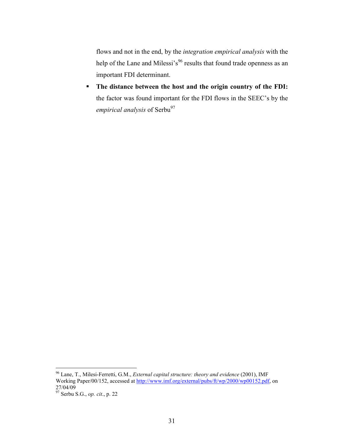flows and not in the end, by the *integration empirical analysis* with the help of the Lane and Milessi's<sup>96</sup> results that found trade openness as an important FDI determinant.

 **The distance between the host and the origin country of the FDI:**  the factor was found important for the FDI flows in the SEEC's by the *empirical analysis* of Serbu<sup>97</sup>

<sup>96</sup> Lane, T., Milesi-Ferretti, G.M., *External capital structure: theory and evidence* (2001), IMF Working Paper/00/152, accessed at http://www.imf.org/external/pubs/ft/wp/2000/wp00152.pdf, on 27/04/09

<sup>97</sup> Serbu S.G., *op. cit*., p. 22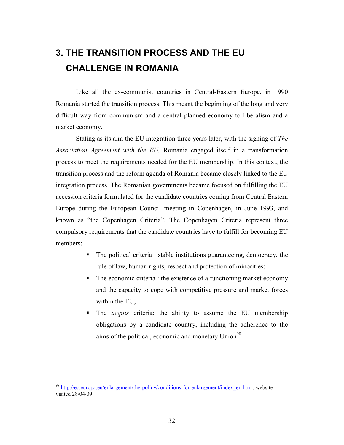# **3. THE TRANSITION PROCESS AND THE EU CHALLENGE IN ROMANIA**

Like all the ex-communist countries in Central-Eastern Europe, in 1990 Romania started the transition process. This meant the beginning of the long and very difficult way from communism and a central planned economy to liberalism and a market economy.

Stating as its aim the EU integration three years later, with the signing of *The Association Agreement with the EU,* Romania engaged itself in a transformation process to meet the requirements needed for the EU membership. In this context, the transition process and the reform agenda of Romania became closely linked to the EU integration process. The Romanian governments became focused on fulfilling the EU accession criteria formulated for the candidate countries coming from Central Eastern Europe during the European Council meeting in Copenhagen, in June 1993, and known as "the Copenhagen Criteria". The Copenhagen Criteria represent three compulsory requirements that the candidate countries have to fulfill for becoming EU members:

- The political criteria : stable institutions guaranteeing, democracy, the rule of law, human rights, respect and protection of minorities;
- The economic criteria : the existence of a functioning market economy and the capacity to cope with competitive pressure and market forces within the EU;
- The *acquis* criteria: the ability to assume the EU membership obligations by a candidate country, including the adherence to the aims of the political, economic and monetary Union<sup>98</sup>.

<sup>&</sup>lt;sup>98</sup> http://ec.europa.eu/enlargement/the-policy/conditions-for-enlargement/index\_en.htm , website visited 28/04/09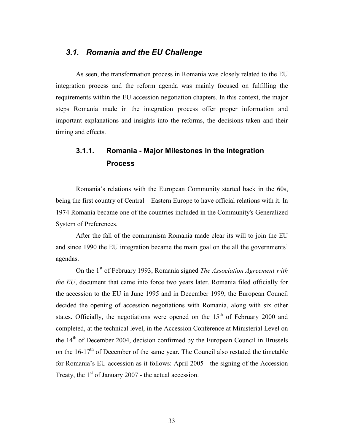#### *3.1. Romania and the EU Challenge*

As seen, the transformation process in Romania was closely related to the EU integration process and the reform agenda was mainly focused on fulfilling the requirements within the EU accession negotiation chapters. In this context, the major steps Romania made in the integration process offer proper information and important explanations and insights into the reforms, the decisions taken and their timing and effects.

# **3.1.1. Romania - Major Milestones in the Integration Process**

Romania's relations with the European Community started back in the 60s, being the first country of Central – Eastern Europe to have official relations with it. In 1974 Romania became one of the countries included in the Community's Generalized System of Preferences.

After the fall of the communism Romania made clear its will to join the EU and since 1990 the EU integration became the main goal on the all the governments' agendas.

On the 1st of February 1993, Romania signed *The Association Agreement with the EU*, document that came into force two years later. Romania filed officially for the accession to the EU in June 1995 and in December 1999, the European Council decided the opening of accession negotiations with Romania, along with six other states. Officially, the negotiations were opened on the  $15<sup>th</sup>$  of February 2000 and completed, at the technical level, in the Accession Conference at Ministerial Level on the 14<sup>th</sup> of December 2004, decision confirmed by the European Council in Brussels on the  $16-17<sup>th</sup>$  of December of the same year. The Council also restated the timetable for Romania's EU accession as it follows: April 2005 - the signing of the Accession Treaty, the  $1<sup>st</sup>$  of January 2007 - the actual accession.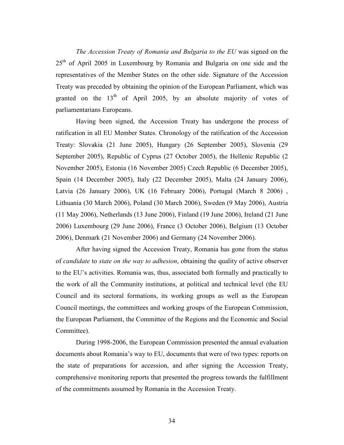*The Accession Treaty of Romania and Bulgaria to the EU* was signed on the  $25<sup>th</sup>$  of April 2005 in Luxembourg by Romania and Bulgaria on one side and the representatives of the Member States on the other side. Signature of the Accession Treaty was preceded by obtaining the opinion of the European Parliament, which was granted on the  $13<sup>th</sup>$  of April 2005, by an absolute majority of votes of parliamentarians Europeans.

Having been signed, the Accession Treaty has undergone the process of ratification in all EU Member States. Chronology of the ratification of the Accession Treaty: Slovakia (21 June 2005), Hungary (26 September 2005), Slovenia (29 September 2005), Republic of Cyprus (27 October 2005), the Hellenic Republic (2 November 2005), Estonia (16 November 2005) Czech Republic (6 December 2005), Spain (14 December 2005), Italy (22 December 2005), Malta (24 January 2006), Latvia (26 January 2006), UK (16 February 2006), Portugal (March 8 2006) , Lithuania (30 March 2006), Poland (30 March 2006), Sweden (9 May 2006), Austria (11 May 2006), Netherlands (13 June 2006), Finland (19 June 2006), Ireland (21 June 2006) Luxembourg (29 June 2006), France (3 October 2006), Belgium (13 October 2006), Denmark (21 November 2006) and Germany (24 November 2006).

After having signed the Accession Treaty, Romania has gone from the status of *candidate* to *state on the way to adhesion*, obtaining the quality of active observer to the EU's activities. Romania was, thus, associated both formally and practically to the work of all the Community institutions, at political and technical level (the EU Council and its sectoral formations, its working groups as well as the European Council meetings, the committees and working groups of the European Commission, the European Parliament, the Committee of the Regions and the Economic and Social Committee).

During 1998-2006, the European Commission presented the annual evaluation documents about Romania's way to EU, documents that were of two types: reports on the state of preparations for accession, and after signing the Accession Treaty, comprehensive monitoring reports that presented the progress towards the fulfillment of the commitments assumed by Romania in the Accession Treaty.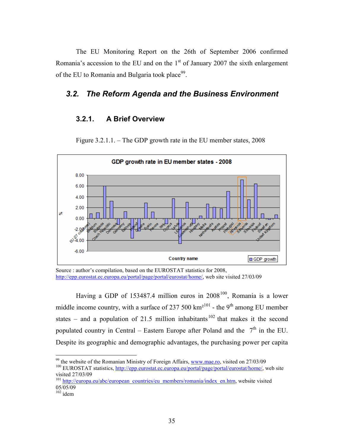The EU Monitoring Report on the 26th of September 2006 confirmed Romania's accession to the EU and on the  $1<sup>st</sup>$  of January 2007 the sixth enlargement of the EU to Romania and Bulgaria took place<sup>99</sup>.

#### *3.2. The Reform Agenda and the Business Environment*

#### **3.2.1. A Brief Overview**



Figure 3.2.1.1. – The GDP growth rate in the EU member states, 2008

Source : author's compilation, based on the EUROSTAT statistics for 2008, http://epp.eurostat.ec.europa.eu/portal/page/portal/eurostat/home/, web site visited 27/03/09

Having a GDP of 153487.4 million euros in  $2008^{100}$ , Romania is a lower middle income country, with a surface of 237 500  $km^{2101}$  - the 9<sup>th</sup> among EU member states – and a population of 21.5 million inhabitants<sup>102</sup> that makes it the second populated country in Central – Eastern Europe after Poland and the  $7<sup>th</sup>$  in the EU. Despite its geographic and demographic advantages, the purchasing power per capita

<u>.</u>

 $99$  the website of the Romanian Ministry of Foreign Affairs, www.mae.ro, visited on 27/03/09 <sup>100</sup> EUROSTAT statistics, http://epp.eurostat.ec.europa.eu/portal/page/portal/eurostat/home/, web site visited 27/03/09

<sup>&</sup>lt;sup>101</sup> http://europa.eu/abc/european\_countries/eu\_members/romania/index\_en.htm, website visited 05/05/09

 $102$  idem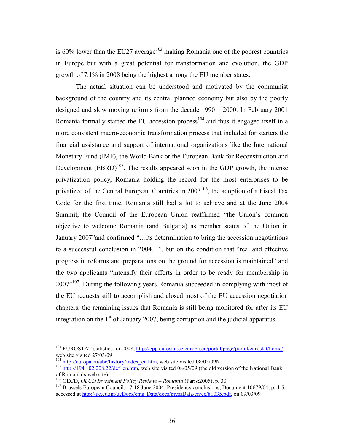is  $60\%$  lower than the EU27 average<sup>103</sup> making Romania one of the poorest countries in Europe but with a great potential for transformation and evolution, the GDP growth of 7.1% in 2008 being the highest among the EU member states.

The actual situation can be understood and motivated by the communist background of the country and its central planned economy but also by the poorly designed and slow moving reforms from the decade 1990 – 2000. In February 2001 Romania formally started the EU accession process<sup>104</sup> and thus it engaged itself in a more consistent macro-economic transformation process that included for starters the financial assistance and support of international organizations like the International Monetary Fund (IMF), the World Bank or the European Bank for Reconstruction and Development  $(BBRD)^{105}$ . The results appeared soon in the GDP growth, the intense privatization policy, Romania holding the record for the most enterprises to be privatized of the Central European Countries in  $2003^{106}$ , the adoption of a Fiscal Tax Code for the first time. Romania still had a lot to achieve and at the June 2004 Summit, the Council of the European Union reaffirmed "the Union's common objective to welcome Romania (and Bulgaria) as member states of the Union in January 2007"and confirmed "…its determination to bring the accession negotiations to a successful conclusion in 2004…", but on the condition that "real and effective progress in reforms and preparations on the ground for accession is maintained" and the two applicants "intensify their efforts in order to be ready for membership in  $2007$ <sup> $107$ </sup>. During the following years Romania succeeded in complying with most of the EU requests still to accomplish and closed most of the EU accession negotiation chapters, the remaining issues that Romania is still being monitored for after its EU integration on the  $1<sup>st</sup>$  of January 2007, being corruption and the judicial apparatus.

<sup>&</sup>lt;sup>103</sup> EUROSTAT statistics for 2008, http://epp.eurostat.ec.europa.eu/portal/page/portal/eurostat/home/, web site visited 27/03/09

 $104$  http://europa.eu/abc/history/index\_en.htm, web site visited 08/05/09N

<sup>&</sup>lt;sup>105</sup> http://194.102.208.22/def\_en.htm, web site visited 08/05/09 (the old version of the National Bank of Romania's web site)

<sup>106</sup> OECD, *OECD Investment Policy Reviews – Romania* (Paris:2005), p. 30.

<sup>&</sup>lt;sup>107</sup> Brussels European Council, 17-18 June 2004, Presidency conclusions, Document 10679/04, p. 4-5, accessed at http://ue.eu.int/ueDocs/cms\_Data/docs/pressData/en/ec/81035.pdf, on 09/03/09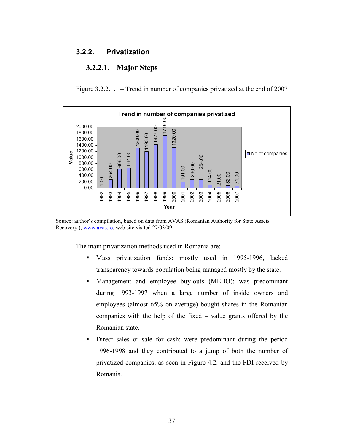## **3.2.2. Privatization**

# **3.2.2.1. Major Steps**

Figure 3.2.2.1.1 – Trend in number of companies privatized at the end of 2007



Source: author's compilation, based on data from AVAS (Romanian Authority for State Assets Recovery ), www.avas.ro, web site visited 27/03/09

The main privatization methods used in Romania are:

- Mass privatization funds: mostly used in 1995-1996, lacked transparency towards population being managed mostly by the state.
- Management and employee buy-outs (MEBO): was predominant during 1993-1997 when a large number of inside owners and employees (almost 65% on average) bought shares in the Romanian companies with the help of the fixed – value grants offered by the Romanian state.
- Direct sales or sale for cash: were predominant during the period 1996-1998 and they contributed to a jump of both the number of privatized companies, as seen in Figure 4.2. and the FDI received by Romania.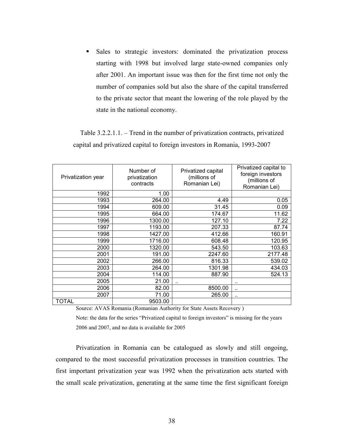Sales to strategic investors: dominated the privatization process starting with 1998 but involved large state-owned companies only after 2001. An important issue was then for the first time not only the number of companies sold but also the share of the capital transferred to the private sector that meant the lowering of the role played by the state in the national economy.

Table 3.2.2.1.1. – Trend in the number of privatization contracts, privatized capital and privatized capital to foreign investors in Romania, 1993-2007

| Privatization year | Number of<br>privatization<br>contracts | Privatized capital<br>(millions of<br>Romanian Lei) | Privatized capital to<br>foreign investors<br>(millions of<br>Romanian Lei) |
|--------------------|-----------------------------------------|-----------------------------------------------------|-----------------------------------------------------------------------------|
| 1992               | 1.00                                    |                                                     |                                                                             |
| 1993               | 264.00                                  | 4.49                                                | 0.05                                                                        |
| 1994               | 609.00                                  | 31.45                                               | 0.09                                                                        |
| 1995               | 664.00                                  | 174.67                                              | 11.62                                                                       |
| 1996               | 1300.00                                 | 127.10                                              | 7.22                                                                        |
| 1997               | 1193.00                                 | 207.33                                              | 87.74                                                                       |
| 1998               | 1427.00                                 | 412.66                                              | 160.91                                                                      |
| 1999               | 1716.00                                 | 608.48                                              | 120.95                                                                      |
| 2000               | 1320.00                                 | 543.50                                              | 103.63                                                                      |
| 2001               | 191.00                                  | 2247.60                                             | 2177.48                                                                     |
| 2002               | 266.00                                  | 816.33                                              | 539.02                                                                      |
| 2003               | 264.00                                  | 1301.98                                             | 434.03                                                                      |
| 2004               | 114.00                                  | 887.90                                              | 524.13                                                                      |
| 2005               | 21.00                                   | ٠.                                                  |                                                                             |
| 2006               | 82.00                                   | 8500.00                                             |                                                                             |
| 2007               | 71.00                                   | 265.00                                              |                                                                             |
| TOTAL              | 9503.00                                 |                                                     |                                                                             |

Source: AVAS Romania (Romanian Authority for State Assets Recovery )

Note: the data for the series "Privatized capital to foreign investors" is missing for the years 2006 and 2007, and no data is available for 2005

Privatization in Romania can be catalogued as slowly and still ongoing, compared to the most successful privatization processes in transition countries. The first important privatization year was 1992 when the privatization acts started with the small scale privatization, generating at the same time the first significant foreign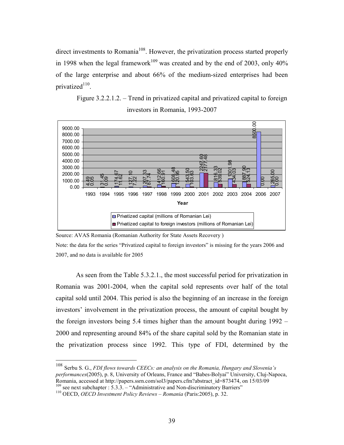direct investments to Romania<sup>108</sup>. However, the privatization process started properly in 1998 when the legal framework<sup>109</sup> was created and by the end of 2003, only  $40\%$ of the large enterprise and about 66% of the medium-sized enterprises had been privatized<sup>110</sup>.

Figure 3.2.2.1.2. – Trend in privatized capital and privatized capital to foreign investors in Romania, 1993-2007



Source: AVAS Romania (Romanian Authority for State Assets Recovery )

Note: the data for the series "Privatized capital to foreign investors" is missing for the years 2006 and 2007, and no data is available for 2005

As seen from the Table 5.3.2.1., the most successful period for privatization in Romania was 2001-2004, when the capital sold represents over half of the total capital sold until 2004. This period is also the beginning of an increase in the foreign investors' involvement in the privatization process, the amount of capital bought by the foreign investors being 5.4 times higher than the amount bought during 1992 – 2000 and representing around 84% of the share capital sold by the Romanian state in the privatization process since 1992. This type of FDI, determined by the

<sup>108</sup> Serbu S. G., *FDI flows towards CEECs: an analysis on the Romania, Hungary and Slovenia's performances*(2005), p. 8, University of Orleans, France and "Babes-Bolyai" University, Cluj-Napoca, Romania, accessed at http://papers.ssrn.com/sol3/papers.cfm?abstract\_id=873474, on 15/03/09

<sup>&</sup>lt;sup>109</sup> see next subchapter : 5.3.3. – "Administrative and Non-discriminatory Barriers" <sup>110</sup> OECD, *OECD Investment Policy Reviews – Romania* (Paris: 2005), p. 32.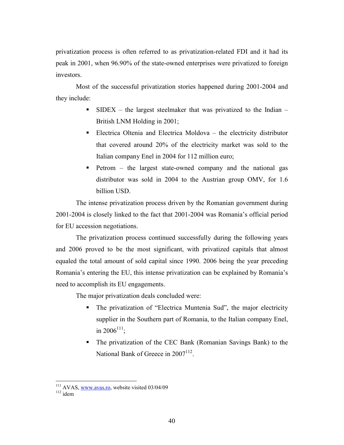privatization process is often referred to as privatization-related FDI and it had its peak in 2001, when 96.90% of the state-owned enterprises were privatized to foreign investors.

Most of the successful privatization stories happened during 2001-2004 and they include:

- $SIDEX -$  the largest steelmaker that was privatized to the Indian British LNM Holding in 2001;
- Electrica Oltenia and Electrica Moldova the electricity distributor that covered around 20% of the electricity market was sold to the Italian company Enel in 2004 for 112 million euro;
- Petrom the largest state-owned company and the national gas distributor was sold in 2004 to the Austrian group OMV, for 1.6 billion USD.

The intense privatization process driven by the Romanian government during 2001-2004 is closely linked to the fact that 2001-2004 was Romania's official period for EU accession negotiations.

The privatization process continued successfully during the following years and 2006 proved to be the most significant, with privatized capitals that almost equaled the total amount of sold capital since 1990. 2006 being the year preceding Romania's entering the EU, this intense privatization can be explained by Romania's need to accomplish its EU engagements.

The major privatization deals concluded were:

- The privatization of "Electrica Muntenia Sud", the major electricity supplier in the Southern part of Romania, to the Italian company Enel, in  $2006^{111}$ ;
- The privatization of the CEC Bank (Romanian Savings Bank) to the National Bank of Greece in 2007<sup>112</sup>.

<sup>-</sup> $111$  AVAS, www.avas.ro, website visited 03/04/09

 $112$  idem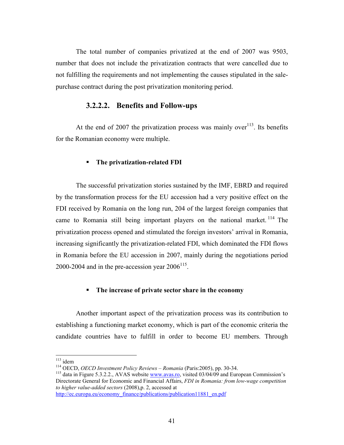The total number of companies privatized at the end of 2007 was 9503, number that does not include the privatization contracts that were cancelled due to not fulfilling the requirements and not implementing the causes stipulated in the salepurchase contract during the post privatization monitoring period.

### **3.2.2.2. Benefits and Follow-ups**

At the end of 2007 the privatization process was mainly over  $113$ . Its benefits for the Romanian economy were multiple.

#### **The privatization-related FDI**

The successful privatization stories sustained by the IMF, EBRD and required by the transformation process for the EU accession had a very positive effect on the FDI received by Romania on the long run, 204 of the largest foreign companies that came to Romania still being important players on the national market.  $114$  The privatization process opened and stimulated the foreign investors' arrival in Romania, increasing significantly the privatization-related FDI, which dominated the FDI flows in Romania before the EU accession in 2007, mainly during the negotiations period 2000-2004 and in the pre-accession year  $2006^{115}$ .

#### **The increase of private sector share in the economy**

Another important aspect of the privatization process was its contribution to establishing a functioning market economy, which is part of the economic criteria the candidate countries have to fulfill in order to become EU members. Through

<u>.</u>

http://ec.europa.eu/economy\_finance/publications/publication11881\_en.pdf

 $113$  idem

<sup>114</sup> OECD, *OECD Investment Policy Reviews – Romania* (Paris:2005), pp. 30-34.

<sup>&</sup>lt;sup>115</sup> data in Figure 5.3.2.2., AVAS website www.avas.ro, visited 03/04/09 and European Commission's Directorate General for Economic and Financial Affairs, *FDI in Romania: from low-wage competition to higher value-added sectors* (2008),p. 2, accessed at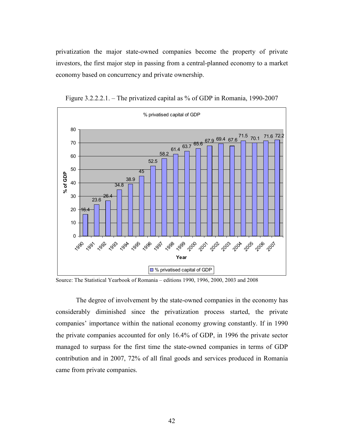privatization the major state-owned companies become the property of private investors, the first major step in passing from a central-planned economy to a market economy based on concurrency and private ownership.



Figure 3.2.2.2.1. – The privatized capital as % of GDP in Romania, 1990-2007

Source: The Statistical Yearbook of Romania – editions 1990, 1996, 2000, 2003 and 2008

The degree of involvement by the state-owned companies in the economy has considerably diminished since the privatization process started, the private companies' importance within the national economy growing constantly. If in 1990 the private companies accounted for only 16.4% of GDP, in 1996 the private sector managed to surpass for the first time the state-owned companies in terms of GDP contribution and in 2007, 72% of all final goods and services produced in Romania came from private companies.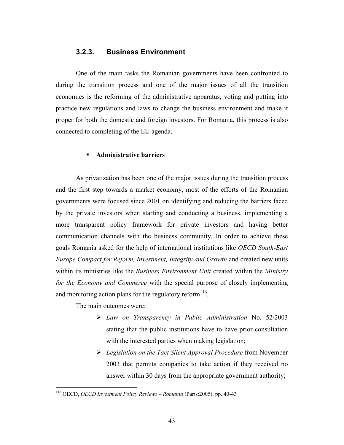## **3.2.3. Business Environment**

One of the main tasks the Romanian governments have been confronted to during the transition process and one of the major issues of all the transition economies is the reforming of the administrative apparatus, voting and putting into practice new regulations and laws to change the business environment and make it proper for both the domestic and foreign investors. For Romania, this process is also connected to completing of the EU agenda.

### **Administrative barriers**

As privatization has been one of the major issues during the transition process and the first step towards a market economy, most of the efforts of the Romanian governments were focused since 2001 on identifying and reducing the barriers faced by the private investors when starting and conducting a business, implementing a more transparent policy framework for private investors and having better communication channels with the business community. In order to achieve these goals Romania asked for the help of international institutions like *OECD South-East Europe Compact for Reform, Investment, Integrity and Growth* and created new units within its ministries like the *Business Environment Unit* created within the *Ministry for the Economy and Commerce* with the special purpose of closely implementing and monitoring action plans for the regulatory reform $116$ .

The main outcomes were:

- *Law on Transparency in Public Administration* No. 52/2003 stating that the public institutions have to have prior consultation with the interested parties when making legislation;
- *Legislation on the Tact Silent Approval Procedure* from November 2003 that permits companies to take action if they received no answer within 30 days from the appropriate government authority;

<sup>116</sup> OECD, *OECD Investment Policy Reviews – Romania* (Paris:2005), pp. 40-43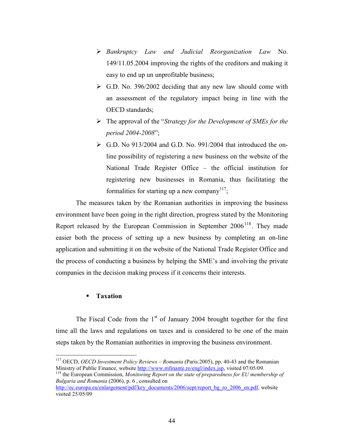- *Bankruptcy Law and Judicial Reorganization Law* No. 149/11.05.2004 improving the rights of the creditors and making it easy to end up un unprofitable business;
- G.D. No. 396/2002 deciding that any new law should come with an assessment of the regulatory impact being in line with the OECD standards;
- The approval of the "*Strategy for the Development of SMEs for the period 2004-2008*";
- ▶ G.D. No 913/2004 and G.D. No. 991/2004 that introduced the online possibility of registering a new business on the website of the National Trade Register Office – the official institution for registering new businesses in Romania, thus facilitating the formalities for starting up a new company<sup>117</sup>;

The measures taken by the Romanian authorities in improving the business environment have been going in the right direction, progress stated by the Monitoring Report released by the European Commission in September  $2006<sup>118</sup>$ . They made easier both the process of setting up a new business by completing an on-line application and submitting it on the website of the National Trade Register Office and the process of conducting a business by helping the SME's and involving the private companies in the decision making process if it concerns their interests.

## **Taxation**

<u>.</u>

The Fiscal Code from the  $1<sup>st</sup>$  of January 2004 brought together for the first time all the laws and regulations on taxes and is considered to be one of the main steps taken by the Romanian authorities in improving the business environment.

<sup>117</sup> OECD, *OECD Investment Policy Reviews – Romania* (Paris:2005), pp. 40-43 and the Romanian Ministry of Public Finance, website http://www.mfinante.ro/engl/index.jsp, visited 07/05/09.

<sup>118</sup> the European Commission, *Monitoring Report on the state of preparedness for EU membership of Bulgaria and Romania* (2006), p. 6 , consulted on

http://ec.europa.eu/enlargement/pdf/key\_documents/2006/sept/report\_bg\_ro\_2006\_en.pdf, website visited 25/05/09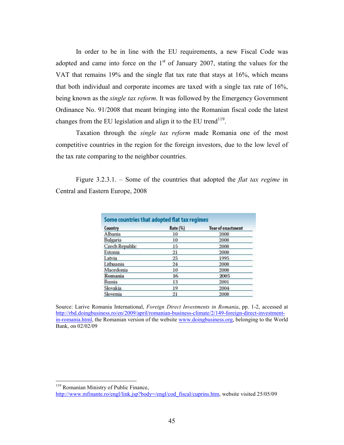In order to be in line with the EU requirements, a new Fiscal Code was adopted and came into force on the  $1<sup>st</sup>$  of January 2007, stating the values for the VAT that remains 19% and the single flat tax rate that stays at 16%, which means that both individual and corporate incomes are taxed with a single tax rate of 16%, being known as the *single tax reform*. It was followed by the Emergency Government Ordinance No. 91/2008 that meant bringing into the Romanian fiscal code the latest changes from the EU legislation and align it to the EU trend<sup>119</sup>.

Taxation through the *single tax reform* made Romania one of the most competitive countries in the region for the foreign investors, due to the low level of the tax rate comparing to the neighbor countries.

Figure 3.2.3.1. – Some of the countries that adopted the *flat tax regime* in Central and Eastern Europe, 2008

| Country               | Rate (%) | <b>Year of enactment</b> |
|-----------------------|----------|--------------------------|
| Albania               | 10       | 2008                     |
| Bulgaria              | 10       | 2008                     |
| <b>Czech Republic</b> | 15       | 2008                     |
| Estonia               | 21       | 2008                     |
| Latvia                | 25       | 1995                     |
| Lithuania             | 24       | 2008                     |
| Macedonia             | 10       | 2008                     |
| Romania               | 16       | 2005                     |
| Russia                | 13       | 2001                     |
| Slovakia              | 19       | 2004                     |
| Slovenia              | 21       | 2008                     |

Source: Larive Romania International, *Foreign Direct Investments in Romania*, pp. 1-2, accessed at http://rbd.doingbusiness.ro/en/2009/april/romanian-business-climate/2/149-foreign-direct-investmentin-romania.html, the Romanian version of the website www.doingbusiness.org, belonging to the World Bank, on 02/02/09

<sup>&</sup>lt;sup>119</sup> Romanian Ministry of Public Finance, http://www.mfinante.ro/engl/link.jsp?body=/engl/cod\_fiscal/cuprins.htm, website visited 25/05/09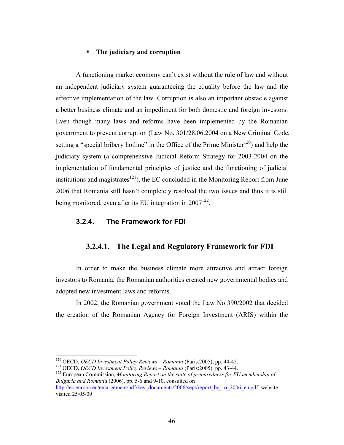### **The judiciary and corruption**

A functioning market economy can't exist without the rule of law and without an independent judiciary system guaranteeing the equality before the law and the effective implementation of the law. Corruption is also an important obstacle against a better business climate and an impediment for both domestic and foreign investors. Even though many laws and reforms have been implemented by the Romanian government to prevent corruption (Law No. 301/28.06.2004 on a New Criminal Code, setting a "special bribery hotline" in the Office of the Prime Minister<sup>120</sup>) and help the judiciary system (a comprehensive Judicial Reform Strategy for 2003-2004 on the implementation of fundamental principles of justice and the functioning of judicial institutions and magistrates $^{121}$ ), the EC concluded in the Monitoring Report from June 2006 that Romania still hasn't completely resolved the two issues and thus it is still being monitored, even after its EU integration in  $2007^{122}$ .

## **3.2.4. The Framework for FDI**

# **3.2.4.1. The Legal and Regulatory Framework for FDI**

In order to make the business climate more attractive and attract foreign investors to Romania, the Romanian authorities created new governmental bodies and adopted new investment laws and reforms.

In 2002, the Romanian government voted the Law No 390/2002 that decided the creation of the Romanian Agency for Foreign Investment (ARIS) within the

<u>.</u>

<sup>120</sup> OECD, *OECD Investment Policy Reviews – Romania* (Paris:2005), pp. 44-45.

<sup>121</sup> OECD, *OECD Investment Policy Reviews – Romania* (Paris:2005), pp. 43-44.

<sup>&</sup>lt;sup>122</sup> European Commission, *Monitoring Report on the state of preparedness for EU membership of Bulgaria and Romania* (2006), pp. 5-6 and 9-10, consulted on

http://ec.europa.eu/enlargement/pdf/key\_documents/2006/sept/report\_bg\_ro\_2006\_en.pdf, website visited 25/05/09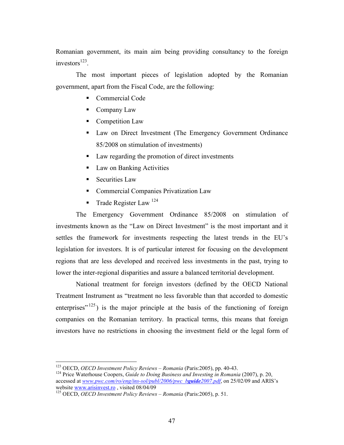Romanian government, its main aim being providing consultancy to the foreign investors $^{123}$ .

The most important pieces of legislation adopted by the Romanian government, apart from the Fiscal Code, are the following:

- Commercial Code
- Company Law
- **Competition Law**
- Law on Direct Investment (The Emergency Government Ordinance 85/2008 on stimulation of investments)
- Law regarding the promotion of direct investments
- **Law on Banking Activities**
- Securities Law
- **Commercial Companies Privatization Law**
- Trade Register Law  $^{124}$

The Emergency Government Ordinance 85/2008 on stimulation of investments known as the "Law on Direct Investment" is the most important and it settles the framework for investments respecting the latest trends in the EU's legislation for investors. It is of particular interest for focusing on the development regions that are less developed and received less investments in the past, trying to lower the inter-regional disparities and assure a balanced territorial development.

National treatment for foreign investors (defined by the OECD National Treatment Instrument as "treatment no less favorable than that accorded to domestic enterprises" $125$ ) is the major principle at the basis of the functioning of foreign companies on the Romanian territory. In practical terms, this means that foreign investors have no restrictions in choosing the investment field or the legal form of

<sup>-</sup><sup>123</sup> OECD, *OECD Investment Policy Reviews – Romania* (Paris:2005), pp. 40-43.

<sup>&</sup>lt;sup>124</sup> Price Waterhouse Coopers, *Guide to Doing Business and Investing in Romania* (2007), p. 20, accessed at *www.pwc.com/ro/eng/ins-sol/publ/2006/pwc\_bguide2007.pdf*, on 25/02/09 and ARIS's website www.arisinvest.ro , visited 08/04/09

<sup>125</sup> OECD, *OECD Investment Policy Reviews – Romania* (Paris:2005), p. 51.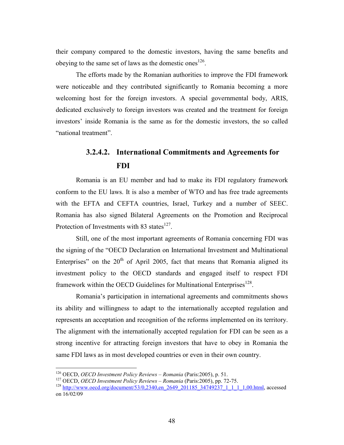their company compared to the domestic investors, having the same benefits and obeying to the same set of laws as the domestic ones<sup>126</sup>.

The efforts made by the Romanian authorities to improve the FDI framework were noticeable and they contributed significantly to Romania becoming a more welcoming host for the foreign investors. A special governmental body, ARIS, dedicated exclusively to foreign investors was created and the treatment for foreign investors' inside Romania is the same as for the domestic investors, the so called "national treatment".

# **3.2.4.2. International Commitments and Agreements for FDI**

Romania is an EU member and had to make its FDI regulatory framework conform to the EU laws. It is also a member of WTO and has free trade agreements with the EFTA and CEFTA countries, Israel, Turkey and a number of SEEC. Romania has also signed Bilateral Agreements on the Promotion and Reciprocal Protection of Investments with 83 states $^{127}$ .

Still, one of the most important agreements of Romania concerning FDI was the signing of the "OECD Declaration on International Investment and Multinational Enterprises" on the  $20<sup>th</sup>$  of April 2005, fact that means that Romania aligned its investment policy to the OECD standards and engaged itself to respect FDI framework within the OECD Guidelines for Multinational Enterprises<sup>128</sup>.

Romania's participation in international agreements and commitments shows its ability and willingness to adapt to the internationally accepted regulation and represents an acceptation and recognition of the reforms implemented on its territory. The alignment with the internationally accepted regulation for FDI can be seen as a strong incentive for attracting foreign investors that have to obey in Romania the same FDI laws as in most developed countries or even in their own country.

<sup>126</sup> OECD, *OECD Investment Policy Reviews – Romania* (Paris:2005), p. 51.

<sup>127</sup> OECD, *OECD Investment Policy Reviews – Romania* (Paris:2005), pp. 72-75.

<sup>&</sup>lt;sup>128</sup> http://www.oecd.org/document/53/0,2340,en\_2649\_201185\_34749237\_1\_1\_1\_1,00.html, accessed on 16/02/09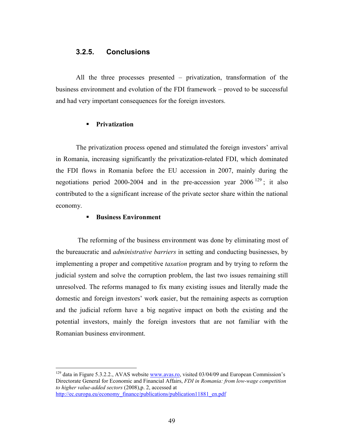## **3.2.5. Conclusions**

All the three processes presented – privatization, transformation of the business environment and evolution of the FDI framework – proved to be successful and had very important consequences for the foreign investors.

### **Privatization**

The privatization process opened and stimulated the foreign investors' arrival in Romania, increasing significantly the privatization-related FDI, which dominated the FDI flows in Romania before the EU accession in 2007, mainly during the negotiations period 2000-2004 and in the pre-accession year  $2006^{129}$ ; it also contributed to the a significant increase of the private sector share within the national economy.

## **Business Environment**

-

The reforming of the business environment was done by eliminating most of the bureaucratic and *administrative barriers* in setting and conducting businesses, by implementing a proper and competitive *taxation* program and by trying to reform the judicial system and solve the corruption problem, the last two issues remaining still unresolved. The reforms managed to fix many existing issues and literally made the domestic and foreign investors' work easier, but the remaining aspects as corruption and the judicial reform have a big negative impact on both the existing and the potential investors, mainly the foreign investors that are not familiar with the Romanian business environment.

 $129$  data in Figure 5.3.2.2., AVAS website  $\frac{www.avas.ro.}{www.avas.ro.}$  visited 03/04/09 and European Commission's Directorate General for Economic and Financial Affairs, *FDI in Romania: from low-wage competition to higher value-added sectors* (2008),p. 2, accessed at http://ec.europa.eu/economy\_finance/publications/publication11881\_en.pdf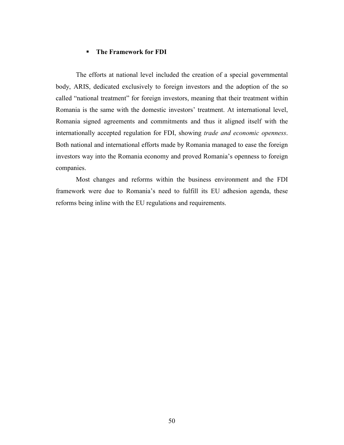#### **The Framework for FDI**

The efforts at national level included the creation of a special governmental body, ARIS, dedicated exclusively to foreign investors and the adoption of the so called "national treatment" for foreign investors, meaning that their treatment within Romania is the same with the domestic investors' treatment. At international level, Romania signed agreements and commitments and thus it aligned itself with the internationally accepted regulation for FDI, showing *trade and economic openness*. Both national and international efforts made by Romania managed to ease the foreign investors way into the Romania economy and proved Romania's openness to foreign companies.

Most changes and reforms within the business environment and the FDI framework were due to Romania's need to fulfill its EU adhesion agenda, these reforms being inline with the EU regulations and requirements.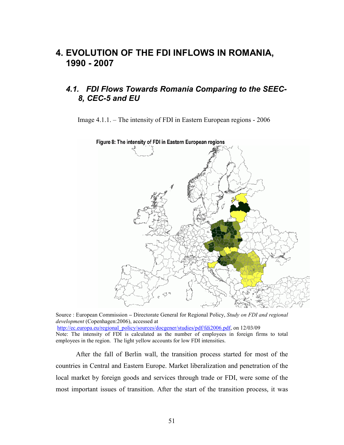# **4. EVOLUTION OF THE FDI INFLOWS IN ROMANIA, 1990 - 2007**

# *4.1. FDI Flows Towards Romania Comparing to the SEEC-8, CEC-5 and EU*

Image 4.1.1. – The intensity of FDI in Eastern European regions - 2006



Source : European Commission **–** Directorate General for Regional Policy, *Study on FDI and regional development* (Copenhagen:2006), accessed at http://ec.europa.eu/regional\_policy/sources/docgener/studies/pdf/fdi2006.pdf, on 12/03/09 Note: The intensity of FDI is calculated as the number of employees in foreign firms to total employees in the region. The light yellow accounts for low FDI intensities.

After the fall of Berlin wall, the transition process started for most of the countries in Central and Eastern Europe. Market liberalization and penetration of the local market by foreign goods and services through trade or FDI, were some of the most important issues of transition. After the start of the transition process, it was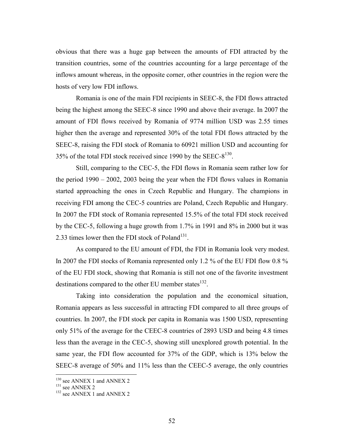obvious that there was a huge gap between the amounts of FDI attracted by the transition countries, some of the countries accounting for a large percentage of the inflows amount whereas, in the opposite corner, other countries in the region were the hosts of very low FDI inflows.

Romania is one of the main FDI recipients in SEEC-8, the FDI flows attracted being the highest among the SEEC-8 since 1990 and above their average. In 2007 the amount of FDI flows received by Romania of 9774 million USD was 2.55 times higher then the average and represented 30% of the total FDI flows attracted by the SEEC-8, raising the FDI stock of Romania to 60921 million USD and accounting for 35% of the total FDI stock received since 1990 by the SEEC- $8^{130}$ .

Still, comparing to the CEC-5, the FDI flows in Romania seem rather low for the period 1990 – 2002, 2003 being the year when the FDI flows values in Romania started approaching the ones in Czech Republic and Hungary. The champions in receiving FDI among the CEC-5 countries are Poland, Czech Republic and Hungary. In 2007 the FDI stock of Romania represented 15.5% of the total FDI stock received by the CEC-5, following a huge growth from 1.7% in 1991 and 8% in 2000 but it was 2.33 times lower then the FDI stock of Poland<sup>131</sup>.

As compared to the EU amount of FDI, the FDI in Romania look very modest. In 2007 the FDI stocks of Romania represented only 1.2 % of the EU FDI flow 0.8 % of the EU FDI stock, showing that Romania is still not one of the favorite investment destinations compared to the other EU member states $^{132}$ .

Taking into consideration the population and the economical situation, Romania appears as less successful in attracting FDI compared to all three groups of countries. In 2007, the FDI stock per capita in Romania was 1500 USD, representing only 51% of the average for the CEEC-8 countries of 2893 USD and being 4.8 times less than the average in the CEC-5, showing still unexplored growth potential. In the same year, the FDI flow accounted for 37% of the GDP, which is 13% below the SEEC-8 average of 50% and 11% less than the CEEC-5 average, the only countries

 $130$  see ANNEX 1 and ANNEX 2

<sup>&</sup>lt;sup>131</sup> see ANNEX 2

 $132$  see ANNEX 1 and ANNEX 2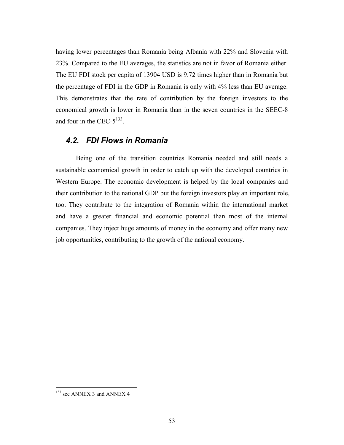having lower percentages than Romania being Albania with 22% and Slovenia with 23%. Compared to the EU averages, the statistics are not in favor of Romania either. The EU FDI stock per capita of 13904 USD is 9.72 times higher than in Romania but the percentage of FDI in the GDP in Romania is only with 4% less than EU average. This demonstrates that the rate of contribution by the foreign investors to the economical growth is lower in Romania than in the seven countries in the SEEC-8 and four in the CEC- $5^{133}$ .

# *4.2. FDI Flows in Romania*

Being one of the transition countries Romania needed and still needs a sustainable economical growth in order to catch up with the developed countries in Western Europe. The economic development is helped by the local companies and their contribution to the national GDP but the foreign investors play an important role, too. They contribute to the integration of Romania within the international market and have a greater financial and economic potential than most of the internal companies. They inject huge amounts of money in the economy and offer many new job opportunities, contributing to the growth of the national economy.

 $133$  see ANNEX 3 and ANNEX 4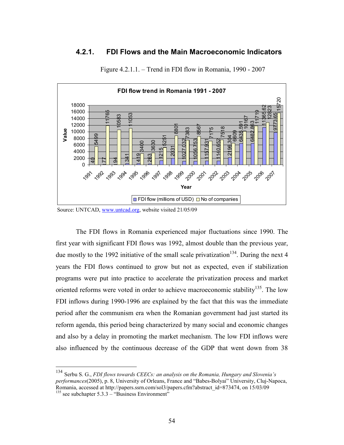# **4.2.1. FDI Flows and the Main Macroeconomic Indicators**



Figure 4.2.1.1. – Trend in FDI flow in Romania, 1990 - 2007

-

The FDI flows in Romania experienced major fluctuations since 1990. The first year with significant FDI flows was 1992, almost double than the previous year, due mostly to the 1992 initiative of the small scale privatization<sup>134</sup>. During the next 4 years the FDI flows continued to grow but not as expected, even if stabilization programs were put into practice to accelerate the privatization process and market oriented reforms were voted in order to achieve macroeconomic stability<sup>135</sup>. The low FDI inflows during 1990-1996 are explained by the fact that this was the immediate period after the communism era when the Romanian government had just started its reform agenda, this period being characterized by many social and economic changes and also by a delay in promoting the market mechanism. The low FDI inflows were also influenced by the continuous decrease of the GDP that went down from 38

Source: UNTCAD, www.untcad.org, website visited 21/05/09

 Serbu S. G., *FDI flows towards CEECs: an analysis on the Romania, Hungary and Slovenia's performances*(2005), p. 8, University of Orleans, France and "Babes-Bolyai" University, Cluj-Napoca, Romania, accessed at http://papers.ssrn.com/sol3/papers.cfm?abstract\_id=873474, on 15/03/09 see subchapter 5.3.3 – "Business Environment"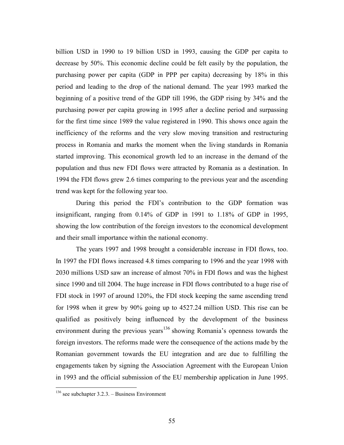billion USD in 1990 to 19 billion USD in 1993, causing the GDP per capita to decrease by 50%. This economic decline could be felt easily by the population, the purchasing power per capita (GDP in PPP per capita) decreasing by 18% in this period and leading to the drop of the national demand. The year 1993 marked the beginning of a positive trend of the GDP till 1996, the GDP rising by 34% and the purchasing power per capita growing in 1995 after a decline period and surpassing for the first time since 1989 the value registered in 1990. This shows once again the inefficiency of the reforms and the very slow moving transition and restructuring process in Romania and marks the moment when the living standards in Romania started improving. This economical growth led to an increase in the demand of the population and thus new FDI flows were attracted by Romania as a destination. In 1994 the FDI flows grew 2.6 times comparing to the previous year and the ascending trend was kept for the following year too.

During this period the FDI's contribution to the GDP formation was insignificant, ranging from 0.14% of GDP in 1991 to 1.18% of GDP in 1995, showing the low contribution of the foreign investors to the economical development and their small importance within the national economy.

The years 1997 and 1998 brought a considerable increase in FDI flows, too. In 1997 the FDI flows increased 4.8 times comparing to 1996 and the year 1998 with 2030 millions USD saw an increase of almost 70% in FDI flows and was the highest since 1990 and till 2004. The huge increase in FDI flows contributed to a huge rise of FDI stock in 1997 of around 120%, the FDI stock keeping the same ascending trend for 1998 when it grew by 90% going up to 4527.24 million USD. This rise can be qualified as positively being influenced by the development of the business environment during the previous years<sup>136</sup> showing Romania's openness towards the foreign investors. The reforms made were the consequence of the actions made by the Romanian government towards the EU integration and are due to fulfilling the engagements taken by signing the Association Agreement with the European Union in 1993 and the official submission of the EU membership application in June 1995.

 $136$  see subchapter 3.2.3. – Business Environment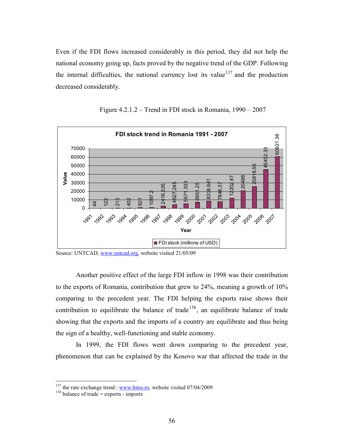Even if the FDI flows increased considerably in this period, they did not help the national economy going up, facts proved by the negative trend of the GDP. Following the internal difficulties, the national currency lost its value<sup>137</sup> and the production decreased considerably.



Figure 4.2.1.2 – Trend in FDI stock in Romania, 1990 – 2007

Source: UNTCAD, www.untcad.org, website visited 21/05/09

Another positive effect of the large FDI inflow in 1998 was their contribution to the exports of Romania, contribution that grew to 24%, meaning a growth of 10% comparing to the precedent year. The FDI helping the exports raise shows their contribution to equilibrate the balance of trade<sup>138</sup>, an equilibrate balance of trade showing that the exports and the imports of a country are equilibrate and thus being the sign of a healthy, well-functioning and stable economy.

In 1999, the FDI flows went down comparing to the precedent year, phenomenon that can be explained by the Kosovo war that affected the trade in the

<sup>&</sup>lt;sup>137</sup> the rate exchange trend :  $\frac{www.bnro.co}$ , website visited 07/04/2009

 $138$  balance of trade = exports - imports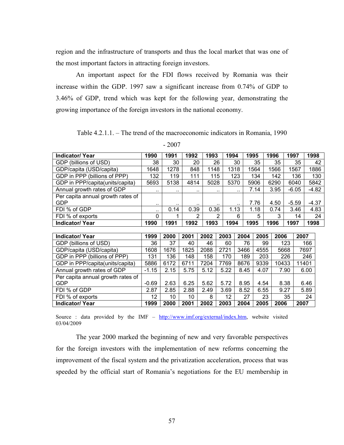region and the infrastructure of transports and thus the local market that was one of the most important factors in attracting foreign investors.

An important aspect for the FDI flows received by Romania was their increase within the GDP. 1997 saw a significant increase from 0.74% of GDP to 3.46% of GDP, trend which was kept for the following year, demonstrating the growing importance of the foreign investors in the national economy.

Table 4.2.1.1. – The trend of the macroeconomic indicators in Romania, 1990

**Indicator/ Year 1990 1991 1992 1993 1994 1995 1996 1997 1998**  GDP (billions of USD) 38 30 20 26 30 35 35 35 42 GDP/capita (USD/capita) | 1648 | 1278 | 848 | 1148 | 1318 | 1564 | 1566 | 1567 | 1886 GDP in PPP (billions of PPP) | 132 | 119 | 111 | 115 | 123 | 134 | 142 | 136 | 130 GDP in PPP/capita(units/capita) 5693 5138 4814 5028 5370 5906 6290 6040 5842 Annual growth rates of GDP  $\begin{vmatrix} 1 & 1 \\ 1 & 1 \end{vmatrix}$  ...  $\begin{vmatrix} 1 & 1 \\ 1 & 1 \end{vmatrix}$  ...  $\begin{vmatrix} 1 & 1 \\ 1 & 1 \end{vmatrix}$  ...  $\begin{vmatrix} 1 & 1 \\ 1 & 1 \end{vmatrix}$  3.95  $\begin{vmatrix} 1 & -4.82 \\ 1 & -1.11 \end{vmatrix}$ Per capita annual growth rates of GDP ... ... ... ... ... 7.76 | 4.50 | -5.59 | -4.37 FDI % of GDP ... 0.14 | 0.39 | 0.36 | 1.13 | 1.18 | 0.74 | 3.46 | 4.83 FDI % of exports 0 1 2 2 6 5 3 14 24 **Indicator/ Year 1990 1991 1992 1993 1994 1995 1996 1997 1998 Indicator/ Year 1999 2000 2001 2002 2003 2004 2005 2006 2007**  GDP (billions of USD) 36 37 40 46 60 76 99 123 166 GDP/capita (USD/capita) | 1608 | 1676 | 1825 | 2088 | 2721 | 3466 | 4555 | 5668 | 7697 GDP in PPP (billions of PPP) | 131 | 136 | 148 | 158 | 170 | 189 | 203 | 226 | 246 GDP in PPP/capita(units/capita) 5886 6172 6711 7204 7769 8676 9339 10433 11401 Annual growth rates of GDP  $\vert$  -1.15  $\vert$  2.15  $\vert$  5.75  $\vert$  5.12  $\vert$  5.22  $\vert$  8.45  $\vert$  4.07  $\vert$  7.90  $\vert$  6.00 Per capita annual growth rates of

GDP | -0.69 | 2.63 | 6.25 | 5.62 | 5.72 | 8.95 | 4.54 | 8.38 | 6.46 FDI % of GDP 2.87 | 2.87 | 2.85 | 2.88 | 2.49 | 3.69 | 8.52 | 6.55 | 9.27 | 5.89 FDI % of exports 12 12 10 10 8 12 27 23 35 24<br> **12 10 10 8 12 27 23 35 24**<br> **1999 2000 2001 2002 2003 2004 2005 2006 2007 Indicator/ Year 1999 2000 2001 2002 2003 2004 2005 2006 2007** 

- 2007

Source : data provided by the IMF – http://www.imf.org/external/index.htm, website visited 03/04/2009

The year 2000 marked the beginning of new and very favorable perspectives for the foreign investors with the implementation of new reforms concerning the improvement of the fiscal system and the privatization acceleration, process that was speeded by the official start of Romania's negotiations for the EU membership in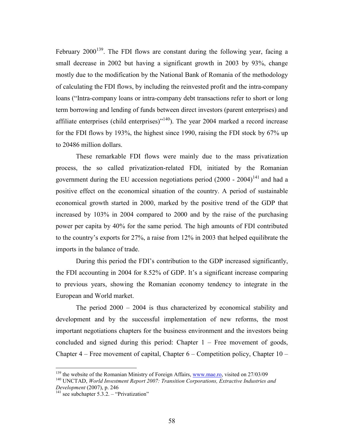February  $2000^{139}$ . The FDI flows are constant during the following year, facing a small decrease in 2002 but having a significant growth in 2003 by 93%, change mostly due to the modification by the National Bank of Romania of the methodology of calculating the FDI flows, by including the reinvested profit and the intra-company loans ("Intra-company loans or intra-company debt transactions refer to short or long term borrowing and lending of funds between direct investors (parent enterprises) and affiliate enterprises (child enterprises) $140$ . The year 2004 marked a record increase for the FDI flows by 193%, the highest since 1990, raising the FDI stock by 67% up to 20486 million dollars.

These remarkable FDI flows were mainly due to the mass privatization process, the so called privatization-related FDI, initiated by the Romanian government during the EU accession negotiations period  $(2000 - 2004)^{141}$  and had a positive effect on the economical situation of the country. A period of sustainable economical growth started in 2000, marked by the positive trend of the GDP that increased by 103% in 2004 compared to 2000 and by the raise of the purchasing power per capita by 40% for the same period. The high amounts of FDI contributed to the country's exports for 27%, a raise from 12% in 2003 that helped equilibrate the imports in the balance of trade.

During this period the FDI's contribution to the GDP increased significantly, the FDI accounting in 2004 for 8.52% of GDP. It's a significant increase comparing to previous years, showing the Romanian economy tendency to integrate in the European and World market.

The period 2000 – 2004 is thus characterized by economical stability and development and by the successful implementation of new reforms, the most important negotiations chapters for the business environment and the investors being concluded and signed during this period: Chapter  $1 -$  Free movement of goods, Chapter 4 – Free movement of capital, Chapter 6 – Competition policy, Chapter 10 –

<sup>&</sup>lt;sup>139</sup> the website of the Romanian Ministry of Foreign Affairs, www.mae.ro, visited on 27/03/09

<sup>140</sup> UNCTAD, *World Investment Report 2007: Transition Corporations, Extractive Industries and Development* (2007), p. 246

 $141$  see subchapter 5.3.2. – "Privatization"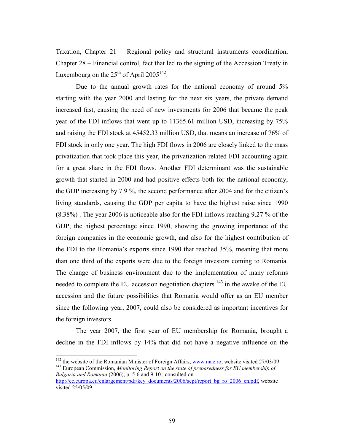Taxation, Chapter 21 – Regional policy and structural instruments coordination, Chapter 28 – Financial control, fact that led to the signing of the Accession Treaty in Luxembourg on the  $25<sup>th</sup>$  of April 2005<sup>142</sup>.

Due to the annual growth rates for the national economy of around 5% starting with the year 2000 and lasting for the next six years, the private demand increased fast, causing the need of new investments for 2006 that became the peak year of the FDI inflows that went up to 11365.61 million USD, increasing by 75% and raising the FDI stock at 45452.33 million USD, that means an increase of 76% of FDI stock in only one year. The high FDI flows in 2006 are closely linked to the mass privatization that took place this year, the privatization-related FDI accounting again for a great share in the FDI flows. Another FDI determinant was the sustainable growth that started in 2000 and had positive effects both for the national economy, the GDP increasing by 7.9 %, the second performance after 2004 and for the citizen's living standards, causing the GDP per capita to have the highest raise since 1990 (8.38%) . The year 2006 is noticeable also for the FDI inflows reaching 9.27 % of the GDP, the highest percentage since 1990, showing the growing importance of the foreign companies in the economic growth, and also for the highest contribution of the FDI to the Romania's exports since 1990 that reached 35%, meaning that more than one third of the exports were due to the foreign investors coming to Romania. The change of business environment due to the implementation of many reforms needed to complete the EU accession negotiation chapters  $143$  in the awake of the EU accession and the future possibilities that Romania would offer as an EU member since the following year, 2007, could also be considered as important incentives for the foreign investors.

The year 2007, the first year of EU membership for Romania, brought a decline in the FDI inflows by 14% that did not have a negative influence on the

<u>.</u>

 $142$  the website of the Romanian Minister of Foreign Affairs, www.mae.ro, website visited 27/03/09 <sup>143</sup> European Commission, *Monitoring Report on the state of preparedness for EU membership of Bulgaria and Romania* (2006), p. 5-6 and 9-10 , consulted on

http://ec.europa.eu/enlargement/pdf/key\_documents/2006/sept/report\_bg\_ro\_2006\_en.pdf, website visited 25/05/09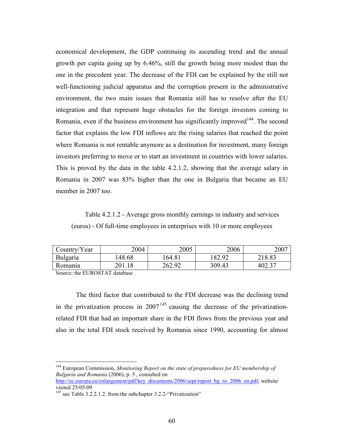economical development, the GDP continuing its ascending trend and the annual growth per capita going up by 6.46%, still the growth being more modest than the one in the precedent year. The decrease of the FDI can be explained by the still not well-functioning judicial apparatus and the corruption present in the administrative environment, the two main issues that Romania still has to resolve after the EU integration and that represent huge obstacles for the foreign investors coming to Romania, even if the business environment has significantly improved  $144$ . The second factor that explains the low FDI inflows are the rising salaries that reached the point where Romania is not rentable anymore as a destination for investment, many foreign investors preferring to move or to start an investment in countries with lower salaries. This is proved by the data in the table 4.2.1.2, showing that the average salary in Romania in 2007 was 83% higher than the one in Bulgaria that became an EU member in 2007 too.

Table 4.2.1.2 - Average gross monthly earnings in industry and services (euros) - Of full-time employees in enterprises with 10 or more employees

| Country/Year    | 2004   | 2005   | 2006   | 2007   |
|-----------------|--------|--------|--------|--------|
| <b>Bulgaria</b> | 148.68 | 64.81  | 182.92 | 218.83 |
| Romania         | 201.18 | 262.92 | 309.43 | 402.37 |

Source: the EUROSTAT database

-

The third factor that contributed to the FDI decrease was the declining trend in the privatization process in  $2007<sup>145</sup>$  causing the decrease of the privatizationrelated FDI that had an important share in the FDI flows from the previous year and also in the total FDI stock received by Romania since 1990, accounting for almost

<sup>144</sup> European Commission, *Monitoring Report on the state of preparedness for EU membership of Bulgaria and Romania* (2006), p. 5 , consulted on

http://ec.europa.eu/enlargement/pdf/key\_documents/2006/sept/report\_bg\_ro\_2006\_en.pdf, website visited 25/05/09

<sup>&</sup>lt;sup>145</sup> see Table 3.2.2.1.2. from the subchapter 3.2.2-"Privatization"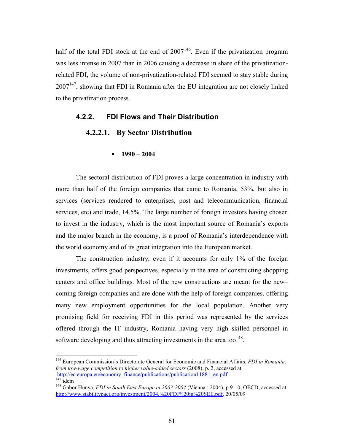half of the total FDI stock at the end of  $2007^{146}$ . Even if the privatization program was less intense in 2007 than in 2006 causing a decrease in share of the privatizationrelated FDI, the volume of non-privatization-related FDI seemed to stay stable during  $2007<sup>147</sup>$ , showing that FDI in Romania after the EU integration are not closely linked to the privatization process.

## **4.2.2. FDI Flows and Their Distribution**

## **4.2.2.1. By Sector Distribution**

#### **1990 – 2004**

The sectoral distribution of FDI proves a large concentration in industry with more than half of the foreign companies that came to Romania, 53%, but also in services (services rendered to enterprises, post and telecommunication, financial services, etc) and trade, 14.5%. The large number of foreign investors having chosen to invest in the industry, which is the most important source of Romania's exports and the major branch in the economy, is a proof of Romania's interdependence with the world economy and of its great integration into the European market.

The construction industry, even if it accounts for only 1% of the foreign investments, offers good perspectives, especially in the area of constructing shopping centers and office buildings. Most of the new constructions are meant for the new– coming foreign companies and are done with the help of foreign companies, offering many new employment opportunities for the local population. Another very promising field for receiving FDI in this period was represented by the services offered through the IT industry, Romania having very high skilled personnel in software developing and thus attracting investments in the area too $148$ .

<u>.</u>

<sup>146</sup> European Commission's Directorate General for Economic and Financial Affairs, *FDI in Romania: from low-wage competition to higher value-added sectors* (2008), p. 2, accessed at http://ec.europa.eu/economy\_finance/publications/publication11881\_en.pdf

 $\frac{147}{140}$  idem

<sup>148</sup> Gabor Hunya, *FDI in South East Europe in 2003-2004* (Vienna : 2004), p.9-10, OECD, accessed at http://www.stabilitypact.org/investment/2004,%20FDI%20in%20SEE.pdf, 20/05/09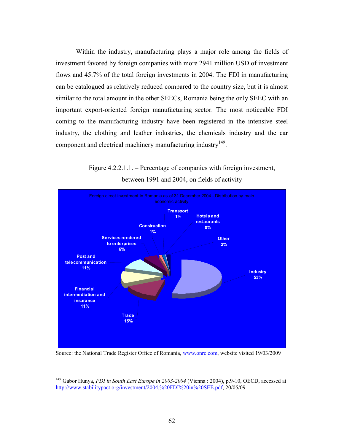Within the industry, manufacturing plays a major role among the fields of investment favored by foreign companies with more 2941 million USD of investment flows and 45.7% of the total foreign investments in 2004. The FDI in manufacturing can be catalogued as relatively reduced compared to the country size, but it is almost similar to the total amount in the other SEECs, Romania being the only SEEC with an important export-oriented foreign manufacturing sector. The most noticeable FDI coming to the manufacturing industry have been registered in the intensive steel industry, the clothing and leather industries, the chemicals industry and the car component and electrical machinery manufacturing industry<sup>149</sup>.



Figure 4.2.2.1.1. – Percentage of companies with foreign investment, between 1991 and 2004, on fields of activity

Source: the National Trade Register Office of Romania, www.onrc.com, website visited 19/03/2009

 $\overline{a}$ 

<sup>&</sup>lt;sup>149</sup> Gabor Hunya, *FDI in South East Europe in 2003-2004* (Vienna : 2004), p.9-10, OECD, accessed at http://www.stabilitypact.org/investment/2004,%20FDI%20in%20SEE.pdf, 20/05/09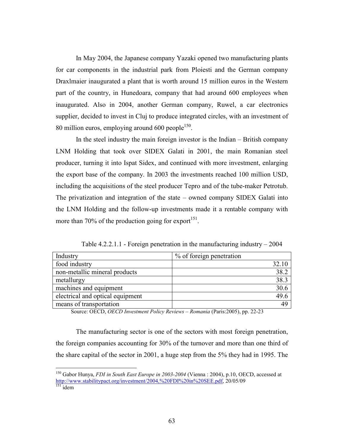In May 2004, the Japanese company Yazaki opened two manufacturing plants for car components in the industrial park from Ploiesti and the German company Draxlmaier inaugurated a plant that is worth around 15 million euros in the Western part of the country, in Hunedoara, company that had around 600 employees when inaugurated. Also in 2004, another German company, Ruwel, a car electronics supplier, decided to invest in Cluj to produce integrated circles, with an investment of 80 million euros, employing around  $600$  people $150$ .

In the steel industry the main foreign investor is the Indian – British company LNM Holding that took over SIDEX Galati in 2001, the main Romanian steel producer, turning it into Ispat Sidex, and continued with more investment, enlarging the export base of the company. In 2003 the investments reached 100 million USD, including the acquisitions of the steel producer Tepro and of the tube-maker Petrotub. The privatization and integration of the state – owned company SIDEX Galati into the LNM Holding and the follow-up investments made it a rentable company with more than 70% of the production going for export<sup>151</sup>.

Table 4.2.2.1.1 - Foreign penetration in the manufacturing industry – 2004

| Industry                         | % of foreign penetration |
|----------------------------------|--------------------------|
| food industry                    | 32.10                    |
| non-metallic mineral products    | 38.2                     |
| metallurgy                       | 38.3                     |
| machines and equipment           | 30.6                     |
| electrical and optical equipment | 49.6                     |
| means of transportation          | 49                       |

Source: OECD, *OECD Investment Policy Reviews – Romania* (Paris:2005), pp. 22-23

The manufacturing sector is one of the sectors with most foreign penetration, the foreign companies accounting for 30% of the turnover and more than one third of the share capital of the sector in 2001, a huge step from the 5% they had in 1995. The

<sup>150</sup> Gabor Hunya, *FDI in South East Europe in 2003-2004* (Vienna : 2004), p.10, OECD, accessed at http://www.stabilitypact.org/investment/2004,%20FDI%20in%20SEE.pdf, 20/05/09  $151$  idem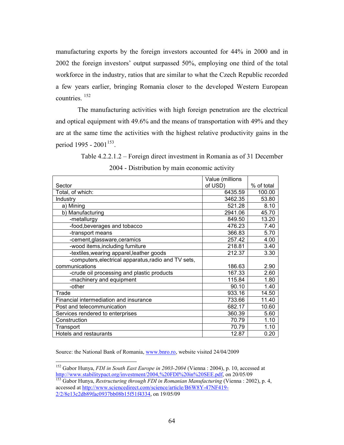manufacturing exports by the foreign investors accounted for 44% in 2000 and in 2002 the foreign investors' output surpassed 50%, employing one third of the total workforce in the industry, ratios that are similar to what the Czech Republic recorded a few years earlier, bringing Romania closer to the developed Western European countries. <sup>152</sup>

 The manufacturing activities with high foreign penetration are the electrical and optical equipment with 49.6% and the means of transportation with 49% and they are at the same time the activities with the highest relative productivity gains in the period 1995 - 2001<sup>153</sup>.

> Table 4.2.2.1.2 – Foreign direct investment in Romania as of 31 December 2004 - Distribution by main economic activity

|                                                      | Value (millions |            |
|------------------------------------------------------|-----------------|------------|
| Sector                                               | of USD)         | % of total |
| Total, of which:                                     | 6435.59         | 100.00     |
| Industry                                             | 3462.35         | 53.80      |
| a) Mining                                            | 521.28          | 8.10       |
| b) Manufacturing                                     | 2941.06         | 45.70      |
| -metallurgy                                          | 849.50          | 13.20      |
| -food, beverages and tobacco                         | 476.23          | 7.40       |
| -transport means                                     | 366.83          | 5.70       |
| -cement,glassware,ceramics                           | 257.42          | 4.00       |
| -wood items, including furniture                     | 218.81          | 3.40       |
| -textiles, wearing apparel, leather goods            | 212.37          | 3.30       |
| -computers, electrical apparatus, radio and TV sets, |                 |            |
| communications                                       | 186.63          | 2.90       |
| -crude oil processing and plastic products           | 167.33          | 2.60       |
| -machinery and equipment                             | 115.84          | 1.80       |
| -other                                               | 90.10           | 1.40       |
| Trade                                                | 933.16          | 14.50      |
| Financial intermediation and insurance               | 733.66          | 11.40      |
| Post and telecommunication                           | 682.17          | 10.60      |
| Services rendered to enterprises                     | 360.39          | 5.60       |
| Construction                                         | 70.79           | 1.10       |
| Transport                                            | 70.79           | 1.10       |
| Hotels and restaurants                               | 12.87           | 0.20       |

Source: the National Bank of Romania, www.bnro.ro, website visited 24/04/2009

<sup>-</sup><sup>152</sup> Gabor Hunya, *FDI in South East Europe in 2003-2004* (Vienna : 2004), p. 10, accessed at http://www.stabilitypact.org/investment/2004,%20FDI%20in%20SEE.pdf, on 20/05/09

<sup>153</sup> Gabor Hunya, *Restructuring through FDI in Romanian Manufacturing* (Vienna : 2002), p. 4, accessed at http://www.sciencedirect.com/science/article/B6W8Y-47NF419- 2/2/8e13c2db89fac0937bb08b15f51f4334, on 19/05/09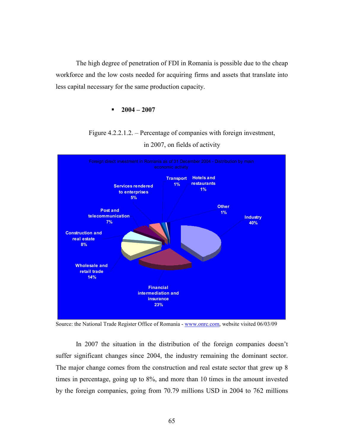The high degree of penetration of FDI in Romania is possible due to the cheap workforce and the low costs needed for acquiring firms and assets that translate into less capital necessary for the same production capacity.

#### $-2004 - 2007$



Figure 4.2.2.1.2. – Percentage of companies with foreign investment,



Source: the National Trade Register Office of Romania - www.onrc.com, website visited 06/03/09

In 2007 the situation in the distribution of the foreign companies doesn't suffer significant changes since 2004, the industry remaining the dominant sector. The major change comes from the construction and real estate sector that grew up 8 times in percentage, going up to 8%, and more than 10 times in the amount invested by the foreign companies, going from 70.79 millions USD in 2004 to 762 millions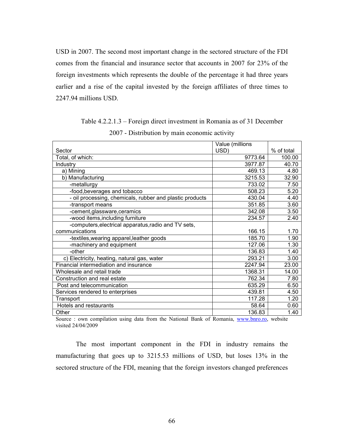USD in 2007. The second most important change in the sectored structure of the FDI comes from the financial and insurance sector that accounts in 2007 for 23% of the foreign investments which represents the double of the percentage it had three years earlier and a rise of the capital invested by the foreign affiliates of three times to 2247.94 millions USD.

Table 4.2.2.1.3 – Foreign direct investment in Romania as of 31 December

| $2007$ - Distribution by main comonic activity                                            |                 |            |  |  |  |
|-------------------------------------------------------------------------------------------|-----------------|------------|--|--|--|
|                                                                                           | Value (millions |            |  |  |  |
| Sector                                                                                    | USD)            | % of total |  |  |  |
| Total, of which:                                                                          | 9773.64         | 100.00     |  |  |  |
| Industry                                                                                  | 3977.87         | 40.70      |  |  |  |
| a) Mining                                                                                 | 469.13          | 4.80       |  |  |  |
| b) Manufacturing                                                                          | 3215.53         | 32.90      |  |  |  |
| -metallurgy                                                                               | 733.02          | 7.50       |  |  |  |
| -food, beverages and tobacco                                                              | 508.23          | 5.20       |  |  |  |
| - oil processing, chemicals, rubber and plastic products                                  | 430.04          | 4.40       |  |  |  |
| -transport means                                                                          | 351.85          | 3.60       |  |  |  |
| -cement, glassware, ceramics                                                              | 342.08          | 3.50       |  |  |  |
| -wood items, including furniture                                                          | 234.57          | 2.40       |  |  |  |
| -computers, electrical apparatus, radio and TV sets,                                      |                 |            |  |  |  |
| communications                                                                            | 166.15          | 1.70       |  |  |  |
| -textiles, wearing apparel, leather goods                                                 | 185.70          | 1.90       |  |  |  |
| -machinery and equipment                                                                  | 127.06          | 1.30       |  |  |  |
| -other                                                                                    | 136.83          | 1.40       |  |  |  |
| c) Electricity, heating, natural gas, water                                               | 293.21          | 3.00       |  |  |  |
| Financial intermediation and insurance                                                    | 2247.94         | 23.00      |  |  |  |
| Wholesale and retail trade                                                                | 1368.31         | 14.00      |  |  |  |
| Construction and real estate                                                              | 762.34          | 7.80       |  |  |  |
| Post and telecommunication                                                                | 635.29          | 6.50       |  |  |  |
| Services rendered to enterprises                                                          | 439.81          | 4.50       |  |  |  |
| Transport                                                                                 | 117.28          | 1.20       |  |  |  |
| Hotels and restaurants                                                                    | 58.64           | 0.60       |  |  |  |
| Other                                                                                     | 136.83          | 1.40       |  |  |  |
| Source : own compilation using data from the National Bank of Romania www.hpro.ro website |                 |            |  |  |  |

2007 - Distribution by main economic activity

Source : own compilation using data from the National Bank of Romania, www.bnro.ro, website visited 24/04/2009

The most important component in the FDI in industry remains the manufacturing that goes up to 3215.53 millions of USD, but loses 13% in the sectored structure of the FDI, meaning that the foreign investors changed preferences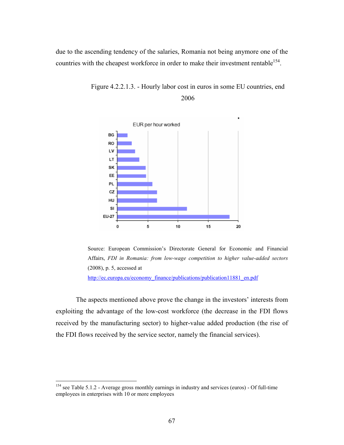due to the ascending tendency of the salaries, Romania not being anymore one of the countries with the cheapest workforce in order to make their investment rentable<sup>154</sup>.



Figure 4.2.2.1.3. - Hourly labor cost in euros in some EU countries, end 2006



The aspects mentioned above prove the change in the investors' interests from exploiting the advantage of the low-cost workforce (the decrease in the FDI flows received by the manufacturing sector) to higher-value added production (the rise of

the FDI flows received by the service sector, namely the financial services).

<sup>&</sup>lt;sup>154</sup> see Table 5.1.2 - Average gross monthly earnings in industry and services (euros) - Of full-time employees in enterprises with 10 or more employees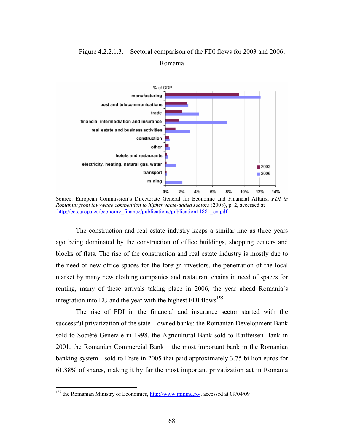

# Figure 4.2.2.1.3. – Sectoral comparison of the FDI flows for 2003 and 2006, Romania

The construction and real estate industry keeps a similar line as three years ago being dominated by the construction of office buildings, shopping centers and blocks of flats. The rise of the construction and real estate industry is mostly due to the need of new office spaces for the foreign investors, the penetration of the local market by many new clothing companies and restaurant chains in need of spaces for renting, many of these arrivals taking place in 2006, the year ahead Romania's integration into EU and the year with the highest FDI flows<sup>155</sup>.

The rise of FDI in the financial and insurance sector started with the successful privatization of the state – owned banks: the Romanian Development Bank sold to Société Générale in 1998, the Agricultural Bank sold to Raiffeisen Bank in 2001, the Romanian Commercial Bank – the most important bank in the Romanian banking system - sold to Erste in 2005 that paid approximately 3.75 billion euros for 61.88% of shares, making it by far the most important privatization act in Romania

Source: European Commission's Directorate General for Economic and Financial Affairs, *FDI in Romania: from low-wage competition to higher value-added sectors* (2008), p. 2, accessed at http://ec.europa.eu/economy\_finance/publications/publication11881\_en.pdf

<sup>&</sup>lt;sup>155</sup> the Romanian Ministry of Economics, http://www.minind.ro/, accessed at 09/04/09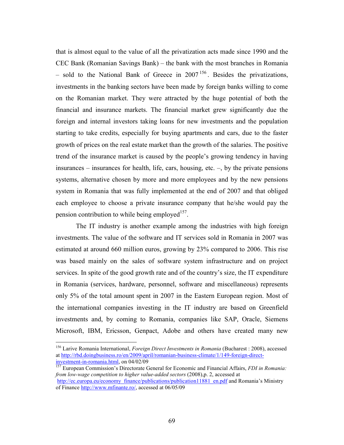that is almost equal to the value of all the privatization acts made since 1990 and the CEC Bank (Romanian Savings Bank) – the bank with the most branches in Romania – sold to the National Bank of Greece in  $2007^{156}$ . Besides the privatizations, investments in the banking sectors have been made by foreign banks willing to come on the Romanian market. They were attracted by the huge potential of both the financial and insurance markets. The financial market grew significantly due the foreign and internal investors taking loans for new investments and the population starting to take credits, especially for buying apartments and cars, due to the faster growth of prices on the real estate market than the growth of the salaries. The positive trend of the insurance market is caused by the people's growing tendency in having insurances – insurances for health, life, cars, housing, etc.  $-$ , by the private pensions systems, alternative chosen by more and more employees and by the new pensions system in Romania that was fully implemented at the end of 2007 and that obliged each employee to choose a private insurance company that he/she would pay the pension contribution to while being employed<sup>157</sup>.

The IT industry is another example among the industries with high foreign investments. The value of the software and IT services sold in Romania in 2007 was estimated at around 660 million euros, growing by 23% compared to 2006. This rise was based mainly on the sales of software system infrastructure and on project services. In spite of the good growth rate and of the country's size, the IT expenditure in Romania (services, hardware, personnel, software and miscellaneous) represents only 5% of the total amount spent in 2007 in the Eastern European region. Most of the international companies investing in the IT industry are based on Greenfield investments and, by coming to Romania, companies like SAP, Oracle, Siemens Microsoft, IBM, Ericsson, Genpact, Adobe and others have created many new

<sup>156</sup> Larive Romania International, *Foreign Direct Investments in Romania* (Bucharest : 2008), accessed at http://rbd.doingbusiness.ro/en/2009/april/romanian-business-climate/1/149-foreign-directinvestment-in-romania.html, on 04/02/09

<sup>157</sup> European Commission's Directorate General for Economic and Financial Affairs, *FDI in Romania: from low-wage competition to higher value-added sectors* (2008),p. 2, accessed at

http://ec.europa.eu/economy\_finance/publications/publication11881\_en.pdf and Romania's Ministry of Finance http://www.mfinante.ro/, accessed at 06/05/09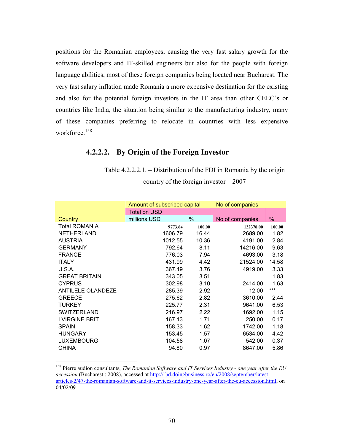positions for the Romanian employees, causing the very fast salary growth for the software developers and IT-skilled engineers but also for the people with foreign language abilities, most of these foreign companies being located near Bucharest. The very fast salary inflation made Romania a more expensive destination for the existing and also for the potential foreign investors in the IT area than other CEEC's or countries like India, the situation being similar to the manufacturing industry, many of these companies preferring to relocate in countries with less expensive workforce.<sup>158</sup>

# **4.2.2.2. By Origin of the Foreign Investor**

Table 4.2.2.2.1. – Distribution of the FDI in Romania by the origin country of the foreign investor – 2007

|                          | Amount of subscribed capital | No of companies |                 |        |
|--------------------------|------------------------------|-----------------|-----------------|--------|
|                          | <b>Total on USD</b>          |                 |                 |        |
| Country                  | millions USD                 | %               | No of companies | %      |
| <b>Total ROMANIA</b>     | 9773.64                      | 100.00          | 122378.00       | 100.00 |
| NETHERLAND               | 1606.79                      | 16.44           | 2689.00         | 1.82   |
| <b>AUSTRIA</b>           | 1012.55                      | 10.36           | 4191.00         | 2.84   |
| <b>GERMANY</b>           | 792.64                       | 8.11            | 14216.00        | 9.63   |
| <b>FRANCE</b>            | 776.03                       | 7.94            | 4693.00         | 3.18   |
| <b>ITALY</b>             | 431.99                       | 4.42            | 21524.00        | 14.58  |
| U.S.A.                   | 367.49                       | 3.76            | 4919.00         | 3.33   |
| <b>GREAT BRITAIN</b>     | 343.05                       | 3.51            |                 | 1.83   |
| <b>CYPRUS</b>            | 302.98                       | 3.10            | 2414.00         | 1.63   |
| <b>ANTILELE OLANDEZE</b> | 285.39                       | 2.92            | 12.00           | ***    |
| <b>GREECE</b>            | 275.62                       | 2.82            | 3610.00         | 2.44   |
| <b>TURKEY</b>            | 225.77                       | 2.31            | 9641.00         | 6.53   |
| <b>SWITZERLAND</b>       | 216.97                       | 2.22            | 1692.00         | 1.15   |
| I.VIRGINE BRIT.          | 167.13                       | 1.71            | 250.00          | 0.17   |
| <b>SPAIN</b>             | 158.33                       | 1.62            | 1742.00         | 1.18   |
| <b>HUNGARY</b>           | 153.45                       | 1.57            | 6534.00         | 4.42   |
| <b>LUXEMBOURG</b>        | 104.58                       | 1.07            | 542.00          | 0.37   |
| <b>CHINA</b>             | 94.80                        | 0.97            | 8647.00         | 5.86   |

<sup>158</sup> Pierre audion consultants, *The Romanian Software and IT Services Industry - one year after the EU accession* (Bucharest : 2008), accessed at http://rbd.doingbusiness.ro/en/2008/september/latestarticles/2/47-the-romanian-software-and-it-services-industry-one-year-after-the-eu-accession.html, on 04/02/09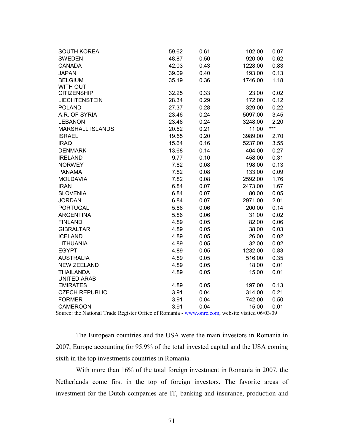| <b>SOUTH KOREA</b>      | 59.62 | 0.61 | 102.00  | 0.07  |
|-------------------------|-------|------|---------|-------|
| <b>SWEDEN</b>           | 48.87 | 0.50 | 920.00  | 0.62  |
| <b>CANADA</b>           | 42.03 | 0.43 | 1228.00 | 0.83  |
| <b>JAPAN</b>            | 39.09 | 0.40 | 193.00  | 0.13  |
| <b>BELGIUM</b>          | 35.19 | 0.36 | 1746.00 | 1.18  |
| <b>WITH OUT</b>         |       |      |         |       |
| <b>CITIZENSHIP</b>      | 32.25 | 0.33 | 23.00   | 0.02  |
| <b>LIECHTENSTEIN</b>    | 28.34 | 0.29 | 172.00  | 0.12  |
| <b>POLAND</b>           | 27.37 | 0.28 | 329.00  | 0.22  |
| A.R. OF SYRIA           | 23.46 | 0.24 | 5097.00 | 3.45  |
| <b>LEBANON</b>          | 23.46 | 0.24 | 3248.00 | 2.20  |
| <b>MARSHALL ISLANDS</b> | 20.52 | 0.21 | 11.00   | $***$ |
| <b>ISRAEL</b>           | 19.55 | 0.20 | 3989.00 | 2.70  |
| <b>IRAQ</b>             | 15.64 | 0.16 | 5237.00 | 3.55  |
| <b>DENMARK</b>          | 13.68 | 0.14 | 404.00  | 0.27  |
| <b>IRELAND</b>          | 9.77  | 0.10 | 458.00  | 0.31  |
| <b>NORWEY</b>           | 7.82  | 0.08 | 198.00  | 0.13  |
| <b>PANAMA</b>           | 7.82  | 0.08 | 133.00  | 0.09  |
| <b>MOLDAVIA</b>         | 7.82  | 0.08 | 2592.00 | 1.76  |
| <b>IRAN</b>             | 6.84  | 0.07 | 2473.00 | 1.67  |
| <b>SLOVENIA</b>         | 6.84  | 0.07 | 80.00   | 0.05  |
| <b>JORDAN</b>           | 6.84  | 0.07 | 2971.00 | 2.01  |
| <b>PORTUGAL</b>         | 5.86  | 0.06 | 200.00  | 0.14  |
| <b>ARGENTINA</b>        | 5.86  | 0.06 | 31.00   | 0.02  |
| <b>FINLAND</b>          | 4.89  | 0.05 | 82.00   | 0.06  |
| <b>GIBRALTAR</b>        | 4.89  | 0.05 | 38.00   | 0.03  |
| <b>ICELAND</b>          | 4.89  | 0.05 | 26.00   | 0.02  |
| <b>LITHUANIA</b>        | 4.89  | 0.05 | 32.00   | 0.02  |
| <b>EGYPT</b>            | 4.89  | 0.05 | 1232.00 | 0.83  |
| <b>AUSTRALIA</b>        | 4.89  | 0.05 | 516.00  | 0.35  |
| <b>NEW ZEELAND</b>      | 4.89  | 0.05 | 18.00   | 0.01  |
| <b>THAILANDA</b>        | 4.89  | 0.05 | 15.00   | 0.01  |
| <b>UNITED ARAB</b>      |       |      |         |       |
| <b>EMIRATES</b>         | 4.89  | 0.05 | 197.00  | 0.13  |
| <b>CZECH REPUBLIC</b>   | 3.91  | 0.04 | 314.00  | 0.21  |
| <b>FORMER</b>           | 3.91  | 0.04 | 742.00  | 0.50  |
| <b>CAMEROON</b>         | 3.91  | 0.04 | 15.00   | 0.01  |

Source: the National Trade Register Office of Romania - www.onrc.com, website visited 06/03/09

The European countries and the USA were the main investors in Romania in 2007, Europe accounting for 95.9% of the total invested capital and the USA coming sixth in the top investments countries in Romania.

With more than 16% of the total foreign investment in Romania in 2007, the Netherlands come first in the top of foreign investors. The favorite areas of investment for the Dutch companies are IT, banking and insurance, production and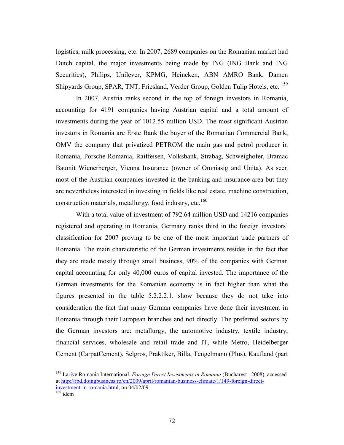logistics, milk processing, etc. In 2007, 2689 companies on the Romanian market had Dutch capital, the major investments being made by ING (ING Bank and ING Securities), Philips, Unilever, KPMG, Heineken, ABN AMRO Bank, Damen Shipyards Group, SPAR, TNT, Friesland, Verder Group, Golden Tulip Hotels, etc. <sup>159</sup>

In 2007, Austria ranks second in the top of foreign investors in Romania, accounting for 4191 companies having Austrian capital and a total amount of investments during the year of 1012.55 million USD. The most significant Austrian investors in Romania are Erste Bank the buyer of the Romanian Commercial Bank, OMV the company that privatized PETROM the main gas and petrol producer in Romania, Porsche Romania, Raiffeisen, Volksbank, Strabag, Schweighofer, Bramac Baumit Wienerberger, Vienna Insurance (owner of Omniasig and Unita). As seen most of the Austrian companies invested in the banking and insurance area but they are nevertheless interested in investing in fields like real estate, machine construction, construction materials, metallurgy, food industry, etc.<sup>160</sup>

With a total value of investment of 792.64 million USD and 14216 companies registered and operating in Romania, Germany ranks third in the foreign investors' classification for 2007 proving to be one of the most important trade partners of Romania. The main characteristic of the German investments resides in the fact that they are made mostly through small business, 90% of the companies with German capital accounting for only 40,000 euros of capital invested. The importance of the German investments for the Romanian economy is in fact higher than what the figures presented in the table 5.2.2.2.1. show because they do not take into consideration the fact that many German companies have done their investment in Romania through their European branches and not directly. The preferred sectors by the German investors are: metallurgy, the automotive industry, textile industry, financial services, wholesale and retail trade and IT, while Metro, Heidelberger Cement (CarpatCement), Selgros, Praktiker, Billa, Tengelmann (Plus), Kaufland (part

<sup>159</sup> Larive Romania International, *Foreign Direct Investments in Romania* (Bucharest : 2008), accessed at http://rbd.doingbusiness.ro/en/2009/april/romanian-business-climate/1/149-foreign-directinvestment-in-romania.html, on 04/02/09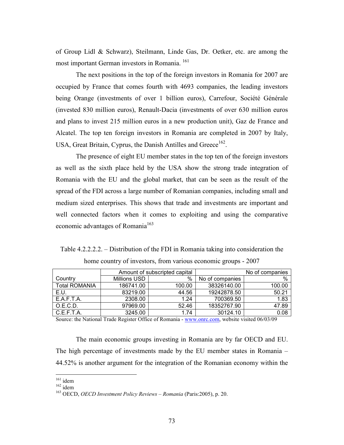of Group Lidl & Schwarz), Steilmann, Linde Gas, Dr. Oetker, etc. are among the most important German investors in Romania. <sup>161</sup>

The next positions in the top of the foreign investors in Romania for 2007 are occupied by France that comes fourth with 4693 companies, the leading investors being Orange (investments of over 1 billion euros), Carrefour, Société Générale (invested 830 million euros), Renault-Dacia (investments of over 630 million euros and plans to invest 215 million euros in a new production unit), Gaz de France and Alcatel. The top ten foreign investors in Romania are completed in 2007 by Italy, USA, Great Britain, Cyprus, the Danish Antilles and Greece<sup>162</sup>.

The presence of eight EU member states in the top ten of the foreign investors as well as the sixth place held by the USA show the strong trade integration of Romania with the EU and the global market, that can be seen as the result of the spread of the FDI across a large number of Romanian companies, including small and medium sized enterprises. This shows that trade and investments are important and well connected factors when it comes to exploiting and using the comparative economic advantages of Romania<sup>163</sup>

Table 4.2.2.2.2. – Distribution of the FDI in Romania taking into consideration the home country of investors, from various economic groups - 2007

|                      |              | Amount of subscripted capital |                 | No of companies |
|----------------------|--------------|-------------------------------|-----------------|-----------------|
| Country              | Millions USD | %                             | No of companies | $\%$            |
| <b>Total ROMANIA</b> | 186741.00    | 100.00                        | 38326140.00     | 100.00          |
| E.U.                 | 83219.00     | 44.56                         | 19242878.50     | 50.21           |
| E.A.F.T.A.           | 2308.00      | 1.24                          | 700369.50       | 1.83            |
| O.E.C.D.             | 97969.00     | 52.46                         | 18352767.90     | 47.89           |
| C.E.F.T.A.           | 3245.00      | 1.74                          | 30124.10        | 0.08            |

Source: the National Trade Register Office of Romania - www.onrc.com, website visited 06/03/09

The main economic groups investing in Romania are by far OECD and EU. The high percentage of investments made by the EU member states in Romania – 44.52% is another argument for the integration of the Romanian economy within the

 $161$  idem

 $162$  idem

<sup>163</sup> OECD, *OECD Investment Policy Reviews – Romania* (Paris:2005), p. 20.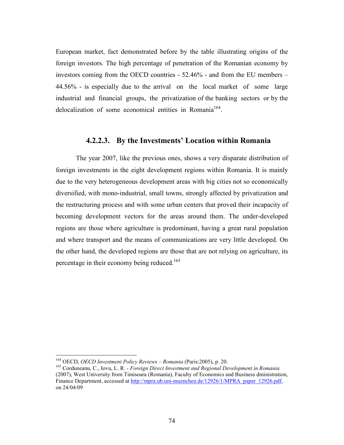European market, fact demonstrated before by the table illustrating origins of the foreign investors. The high percentage of penetration of the Romanian economy by investors coming from the OECD countries - 52.46% - and from the EU members – 44.56% - is especially due to the arrival on the local market of some large industrial and financial groups, the privatization of the banking sectors or by the delocalization of some economical entities in Romania<sup>164</sup>.

#### **4.2.2.3. By the Investments' Location within Romania**

The year 2007, like the previous ones, shows a very disparate distribution of foreign investments in the eight development regions within Romania. It is mainly due to the very heterogeneous development areas with big cities not so economically diversified, with mono-industrial, small towns, strongly affected by privatization and the restructuring process and with some urban centers that proved their incapacity of becoming development vectors for the areas around them. The under-developed regions are those where agriculture is predominant, having a great rural population and where transport and the means of communications are very little developed. On the other hand, the developed regions are those that are not relying on agriculture, its percentage in their economy being reduced.<sup>165</sup>

<u>.</u>

<sup>164</sup> OECD, *OECD Investment Policy Reviews – Romania* (Paris:2005), p. 20.

<sup>165</sup> Corduneanu, C., Iovu, L. R. - *Foreign Direct Investment and Regional Development in Romania* (2007), West University from Timisoara (Romania), Faculty of Economics and Business dministration, Finance Department, accessed at http://mpra.ub.uni-muenchen.de/12926/1/MPRA\_paper\_12926.pdf, on 24/04/09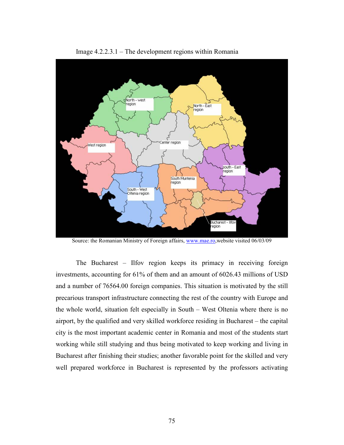

Image 4.2.2.3.1 – The development regions within Romania

Source: the Romanian Ministry of Foreign affairs, www.mae.ro, website visited 06/03/09

The Bucharest – Ilfov region keeps its primacy in receiving foreign investments, accounting for 61% of them and an amount of 6026.43 millions of USD and a number of 76564.00 foreign companies. This situation is motivated by the still precarious transport infrastructure connecting the rest of the country with Europe and the whole world, situation felt especially in South – West Oltenia where there is no airport, by the qualified and very skilled workforce residing in Bucharest – the capital city is the most important academic center in Romania and most of the students start working while still studying and thus being motivated to keep working and living in Bucharest after finishing their studies; another favorable point for the skilled and very well prepared workforce in Bucharest is represented by the professors activating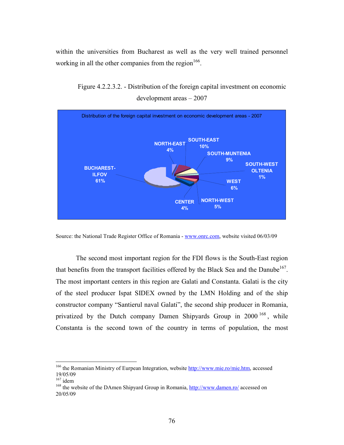within the universities from Bucharest as well as the very well trained personnel working in all the other companies from the region  $166$ .



Figure 4.2.2.3.2. - Distribution of the foreign capital investment on economic development areas – 2007

The second most important region for the FDI flows is the South-East region that benefits from the transport facilities offered by the Black Sea and the Danube<sup>167</sup>. The most important centers in this region are Galati and Constanta. Galati is the city of the steel producer Ispat SIDEX owned by the LMN Holding and of the ship constructor company "Santierul naval Galati", the second ship producer in Romania, privatized by the Dutch company Damen Shipyards Group in 2000<sup>168</sup>, while Constanta is the second town of the country in terms of population, the most

Source: the National Trade Register Office of Romania - www.onrc.com, website visited 06/03/09

<sup>&</sup>lt;sup>166</sup> the Romanian Ministry of Eurpean Integration, website **http://www.mie.ro/mie.htm**, accessed 19/05/09

 $167$  idem

<sup>&</sup>lt;sup>168</sup> the website of the DAmen Shipyard Group in Romania, http://www.damen.ro/ accessed on 20/05/09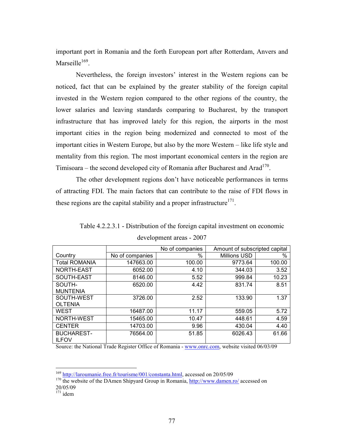important port in Romania and the forth European port after Rotterdam, Anvers and Marseille<sup>169</sup>.

Nevertheless, the foreign investors' interest in the Western regions can be noticed, fact that can be explained by the greater stability of the foreign capital invested in the Western region compared to the other regions of the country, the lower salaries and leaving standards comparing to Bucharest, by the transport infrastructure that has improved lately for this region, the airports in the most important cities in the region being modernized and connected to most of the important cities in Western Europe, but also by the more Western – like life style and mentality from this region. The most important economical centers in the region are Timisoara – the second developed city of Romania after Bucharest and Arad<sup>170</sup>.

The other development regions don't have noticeable performances in terms of attracting FDI. The main factors that can contribute to the raise of FDI flows in these regions are the capital stability and a proper infrastructure<sup>171</sup>.

|                      |                 | No of companies | Amount of subscripted capital |        |
|----------------------|-----------------|-----------------|-------------------------------|--------|
| Country              | No of companies | $\%$            | <b>Millions USD</b>           | $\%$   |
| <b>Total ROMANIA</b> | 147663.00       | 100.00          | 9773.64                       | 100.00 |
| NORTH-EAST           | 6052.00         | 4.10            | 344.03                        | 3.52   |
| SOUTH-EAST           | 8146.00         | 5.52            | 999.84                        | 10.23  |
| SOUTH-               | 6520.00         | 4.42            | 831.74                        | 8.51   |
| <b>MUNTENIA</b>      |                 |                 |                               |        |
| SOUTH-WEST           | 3726.00         | 2.52            | 133.90                        | 1.37   |
| <b>OLTENIA</b>       |                 |                 |                               |        |
| WEST                 | 16487.00        | 11.17           | 559.05                        | 5.72   |
| NORTH-WEST           | 15465.00        | 10.47           | 448.61                        | 4.59   |
| <b>CENTER</b>        | 14703.00        | 9.96            | 430.04                        | 4.40   |
| <b>BUCHAREST-</b>    | 76564.00        | 51.85           | 6026.43                       | 61.66  |
| <b>ILFOV</b>         |                 |                 |                               |        |

Table 4.2.2.3.1 - Distribution of the foreign capital investment on economic development areas - 2007

Source: the National Trade Register Office of Romania - www.onrc.com, website visited 06/03/09

<sup>&</sup>lt;sup>169</sup> http://laroumanie.free.fr/tourisme/001/constanta.html, accessed on 20/05/09

<sup>&</sup>lt;sup>170</sup> the website of the DAmen Shipyard Group in Romania, http://www.damen.ro/ accessed on 20/05/09

 $\frac{171}{171}$  idem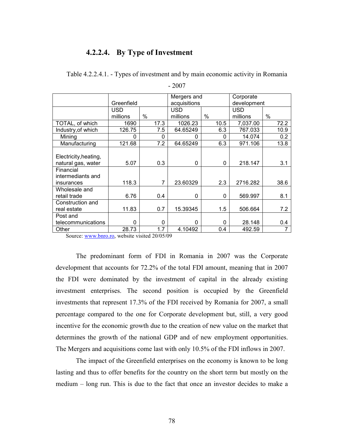#### **4.2.2.4. By Type of Investment**

|                       |            |      | Mergers and   |                      | Corporate   |      |
|-----------------------|------------|------|---------------|----------------------|-------------|------|
|                       | Greenfield |      | acquisitions  |                      | development |      |
|                       | <b>USD</b> |      | <b>USD</b>    |                      | USD         |      |
|                       | millions   | $\%$ | millions      | $\%$                 | millions    | $\%$ |
| TOTAL, of which       | 1690       | 17.3 | 1026.23       | 10.5                 | 7,037.00    | 72.2 |
| Industry, of which    | 126.75     | 7.5  | 64.65249      | 6.3                  | 767.033     | 10.9 |
| Mining                | 0          |      | 0             | 0<br>0               | 14.074      | 0.2  |
| Manufacturing         | 121.68     | 7.2  | 64.65249      | 6.3                  | 971.106     | 13.8 |
|                       |            |      |               |                      |             |      |
| Electricity, heating, |            |      |               |                      |             |      |
| natural gas, water    | 5.07       | 0.3  |               | $\Omega$<br>0        | 218.147     | 3.1  |
| Financial             |            |      |               |                      |             |      |
| intermediants and     |            |      |               |                      |             |      |
| insurances            | 118.3      |      | 7<br>23.60329 | 2.3                  | 2716.282    | 38.6 |
| Wholesale and         |            |      |               |                      |             |      |
| retail trade          | 6.76       | 0.4  |               | $\Omega$<br>0        | 569.997     | 8.1  |
| Construction and      |            |      |               |                      |             |      |
| real estate           | 11.83      | 0.7  | 15.39345      | 1.5                  | 506.664     | 7.2  |
| Post and              |            |      |               |                      |             |      |
| telecommunications    | $\Omega$   |      | 0             | $\Omega$<br>$\Omega$ | 28.148      | 0.4  |
| Other                 | 28.73      | 1.7  | 4.10492       | 0.4                  | 492.59      |      |

Table 4.2.2.4.1. - Types of investment and by main economic activity in Romania

- 2007

Source: www.bnro.ro, website visited 20/05/09

The predominant form of FDI in Romania in 2007 was the Corporate development that accounts for 72.2% of the total FDI amount, meaning that in 2007 the FDI were dominated by the investment of capital in the already existing investment enterprises. The second position is occupied by the Greenfield investments that represent 17.3% of the FDI received by Romania for 2007, a small percentage compared to the one for Corporate development but, still, a very good incentive for the economic growth due to the creation of new value on the market that determines the growth of the national GDP and of new employment opportunities. The Mergers and acquisitions come last with only 10.5% of the FDI inflows in 2007.

The impact of the Greenfield enterprises on the economy is known to be long lasting and thus to offer benefits for the country on the short term but mostly on the medium – long run. This is due to the fact that once an investor decides to make a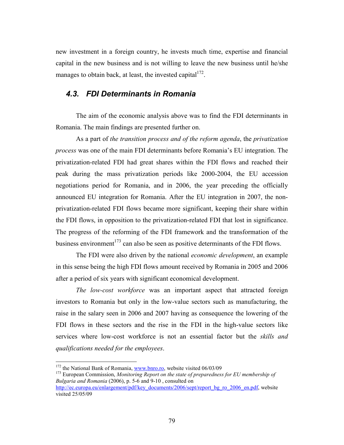new investment in a foreign country, he invests much time, expertise and financial capital in the new business and is not willing to leave the new business until he/she manages to obtain back, at least, the invested capital $1^{172}$ .

#### *4.3. FDI Determinants in Romania*

The aim of the economic analysis above was to find the FDI determinants in Romania. The main findings are presented further on.

As a part of *the transition process and of the reform agenda*, the *privatization process* was one of the main FDI determinants before Romania's EU integration. The privatization-related FDI had great shares within the FDI flows and reached their peak during the mass privatization periods like 2000-2004, the EU accession negotiations period for Romania, and in 2006, the year preceding the officially announced EU integration for Romania. After the EU integration in 2007, the nonprivatization-related FDI flows became more significant, keeping their share within the FDI flows, in opposition to the privatization-related FDI that lost in significance. The progress of the reforming of the FDI framework and the transformation of the business environment<sup> $173$ </sup> can also be seen as positive determinants of the FDI flows.

The FDI were also driven by the national *economic development*, an example in this sense being the high FDI flows amount received by Romania in 2005 and 2006 after a period of six years with significant economical development.

*The low-cost workforce* was an important aspect that attracted foreign investors to Romania but only in the low-value sectors such as manufacturing, the raise in the salary seen in 2006 and 2007 having as consequence the lowering of the FDI flows in these sectors and the rise in the FDI in the high-value sectors like services where low-cost workforce is not an essential factor but the *skills and qualifications needed for the employees*.

 $172$  the National Bank of Romania, www.bnro.ro, website visited 06/03/09

<sup>&</sup>lt;sup>173</sup> European Commission, *Monitoring Report on the state of preparedness for EU membership of Bulgaria and Romania* (2006), p. 5-6 and 9-10 , consulted on

http://ec.europa.eu/enlargement/pdf/key\_documents/2006/sept/report\_bg\_ro\_2006\_en.pdf, website visited 25/05/09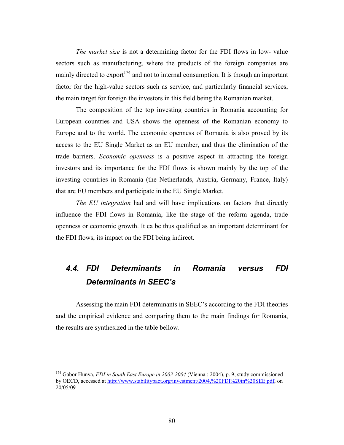*The market size* is not a determining factor for the FDI flows in low- value sectors such as manufacturing, where the products of the foreign companies are mainly directed to export<sup>174</sup> and not to internal consumption. It is though an important factor for the high-value sectors such as service, and particularly financial services, the main target for foreign the investors in this field being the Romanian market.

The composition of the top investing countries in Romania accounting for European countries and USA shows the openness of the Romanian economy to Europe and to the world. The economic openness of Romania is also proved by its access to the EU Single Market as an EU member, and thus the elimination of the trade barriers. *Economic openness* is a positive aspect in attracting the foreign investors and its importance for the FDI flows is shown mainly by the top of the investing countries in Romania (the Netherlands, Austria, Germany, France, Italy) that are EU members and participate in the EU Single Market.

*The EU integration* had and will have implications on factors that directly influence the FDI flows in Romania, like the stage of the reform agenda, trade openness or economic growth. It ca be thus qualified as an important determinant for the FDI flows, its impact on the FDI being indirect.

## *4.4. FDI Determinants in Romania versus FDI Determinants in SEEC's*

Assessing the main FDI determinants in SEEC's according to the FDI theories and the empirical evidence and comparing them to the main findings for Romania, the results are synthesized in the table bellow.

<sup>174</sup> Gabor Hunya, *FDI in South East Europe in 2003-2004* (Vienna : 2004), p. 9, study commissioned by OECD, accessed at http://www.stabilitypact.org/investment/2004,%20FDI%20in%20SEE.pdf, on 20/05/09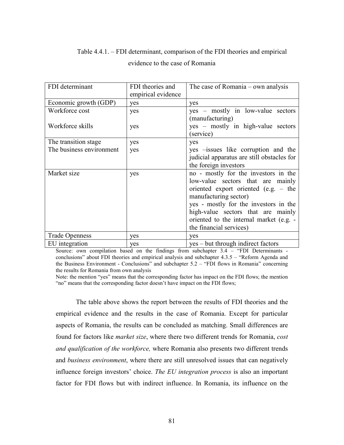## Table 4.4.1. – FDI determinant, comparison of the FDI theories and empirical evidence to the case of Romania

| FDI determinant          | FDI theories and   | The case of Romania – own analysis         |
|--------------------------|--------------------|--------------------------------------------|
|                          | empirical evidence |                                            |
| Economic growth (GDP)    | yes                | yes                                        |
| Workforce cost           | yes                | yes – mostly in low-value sectors          |
|                          |                    | (manufacturing)                            |
| Workforce skills         | yes                | yes – mostly in high-value sectors         |
|                          |                    | (service)                                  |
| The transition stage     | yes                | yes                                        |
| The business environment | yes                | yes -issues like corruption and the        |
|                          |                    | judicial apparatus are still obstacles for |
|                          |                    | the foreign investors                      |
| Market size              | yes                | no - mostly for the investors in the       |
|                          |                    | low-value sectors that are mainly          |
|                          |                    | oriented export oriented (e.g. $-$ the     |
|                          |                    | manufacturing sector)                      |
|                          |                    | yes - mostly for the investors in the      |
|                          |                    | high-value sectors that are mainly         |
|                          |                    | oriented to the internal market (e.g. -    |
|                          |                    | the financial services)                    |
| <b>Trade Openness</b>    | yes                | yes                                        |
| EU integration           | yes                | yes - but through indirect factors         |

Source: own compilation based on the findings from subchapter 3.4 – "FDI Determinants conclusions" about FDI theories and empirical analysis and subchapter 4.3.5 – "Reform Agenda and the Business Environment - Conclusions" and subchapter 5.2 – "FDI flows in Romania" concerning the results for Romania from own analysis

Note: the mention "yes" means that the corresponding factor has impact on the FDI flows; the mention "no" means that the corresponding factor doesn't have impact on the FDI flows;

The table above shows the report between the results of FDI theories and the empirical evidence and the results in the case of Romania. Except for particular aspects of Romania, the results can be concluded as matching. Small differences are found for factors like *market size*, where there two different trends for Romania, *cost and qualification of the workforce,* where Romania also presents two different trends and *business environment*, where there are still unresolved issues that can negatively influence foreign investors' choice. *The EU integration process* is also an important factor for FDI flows but with indirect influence. In Romania, its influence on the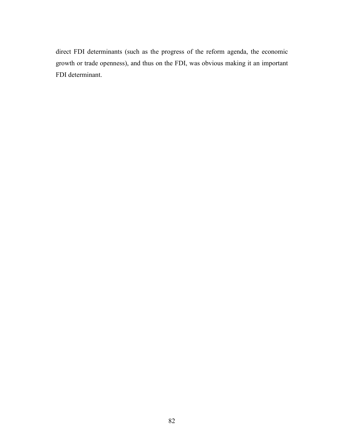direct FDI determinants (such as the progress of the reform agenda, the economic growth or trade openness), and thus on the FDI, was obvious making it an important FDI determinant.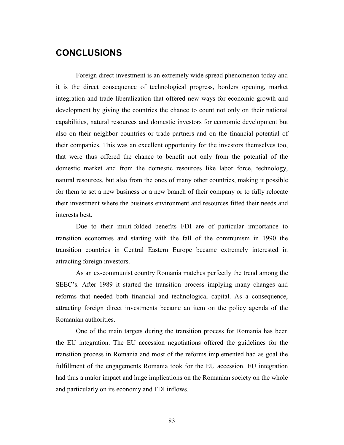## **CONCLUSIONS**

Foreign direct investment is an extremely wide spread phenomenon today and it is the direct consequence of technological progress, borders opening, market integration and trade liberalization that offered new ways for economic growth and development by giving the countries the chance to count not only on their national capabilities, natural resources and domestic investors for economic development but also on their neighbor countries or trade partners and on the financial potential of their companies. This was an excellent opportunity for the investors themselves too, that were thus offered the chance to benefit not only from the potential of the domestic market and from the domestic resources like labor force, technology, natural resources, but also from the ones of many other countries, making it possible for them to set a new business or a new branch of their company or to fully relocate their investment where the business environment and resources fitted their needs and interests best.

Due to their multi-folded benefits FDI are of particular importance to transition economies and starting with the fall of the communism in 1990 the transition countries in Central Eastern Europe became extremely interested in attracting foreign investors.

As an ex-communist country Romania matches perfectly the trend among the SEEC's. After 1989 it started the transition process implying many changes and reforms that needed both financial and technological capital. As a consequence, attracting foreign direct investments became an item on the policy agenda of the Romanian authorities.

One of the main targets during the transition process for Romania has been the EU integration. The EU accession negotiations offered the guidelines for the transition process in Romania and most of the reforms implemented had as goal the fulfillment of the engagements Romania took for the EU accession. EU integration had thus a major impact and huge implications on the Romanian society on the whole and particularly on its economy and FDI inflows.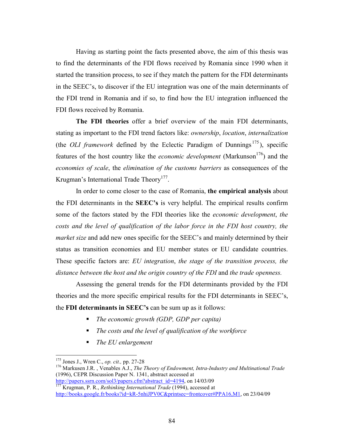Having as starting point the facts presented above, the aim of this thesis was to find the determinants of the FDI flows received by Romania since 1990 when it started the transition process, to see if they match the pattern for the FDI determinants in the SEEC's, to discover if the EU integration was one of the main determinants of the FDI trend in Romania and if so, to find how the EU integration influenced the FDI flows received by Romania.

**The FDI theories** offer a brief overview of the main FDI determinants, stating as important to the FDI trend factors like: *ownership*, *location*, *internalization* (the *OLI framework* defined by the Eclectic Paradigm of Dunnings<sup>175</sup>), specific features of the host country like the *economic development* (Markunson<sup>176</sup>) and the *economies of scale*, the *elimination of the customs barriers* as consequences of the Krugman's International Trade Theory<sup>177</sup>.

In order to come closer to the case of Romania, **the empirical analysis** about the FDI determinants in the **SEEC's** is very helpful. The empirical results confirm some of the factors stated by the FDI theories like the *economic development*, *the costs and the level of qualification of the labor force in the FDI host country, the market size* and add new ones specific for the SEEC's and mainly determined by their status as transition economies and EU member states or EU candidate countries. These specific factors are: *EU integration*, *the stage of the transition process, the distance between the host and the origin country of the FDI* and *the trade openness.*

Assessing the general trends for the FDI determinants provided by the FDI theories and the more specific empirical results for the FDI determinants in SEEC's, the **FDI determinants in SEEC's** can be sum up as it follows:

- *The economic growth (GDP, GDP per capita)*
- *The costs and the level of qualification of the workforce*
- *The EU enlargement*

<u>.</u>

<sup>175</sup> Jones J., Wren C., *op. cit.,* pp. 27-28

<sup>176</sup> Markusen J.R. , Venables A.J., *The Theory of Endowment, Intra-Industry and Multinational Trade* (1996), CEPR Discussion Paper N. 1341, abstract accessed at

http://papers.ssrn.com/sol3/papers.cfm?abstract\_id=4194, on 14/03/09 <sup>177</sup> Krugman, P. R., *Rethinking International Trade* (1994), accessed at http://books.google.fr/books?id=kR-5nhiJPV0C&printsec=frontcover#PPA16,M1, on 23/04/09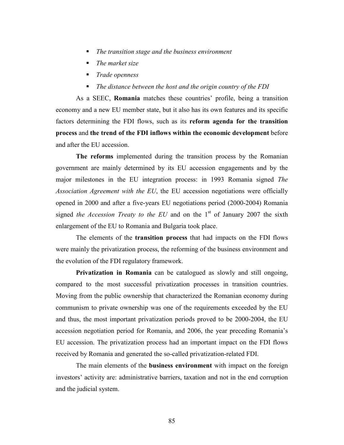- *The transition stage and the business environment*
- *The market size*
- *Trade openness*
- *The distance between the host and the origin country of the FDI*

As a SEEC, **Romania** matches these countries' profile, being a transition economy and a new EU member state, but it also has its own features and its specific factors determining the FDI flows, such as its **reform agenda for the transition process** and **the trend of the FDI inflows within the economic development** before and after the EU accession.

**The reforms** implemented during the transition process by the Romanian government are mainly determined by its EU accession engagements and by the major milestones in the EU integration process: in 1993 Romania signed *The Association Agreement with the EU*, the EU accession negotiations were officially opened in 2000 and after a five-years EU negotiations period (2000-2004) Romania signed *the Accession Treaty to the EU* and on the  $1<sup>st</sup>$  of January 2007 the sixth enlargement of the EU to Romania and Bulgaria took place.

The elements of the **transition process** that had impacts on the FDI flows were mainly the privatization process, the reforming of the business environment and the evolution of the FDI regulatory framework.

**Privatization in Romania** can be catalogued as slowly and still ongoing, compared to the most successful privatization processes in transition countries. Moving from the public ownership that characterized the Romanian economy during communism to private ownership was one of the requirements exceeded by the EU and thus, the most important privatization periods proved to be 2000-2004, the EU accession negotiation period for Romania, and 2006, the year preceding Romania's EU accession. The privatization process had an important impact on the FDI flows received by Romania and generated the so-called privatization-related FDI.

The main elements of the **business environment** with impact on the foreign investors' activity are: administrative barriers, taxation and not in the end corruption and the judicial system.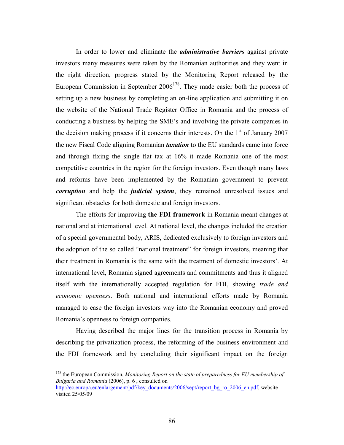In order to lower and eliminate the *administrative barriers* against private investors many measures were taken by the Romanian authorities and they went in the right direction, progress stated by the Monitoring Report released by the European Commission in September  $2006^{178}$ . They made easier both the process of setting up a new business by completing an on-line application and submitting it on the website of the National Trade Register Office in Romania and the process of conducting a business by helping the SME's and involving the private companies in the decision making process if it concerns their interests. On the  $1<sup>st</sup>$  of January 2007 the new Fiscal Code aligning Romanian *taxation* to the EU standards came into force and through fixing the single flat tax at 16% it made Romania one of the most competitive countries in the region for the foreign investors. Even though many laws and reforms have been implemented by the Romanian government to prevent *corruption* and help the *judicial system*, they remained unresolved issues and significant obstacles for both domestic and foreign investors.

The efforts for improving **the FDI framework** in Romania meant changes at national and at international level. At national level, the changes included the creation of a special governmental body, ARIS, dedicated exclusively to foreign investors and the adoption of the so called "national treatment" for foreign investors, meaning that their treatment in Romania is the same with the treatment of domestic investors'. At international level, Romania signed agreements and commitments and thus it aligned itself with the internationally accepted regulation for FDI, showing *trade and economic openness*. Both national and international efforts made by Romania managed to ease the foreign investors way into the Romanian economy and proved Romania's openness to foreign companies.

Having described the major lines for the transition process in Romania by describing the privatization process, the reforming of the business environment and the FDI framework and by concluding their significant impact on the foreign

<sup>&</sup>lt;sup>178</sup> the European Commission, *Monitoring Report on the state of preparedness for EU membership of Bulgaria and Romania* (2006), p. 6 , consulted on http://ec.europa.eu/enlargement/pdf/key\_documents/2006/sept/report\_bg\_ro\_2006\_en.pdf, website

visited 25/05/09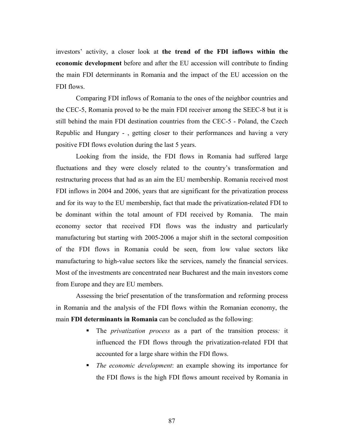investors' activity, a closer look at **the trend of the FDI inflows within the economic development** before and after the EU accession will contribute to finding the main FDI determinants in Romania and the impact of the EU accession on the FDI flows.

Comparing FDI inflows of Romania to the ones of the neighbor countries and the CEC-5, Romania proved to be the main FDI receiver among the SEEC-8 but it is still behind the main FDI destination countries from the CEC-5 - Poland, the Czech Republic and Hungary - , getting closer to their performances and having a very positive FDI flows evolution during the last 5 years.

Looking from the inside, the FDI flows in Romania had suffered large fluctuations and they were closely related to the country's transformation and restructuring process that had as an aim the EU membership. Romania received most FDI inflows in 2004 and 2006, years that are significant for the privatization process and for its way to the EU membership, fact that made the privatization-related FDI to be dominant within the total amount of FDI received by Romania. The main economy sector that received FDI flows was the industry and particularly manufacturing but starting with 2005-2006 a major shift in the sectoral composition of the FDI flows in Romania could be seen, from low value sectors like manufacturing to high-value sectors like the services, namely the financial services. Most of the investments are concentrated near Bucharest and the main investors come from Europe and they are EU members.

Assessing the brief presentation of the transformation and reforming process in Romania and the analysis of the FDI flows within the Romanian economy, the main **FDI determinants in Romania** can be concluded as the following:

- The *privatization process* as a part of the transition process*:* it influenced the FDI flows through the privatization-related FDI that accounted for a large share within the FDI flows.
- *The economic development*: an example showing its importance for the FDI flows is the high FDI flows amount received by Romania in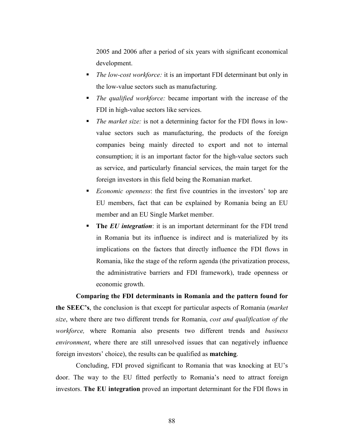2005 and 2006 after a period of six years with significant economical development.

- *The low-cost workforce:* it is an important FDI determinant but only in the low-value sectors such as manufacturing.
- *The qualified workforce:* became important with the increase of the FDI in high-value sectors like services.
- *The market size:* is not a determining factor for the FDI flows in lowvalue sectors such as manufacturing, the products of the foreign companies being mainly directed to export and not to internal consumption; it is an important factor for the high-value sectors such as service, and particularly financial services, the main target for the foreign investors in this field being the Romanian market.
- *Economic openness*: the first five countries in the investors' top are EU members, fact that can be explained by Romania being an EU member and an EU Single Market member.
- **The** *EU integration*: it is an important determinant for the FDI trend in Romania but its influence is indirect and is materialized by its implications on the factors that directly influence the FDI flows in Romania, like the stage of the reform agenda (the privatization process, the administrative barriers and FDI framework), trade openness or economic growth.

**Comparing the FDI determinants in Romania and the pattern found for the SEEC's**, the conclusion is that except for particular aspects of Romania (*market size*, where there are two different trends for Romania, *cost and qualification of the workforce,* where Romania also presents two different trends and *business environment*, where there are still unresolved issues that can negatively influence foreign investors' choice), the results can be qualified as **matching**.

Concluding, FDI proved significant to Romania that was knocking at EU's door. The way to the EU fitted perfectly to Romania's need to attract foreign investors. **The EU integration** proved an important determinant for the FDI flows in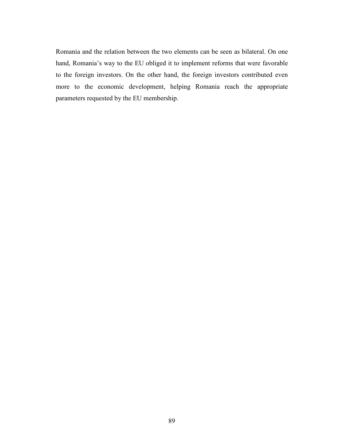Romania and the relation between the two elements can be seen as bilateral. On one hand, Romania's way to the EU obliged it to implement reforms that were favorable to the foreign investors. On the other hand, the foreign investors contributed even more to the economic development, helping Romania reach the appropriate parameters requested by the EU membership.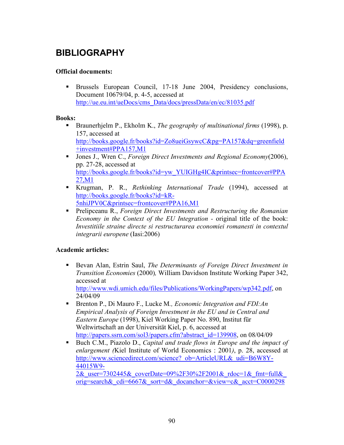# **BIBLIOGRAPHY**

#### **Official documents:**

 Brussels European Council, 17-18 June 2004, Presidency conclusions, Document 10679/04, p. 4-5, accessed at http://ue.eu.int/ueDocs/cms\_Data/docs/pressData/en/ec/81035.pdf

#### **Books:**

- Braunerhjelm P., Ekholm K., *The geography of multinational firms* (1998), p. 157, accessed at http://books.google.fr/books?id=Zo8ueiGsywcC&pg=PA157&dq=greenfield +investment#PPA157,M1
- Jones J., Wren C., *Foreign Direct Investments and Regional Economy*(2006), pp. 27-28, accessed at http://books.google.fr/books?id=yw\_YUIGHg4IC&printsec=frontcover#PPA 27,M1
- Krugman, P. R., *Rethinking International Trade* (1994), accessed at http://books.google.fr/books?id=kR-5nhiJPV0C&printsec=frontcover#PPA16,M1
- Prelipceanu R., *Foreign Direct Investments and Restructuring the Romanian Economy in the Context of the EU Integration - original title of the book: Investitiile straine directe si restructurarea economiei romanesti in contextul integrarii europene* (Iasi:2006)

#### **Academic articles:**

 Bevan Alan, Estrin Saul, *The Determinants of Foreign Direct Investment in Transition Economies* (2000)*,* William Davidson Institute Working Paper 342, accessed at

 http://www.wdi.umich.edu/files/Publications/WorkingPapers/wp342.pdf, on 24/04/09

- Brenton P., Di Mauro F., Lucke M*., Economic Integration and FDI:An Empirical Analysis of Foreign Investment in the EU and in Central and Eastern Europe* (1998), Kiel Working Paper No. 890, Institut für Weltwirtschaft an der Universität Kiel, p. 6, accessed at http://papers.ssrn.com/sol3/papers.cfm?abstract\_id=139908, on 08/04/09
- Buch C.M., Piazolo D., *Capital and trade flows in Europe and the impact of enlargement (*Kiel Institute of World Economics : 2001*)*, p. 28, accessed at http://www.sciencedirect.com/science? ob=ArticleURL&\_udi=B6W8Y-44015W9-  $2&$  user=7302445 $&$  coverDate=09%2F30%2F2001 $&$ rdoc=1 $&$  fmt=full $&$ orig=search& cdi=6667& sort=d& docanchor=&view=c& acct=C0000298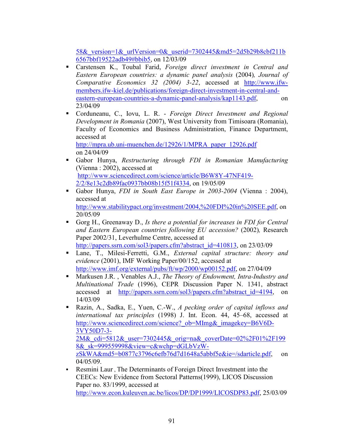58& version= $1\&$  urlVersion= $0\&$  userid=7302445&md5=2d5b29b8cbf211b 6567bbf19522adb49#bbib5, on 12/03/09

- Carstensen K., Toubal Farid, *Foreign direct investment in Central and Eastern European countries: a dynamic panel analysis* (2004)*, Journal of Comparative Economics 32 (2004) 3-22*, accessed at http://www.ifwmembers.ifw-kiel.de/publications/foreign-direct-investment-in-central-andeastern-european-countries-a-dynamic-panel-analysis/kap1143.pdf, on 23/04/09
- Corduneanu, C., Iovu, L. R. *Foreign Direct Investment and Regional Development in Romania* (2007), West University from Timisoara (Romania), Faculty of Economics and Business Administration, Finance Department, accessed at

 http://mpra.ub.uni-muenchen.de/12926/1/MPRA\_paper\_12926.pdf on 24/04/09

- Gabor Hunya, *Restructuring through FDI in Romanian Manufacturing* (Vienna : 2002), accessed at http://www.sciencedirect.com/science/article/B6W8Y-47NF419- 2/2/8e13c2db89fac0937bb08b15f51f4334, on 19/05/09
- Gabor Hunya, *FDI in South East Europe in 2003-2004* (Vienna : 2004), accessed at http://www.stabilitypact.org/investment/2004,%20FDI%20in%20SEE.pdf, on 20/05/09
- Gorg H., Greenaway D., *Is there a potential for increases in FDI for Central and Eastern European countries following EU accession?* (2002)*,* Research Paper 2002/31, Leverhulme Centre, accessed at http://papers.ssrn.com/sol3/papers.cfm?abstract\_id=410813, on 23/03/09
- Lane, T., Milesi-Ferretti, G.M., *External capital structure: theory and evidence* (2001), IMF Working Paper/00/152, accessed at http://www.imf.org/external/pubs/ft/wp/2000/wp00152.pdf, on 27/04/09
- Markusen J.R. , Venables A.J., *The Theory of Endowment, Intra-Industry and Multinational Trade* (1996), CEPR Discussion Paper N. 1341, abstract accessed at http://papers.ssrn.com/sol3/papers.cfm?abstract\_id=4194, on 14/03/09
- Razin, A., Sadka, E., Yuen, C.-W., *A pecking order of capital inflows and international tax principles* (1998) J. Int. Econ. 44, 45–68, accessed at http://www.sciencedirect.com/science? ob=MImg&\_imagekey=B6V6D-3VY50D7-3- 2M& cdi=5812& user=7302445& orig=na& coverDate=02%2F01%2F199 8&\_sk=999559998&view=c&wchp=dGLbVzWzSkWA&md5=b0877c3796c6efb76d7d1648a5abbf5e&ie=/sdarticle.pdf, on 04/05/09.
- Resmini Laur , The Determinants of Foreign Direct Investment into the CEECs: New Evidence from Sectoral Patterns(1999), LICOS Discussion Paper no. 83/1999, accessed at http://www.econ.kuleuven.ac.be/licos/DP/DP1999/LICOSDP83.pdf, 25/03/09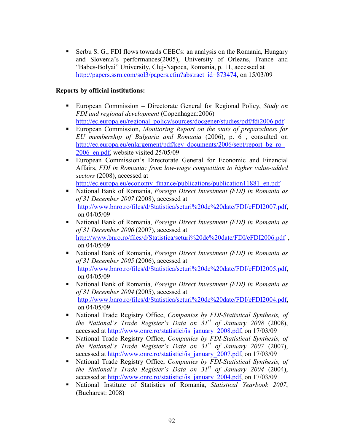Serbu S. G., FDI flows towards CEECs: an analysis on the Romania, Hungary and Slovenia's performances(2005), University of Orleans, France and "Babes-Bolyai" University, Cluj-Napoca, Romania, p. 11, accessed at http://papers.ssrn.com/sol3/papers.cfm?abstract\_id=873474, on 15/03/09

#### **Reports by official institutions:**

- European CommissionDirectorate General for Regional Policy, *Study on FDI and regional development* (Copenhagen:2006) http://ec.europa.eu/regional\_policy/sources/docgener/studies/pdf/fdi2006.pdf
- European Commission, *Monitoring Report on the state of preparedness for EU membership of Bulgaria and Romania* (2006), p. 6 , consulted on http://ec.europa.eu/enlargement/pdf/key\_documents/2006/sept/report\_bg\_ro\_ 2006 en.pdf, website visited 25/05/09
- European Commission's Directorate General for Economic and Financial Affairs, *FDI in Romania: from low-wage competition to higher value-added sectors* (2008), accessed at

http://ec.europa.eu/economy\_finance/publications/publication11881\_en.pdf

- National Bank of Romania, *Foreign Direct Investment (FDI) in Romania as of 31 December 2007* (2008), accessed at http://www.bnro.ro/files/d/Statistica/seturi%20de%20date/FDI/eFDI2007.pdf, on 04/05/09
- National Bank of Romania, *Foreign Direct Investment (FDI) in Romania as of 31 December 2006* (2007), accessed at http://www.bnro.ro/files/d/Statistica/seturi%20de%20date/FDI/eFDI2006.pdf, on 04/05/09
- National Bank of Romania, *Foreign Direct Investment (FDI) in Romania as of 31 December 2005* (2006), accessed at http://www.bnro.ro/files/d/Statistica/seturi%20de%20date/FDI/eFDI2005.pdf, on 04/05/09
- National Bank of Romania, *Foreign Direct Investment (FDI) in Romania as of 31 December 2004* (2005), accessed at http://www.bnro.ro/files/d/Statistica/seturi%20de%20date/FDI/eFDI2004.pdf, on 04/05/09
- National Trade Registry Office, *Companies by FDI-Statistical Synthesis, of the Bational's Trade Register's Data on 31st of January 2008* (2008), accessed at http://www.onrc.ro/statistici/is\_january\_2008.pdf, on 17/03/09
- National Trade Registry Office, *Companies by FDI-Statistical Synthesis, of the Bational's Trade Register's Data on 31st of January 2007* (2007), accessed at http://www.onrc.ro/statistici/is\_january\_2007.pdf, on 17/03/09
- National Trade Registry Office, *Companies by FDI-Statistical Synthesis, of the Bational's Trade Register's Data on 31st of January 2004* (2004), accessed at http://www.onrc.ro/statistici/is\_january\_2004.pdf, on 17/03/09
- National Institute of Statistics of Romania, *Statistical Yearbook 2007*, (Bucharest: 2008)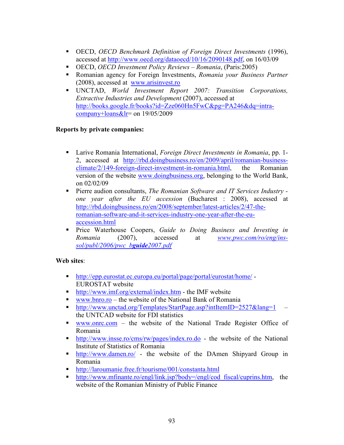- OECD, *OECD Benchmark Definition of Foreign Direct Investments* (1996), accessed at http://www.oecd.org/dataoecd/10/16/2090148.pdf, on 16/03/09
- OECD, *OECD Investment Policy Reviews Romania*, (Paris:2005)
- Romanian agency for Foreign Investments, *Romania your Business Partner* (2008), accessed at www.arisinvest.ro
- UNCTAD, *World Investment Report 2007: Transition Corporations, Extractive Industries and Development* (2007), accessed at http://books.google.fr/books?id=Zze060Hn5FwC&pg=PA246&dq=intracompany+loans $&$ lr= on 19/05/2009

#### **Reports by private companies:**

- Larive Romania International, *Foreign Direct Investments in Romania*, pp. 1- 2, accessed at http://rbd.doingbusiness.ro/en/2009/april/romanian-businessclimate/2/149-foreign-direct-investment-in-romania.html, the Romanian version of the website www.doingbusiness.org, belonging to the World Bank, on 02/02/09
- Pierre audion consultants, *The Romanian Software and IT Services Industry one year after the EU accession* (Bucharest : 2008), accessed at http://rbd.doingbusiness.ro/en/2008/september/latest-articles/2/47-theromanian-software-and-it-services-industry-one-year-after-the-euaccession.html
- Price Waterhouse Coopers, *Guide to Doing Business and Investing in Romania* (2007), accessed at *www.pwc.com/ro/eng/inssol/publ/2006/pwc\_bguide2007.pdf*

#### **Web sites**:

- http://epp.eurostat.ec.europa.eu/portal/page/portal/eurostat/home/ EUROSTAT website
- http://www.imf.org/external/index.htm the IMF website
- www.bnro.ro the website of the National Bank of Romania
- http://www.unctad.org/Templates/StartPage.asp?intItemID=2527&lang=1 the UNTCAD website for FDI statistics
- www.onrc.com the website of the National Trade Register Office of Romania
- http://www.insse.ro/cms/rw/pages/index.ro.do the website of the National Institute of Statistics of Romania
- **http://www.damen.ro/** the website of the DAmen Shipyard Group in Romania
- http://laroumanie.free.fr/tourisme/001/constanta.html
- http://www.mfinante.ro/engl/link.jsp?body=/engl/cod\_fiscal/cuprins.htm, the website of the Romanian Ministry of Public Finance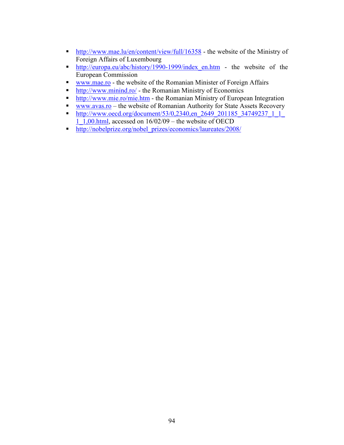- **http://www.mae.lu/en/content/view/full/16358** the website of the Ministry of Foreign Affairs of Luxembourg
- http://europa.eu/abc/history/1990-1999/index en.htm the website of the European Commission
- www.mae.ro the website of the Romanian Minister of Foreign Affairs
- **http://www.minind.ro/ the Romanian Ministry of Economics**
- http://www.mie.ro/mie.htm the Romanian Ministry of European Integration
- www.avas.ro the website of Romanian Authority for State Assets Recovery
- **http://www.oecd.org/document/53/0,2340,en\_2649\_201185\_34749237\_1\_1\_1\_** 1\_1,00.html, accessed on  $16/02/09$  – the website of OECD
- **http://nobelprize.org/nobel\_prizes/economics/laureates/2008/**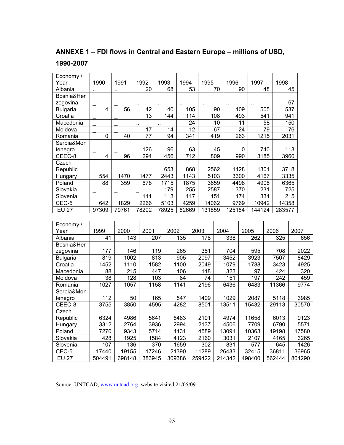#### **ANNEXE 1 – FDI flows in Central and Eastern Europe – millions of USD,**

#### **1990-2007**

| Economy/        |                 |                  |                 |                  |                  |       |                  |                  |                 |                  |                  |                 |                 |        |                  |       |
|-----------------|-----------------|------------------|-----------------|------------------|------------------|-------|------------------|------------------|-----------------|------------------|------------------|-----------------|-----------------|--------|------------------|-------|
| Year            | 1990            | 1991             | 1992            |                  | 1993             | 1994  |                  | 1995             |                 | 1996             |                  | 1997            |                 | 1998   |                  |       |
| Albania         |                 |                  | 20              |                  | 68               |       | 53               |                  | 70              |                  | 90               |                 | 48              |        | 45               |       |
| Bosnia&Her      |                 |                  |                 |                  |                  |       |                  |                  |                 |                  |                  |                 |                 |        |                  |       |
| zegovina        |                 |                  |                 |                  |                  |       |                  | $\ddotsc$        |                 |                  |                  |                 |                 |        | 67               |       |
| <b>Bulgaria</b> | $\overline{4}$  | 56               | 42              |                  | 40               |       | 105              |                  | 90              |                  | 109              |                 | 505             |        | 537              |       |
| Croatia         |                 |                  | $\overline{13}$ |                  | 144              |       | 114              |                  | 108             |                  | 493              |                 | 541             |        | 941              |       |
| Macedonia       |                 |                  |                 |                  |                  |       | $\overline{24}$  |                  | $\overline{10}$ |                  | 11               |                 | $\overline{58}$ |        | 150              |       |
| Moldova         |                 |                  | 17              |                  | 14               |       | 12               |                  | 67              |                  | 24               |                 | 79              |        | 76               |       |
| Romania         | $\mathbf 0$     | 40               | 77              |                  | 94               |       | 341              |                  | 419             |                  | 263              |                 | 1215            | 2031   |                  |       |
| Serbia&Mon      |                 |                  |                 |                  |                  |       |                  |                  |                 |                  |                  |                 |                 |        |                  |       |
| tenegro         |                 |                  | 126             |                  | 96               |       | 63               |                  | 45              |                  | $\pmb{0}$        |                 | 740             |        | 113              |       |
| CEEC-8          | $\overline{4}$  | 96               | 294             |                  | 456              |       | $\frac{1}{712}$  |                  | 809             |                  | 990              | 3185            |                 | 3960   |                  |       |
| Czech           |                 |                  |                 |                  |                  |       |                  |                  |                 |                  |                  |                 |                 |        |                  |       |
| Republic        |                 |                  |                 |                  | 653              |       | 868              | 2562             |                 |                  | 1428             |                 | 1301            | 3718   |                  |       |
| Hungary         | 554             | 1470             | 1477            |                  | 2443             |       | 1143             | 5103             |                 | 3300             |                  | 4167            |                 | 3335   |                  |       |
| Poland          | 88              | 359              | 678             |                  | 1715             |       | 1875             |                  | 3659            |                  | 4498             | 4908            |                 | 6365   |                  |       |
| Slovakia        |                 |                  |                 |                  | $\overline{179}$ |       | 255              | 2587             |                 |                  | $\overline{370}$ |                 | 231             |        | 725              |       |
| Slovenia        |                 |                  | 111             |                  | 113              |       | $\overline{117}$ |                  | 151             |                  | 174              |                 | 334             |        | $\overline{215}$ |       |
| CEC-5           | 642             | 1829             | 2266            |                  | 5103             |       | 4259             | 14062            |                 | 9769             |                  | 10942           |                 | 14358  |                  |       |
| <b>EU 27</b>    | 97309           | 79761            | 78292           |                  | 78925            | 82669 |                  | 131859           |                 | 125184           |                  | 144124          |                 | 283577 |                  |       |
|                 |                 |                  |                 |                  |                  |       |                  |                  |                 |                  |                  |                 |                 |        |                  |       |
| Economy/        |                 |                  |                 |                  |                  |       |                  |                  |                 |                  |                  |                 |                 |        |                  |       |
| Year            | 1999            | 2000             | 2001            |                  | 2002             |       |                  | 2003             | 2004            |                  | 2005             |                 | 2006            |        | 2007             |       |
| Albania         | 41              | 143              |                 | 207              |                  | 135   |                  | 178              |                 | 338              |                  | 262             |                 | 325    |                  | 656   |
| Bosnia&Her      |                 |                  |                 |                  |                  |       |                  |                  |                 |                  |                  |                 |                 |        |                  |       |
| zegovina        | 177             | 146              |                 | 119              |                  | 265   |                  | 381              |                 | 704              |                  | 595             |                 | 708    |                  | 2022  |
| <b>Bulgaria</b> | 819             | 1002             |                 | 813              |                  | 905   |                  | 2097             |                 | 3452             |                  | 3923            |                 | 7507   |                  | 8429  |
| Croatia         | 1452            | 1110             |                 | 1582             |                  | 1100  |                  | 2049             |                 | 1079             |                  | 1788            |                 | 3423   |                  | 4925  |
| Macedonia       | 88              | $\overline{215}$ |                 | 447              |                  | 106   |                  | $\overline{118}$ |                 | $\overline{323}$ |                  | $\overline{97}$ |                 | 424    |                  | 320   |
| Moldova         | $\overline{38}$ | 128              |                 | 103              |                  | 84    |                  | 74               |                 | 151              |                  | 197             |                 | 242    |                  | 459   |
| Romania         | 1027            | 1057             |                 | 1158             |                  | 1141  |                  | 2196             |                 | 6436             |                  | 6483            |                 | 11366  |                  | 9774  |
| Serbia&Mon      |                 |                  |                 |                  |                  |       |                  |                  |                 |                  |                  |                 |                 |        |                  |       |
| tenegro         | 112             | 50               |                 | 165              |                  | 547   |                  | 1409             |                 | 1029             |                  | 2087            |                 | 5118   |                  | 3985  |
| CEEC-8          | 3755            | 3850             |                 | 4595             |                  | 4282  |                  | 8501             |                 | 13511            |                  | 15432           |                 | 29113  |                  | 30570 |
| Czech           |                 |                  |                 |                  |                  |       |                  |                  |                 |                  |                  |                 |                 |        |                  |       |
| Republic        | 6324            | 4986             |                 | 5641             |                  | 8483  |                  | 2101             |                 | 4974             |                  | 11658           |                 | 6013   |                  | 9123  |
| Hungary         | 3312            | 2764             |                 | 3936             |                  | 2994  |                  | 2137             |                 | 4506             |                  | 7709            |                 | 6790   |                  | 5571  |
| Poland          | 7270            | 9343             |                 | 5714             |                  | 4131  |                  | 4589             |                 | 13091            |                  | 10363           |                 | 19198  |                  | 17580 |
| Slovakia        | 428             | 1925             |                 | 1584             |                  | 4123  |                  | 2160             |                 | 3031             |                  | 2107            |                 | 4165   |                  | 3265  |
| Slovenia        | 107             | 136              |                 | $\overline{370}$ |                  | 1659  |                  | 302              |                 | 831              |                  | 577             |                 | 645    |                  | 1426  |

Source: UNTCAD, www.untcad.org, website visited 21/05/09

CEC-5 | 17440 | 19155 | 17246 | 21390 | 11289 | 26433 | 32415 | 36811 | 36965 EU 27 504491 698148 383945 309386 259422 214342 498400 562444 804290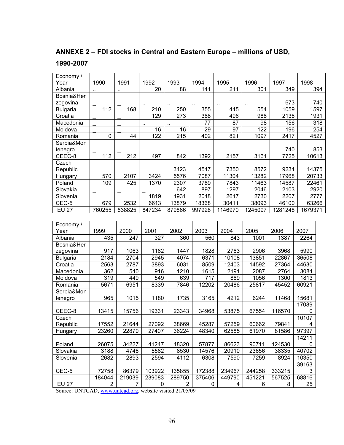## **ANNEXE 2 – FDI stocks in Central and Eastern Europe – millions of USD,**

#### **1990-2007**

| Economy /       |                |                |                      |                |           |                      |                  |         |                         |     |
|-----------------|----------------|----------------|----------------------|----------------|-----------|----------------------|------------------|---------|-------------------------|-----|
| Year            | 1990           | 1991           | 1992                 | 1993           | 1994      | 1995                 | 1996             | 1997    | 1998                    |     |
| Albania         |                |                | 20                   | 88             | 141       | 211                  | 301              | 349     |                         | 394 |
| Bosnia&Her      |                |                |                      |                |           |                      |                  |         |                         |     |
| zegovina        |                |                | $\ddot{\phantom{a}}$ | $\ddotsc$      | $\ddotsc$ | $\ddot{\phantom{1}}$ | $\cdot$ .        | 673     |                         | 740 |
| <b>Bulgaria</b> | 112            | 168            | 210                  | 250            | 355       | 445                  | 554              | 1059    | 1597                    |     |
| Croatia         |                |                | 129                  | 273            | 388       | 496                  | 988              | 2136    | 1931                    |     |
| Macedonia       |                |                | $\sim$               | $\ddotsc$      | 77        | 87                   | 98               | 156     |                         | 318 |
| Moldova         |                |                | 16                   | 16             | 29        | 97                   | $\overline{122}$ | 196     |                         | 254 |
| Romania         | 0              | 44             | 122                  | 215            | 402       | 821                  | 1097             | 2417    | 4527                    |     |
| Serbia&Mon      |                |                |                      |                |           |                      |                  |         |                         |     |
| tenegro         |                |                |                      |                |           |                      |                  | 740     |                         | 853 |
| CEEC-8          | 112            | 212            | 497                  | 842            | 1392      | 2157                 | 3161             | 7725    | 10613                   |     |
| Czech           |                |                |                      |                |           |                      |                  |         |                         |     |
| Republic        |                |                |                      | 3423           | 4547      | 7350                 | 8572             | 9234    | 14375                   |     |
| Hungary         | 570            | 2107           | 3424                 | 5576           | 7087      | 11304                | 13282            | 17968   | 20733                   |     |
| Poland          | 109            | 425            | 1370                 | 2307           | 3789      | 7843                 | 11463            | 14587   | 22461                   |     |
| Slovakia        |                |                |                      | 642            | 897       | 1297                 | 2046             | 2103    | 2920                    |     |
| Slovenia        |                |                | 1819                 | 1931           | 2048      | 2617                 | 2730             | 2207    | 2777                    |     |
| CEC-5           | 679            | 2532           | 6613                 | 13879          | 18368     | 30411                | 38093            | 46100   | 63266                   |     |
| $EU$ 27         | 760255         | 838825         | 847234               | 879866         | 997928    | 1146970              | 1245097          | 1281248 | 1679371                 |     |
|                 |                |                |                      |                |           |                      |                  |         |                         |     |
| Economy /       |                |                |                      |                |           |                      |                  |         |                         |     |
| Year            | 1999           | 2000           | 2001                 | 2002           | 2003      | 2004                 | 2005             | 2006    | 2007                    |     |
| Albania         | 435            | 247            | 327                  | 360            | 560       | 843                  | 1001             | 1387    | 2264                    |     |
| Bosnia&Her      |                |                |                      |                |           |                      |                  |         |                         |     |
| zegovina        | 917            | 1063           | 1182                 | 1447           | 1828      | 2763                 | 2906             | 3968    | 5990                    |     |
| <b>Bulgaria</b> | 2184           | 2704           | 2945                 | 4074           | 6371      | 10108                | 13851            | 22867   | 36508                   |     |
| Croatia         | 2563           | 2787           | 3893                 | 6031           | 8509      | 12403                | 14592            | 27364   | 44630                   |     |
| Macedonia       | 362            | 540            | 916                  | 1210           | 1615      | 2191                 | 2087             | 2764    | 3084                    |     |
| Moldova         | 319            | 449            | 549                  | 639            | 717       | 869                  | 1056             | 1300    | 1813                    |     |
| Romania         | 5671           | 6951           | 8339                 | 7846           | 12202     | 20486                | 25817            | 45452   | 60921                   |     |
| Serbia&Mon      |                |                |                      |                |           |                      |                  |         |                         |     |
| tenegro         | 965            | 1015           | 1180                 | 1735           | 3165      | 4212                 | 6244             | 11468   | 15681                   |     |
|                 |                |                |                      |                |           |                      |                  |         | 17089                   |     |
| CEEC-8          | 13415          | 15756          | 19331                | 23343          | 34968     | 53875                | 67554            | 116570  | 0                       |     |
| Czech           |                |                |                      |                |           |                      |                  |         | 10107                   |     |
| Republic        | 17552          | 21644          | 27092                | 38669          | 45287     | 57259                | 60662            | 79841   | $\overline{\mathbf{4}}$ |     |
| Hungary         | 23260          | 22870          | 27407                | 36224          | 48340     | 62585                | 61970            | 81586   | 97397                   |     |
|                 |                |                |                      |                |           |                      |                  |         | 14211                   |     |
| Poland          | 26075          | 34227          | 41247                | 48320          | 57877     | 86623                | 90711            | 124530  | $\mathbf 0$             |     |
| Slovakia        | 3188           | 4746           | 5582                 | 8530           | 14576     | 20910                | 23656            | 38335   | 40702                   |     |
| Slovenia        | 2682           | 2893           | 2594                 | 4112           | 6308      | 7590                 | 7259             | 8924    | 10350                   |     |
|                 |                |                |                      |                |           |                      |                  |         | 39163                   |     |
| CEC-5           | 72758          | 86379          | 103922               | 135855         | 172388    | 234967               | 244258           | 333215  | 3                       |     |
|                 | 184044         | 219039         | 239083               | 289750         | 375406    | 449790               | 451221           | 567525  | 68816                   |     |
| <b>EU 27</b>    | $\overline{c}$ | $\overline{7}$ | 0                    | $\overline{c}$ | 0         | 4                    | $\,6$            | 8       | 25                      |     |

Source: UNTCAD, www.untcad.org, website visited 21/05/09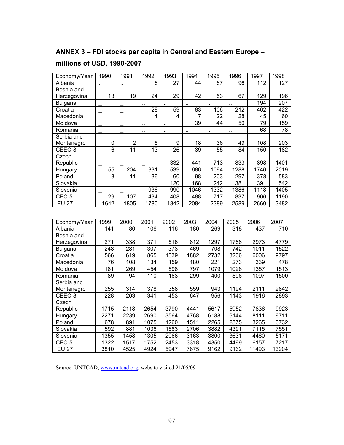#### **ANNEX 3 – FDI stocks per capita in Central and Eastern Europe –**

#### **millions of USD, 1990-2007**

| Economy/Year    | 1990            | 1991                 | 1992                    | 1993                    | 1994           | 1995      | 1996 | 1997 | 1998 |
|-----------------|-----------------|----------------------|-------------------------|-------------------------|----------------|-----------|------|------|------|
| Albania         | ٠.              | $\ddot{\phantom{a}}$ | 6                       | 27                      | 44             | 67        | 96   | 112  | 127  |
| Bosnia and      |                 |                      |                         |                         |                |           |      |      |      |
| Herzegovina     | 13              | 19                   | 24                      | 29                      | 42             | 53        | 67   | 129  | 196  |
| <b>Bulgaria</b> |                 |                      |                         | ٠.                      | $\ddotsc$      | $\ddotsc$ |      | 194  | 207  |
| Croatia         |                 |                      | 28                      | 59                      | 83             | 106       | 212  | 462  | 422  |
| Macedonia       |                 |                      | $\overline{\mathbf{4}}$ | $\overline{\mathbf{4}}$ | $\overline{7}$ | 22        | 28   | 45   | 60   |
| Moldova         |                 |                      |                         |                         | 39             | 44        | 50   | 79   | 159  |
| Romania         |                 |                      | ٠.                      |                         |                |           | ٠.   | 68   | 78   |
| Serbia and      |                 |                      |                         |                         |                |           |      |      |      |
| Montenegro      | 0               | $\overline{2}$       | 5                       | 9                       | 18             | 36        | 49   | 108  | 203  |
| CEEC-8          | $\overline{6}$  | 11                   | $\overline{13}$         | $\overline{26}$         | 39             | 55        | 84   | 150  | 182  |
| Czech           |                 |                      |                         |                         |                |           |      |      |      |
| Republic        |                 |                      |                         | 332                     | 441            | 713       | 833  | 898  | 1401 |
| Hungary         | 55              | 204                  | 331                     | 539                     | 686            | 1094      | 1288 | 1746 | 2019 |
| Poland          | 3               | 11                   | 36                      | 60                      | 98             | 203       | 297  | 378  | 583  |
| Slovakia        |                 |                      |                         | 120                     | 168            | 242       | 381  | 391  | 542  |
| Slovenia        |                 |                      | 936                     | 990                     | 1046           | 1332      | 1386 | 1118 | 1405 |
| CEC-5           | 29              | 107                  | 434                     | 408                     | 488            | 717       | 837  | 906  | 1190 |
| <b>EU 27</b>    | 1642            | 1805                 | 1780                    | 1842                    | 2084           | 2389      | 2589 | 2660 | 3482 |
|                 |                 |                      |                         |                         |                |           |      |      |      |
| Economy/Year    | 1999            | 2000                 | 2001                    | 2002                    | 2003           | 2004      | 2005 | 2006 | 2007 |
| Albania         | 141             | 80                   | 106                     | 116                     | 180            | 269       | 318  | 437  | 710  |
| Bosnia and      |                 |                      |                         |                         |                |           |      |      |      |
| Herzegovina     | 271             | 338                  | 371                     | 516                     | 812            | 1297      | 1788 | 2973 | 4779 |
| <b>Bulgaria</b> | 248             | 281                  | $\overline{3}07$        | 373                     | 469            | 708       | 742  | 1011 | 1522 |
| Croatia         | 566             | 619                  | 865                     | 1339                    | 1882           | 2732      | 3206 | 6006 | 9797 |
| Macedonia       | $\overline{76}$ | 108                  | 134                     | 159                     | 180            | 221       | 273  | 339  | 478  |
| Moldova         | 181             | 269                  | 454                     | 598                     | 797            | 1079      | 1026 | 1357 | 1513 |
| Romania         | 89              | 94                   | 110                     | 163                     | 299            | 400       | 596  | 1097 | 1500 |
| Serbia and      |                 |                      |                         |                         |                |           |      |      |      |
| Montenegro      | 255             | 314                  | 378                     | 358                     | 559            | 943       | 1194 | 2111 | 2842 |

CEEC-8 | 228 | 263 | 341 | 453 | 647 | 956 | 1143 | 1916 | 2893

Republic | 1715 | 2118 | 2654 | 3790 | 4441 | 5617 | 5952 | 7836 | 9923 Hungary | 2271 | 2239 | 2690 | 3564 | 4768 | 6188 | 6144 | 8111 | 9711 Poland | 678 | 891 | 1075 | 1260 | 1511 | 2265 | 2375 | 3265 | 3732 Slovakia | 592 | 881 | 1036 | 1583 | 2706 | 3882 | 4391 | 7115 | 7551 Slovenia | 1355 | 1458 | 1305 | 2066 | 3163 | 3800 | 3631 | 4460 | 5171 CEC-5 | 1322 | 1517 | 1752 | 2453 | 3318 | 4350 | 4499 | 6157 | 7217 EU 27 3810 4525 4924 5947 7675 9162 9162 11493 13904

Source: UNTCAD, www.untcad.org, website visited 21/05/09

Czech<br>Republic